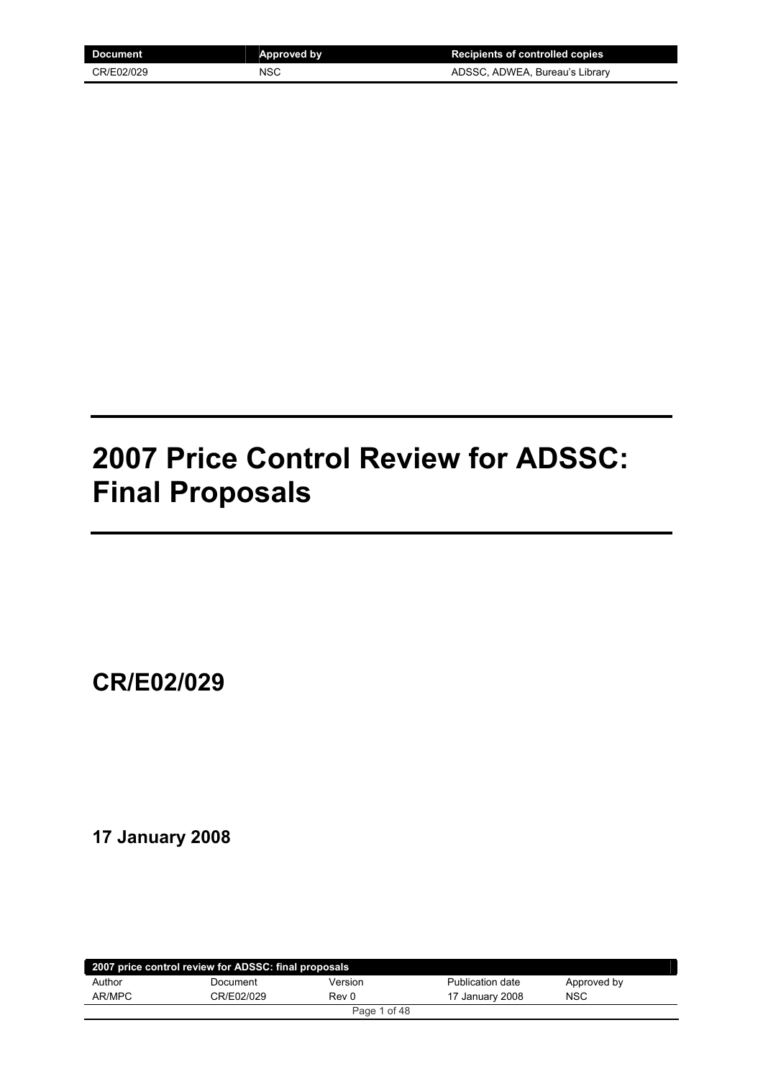| Document   | Approved by | <b>Recipients of controlled copies</b> |
|------------|-------------|----------------------------------------|
| CR/E02/029 | <b>NSC</b>  | ADSSC, ADWEA, Bureau's Library         |

## **2007 Price Control Review for ADSSC: Final Proposals**

**CR/E02/029**

## **17 January 2008**

| 2007 price control review for ADSSC: final proposals |            |         |                  |             |  |
|------------------------------------------------------|------------|---------|------------------|-------------|--|
| Author                                               | Document   | Version | Publication date | Approved by |  |
| AR/MPC                                               | CR/E02/029 | Rev 0   | 17 January 2008  | <b>NSC</b>  |  |
| Page 1 of 48                                         |            |         |                  |             |  |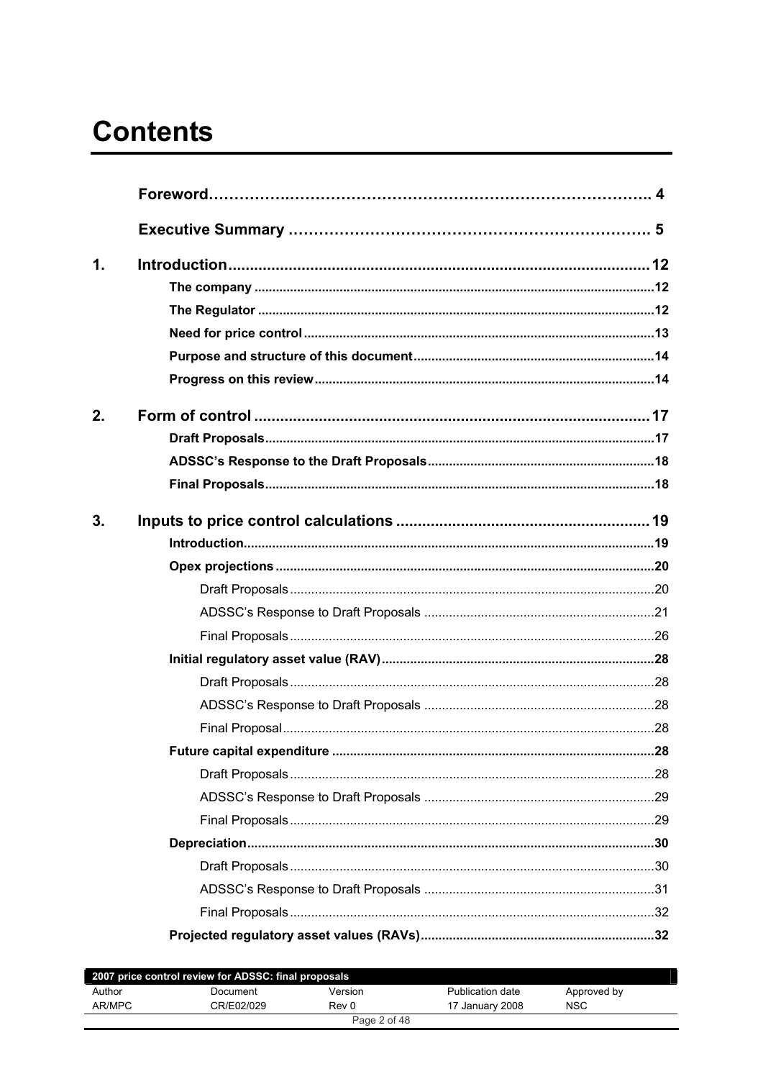# **Contents**

| $\mathbf 1$ . |  |
|---------------|--|
|               |  |
|               |  |
|               |  |
|               |  |
|               |  |
| 2.            |  |
|               |  |
|               |  |
|               |  |
| 3.            |  |
|               |  |
|               |  |
|               |  |
|               |  |
|               |  |
|               |  |
|               |  |
|               |  |
|               |  |
|               |  |
|               |  |
|               |  |
|               |  |
|               |  |
|               |  |
|               |  |
|               |  |
|               |  |

|        | 2007 price control review for ADSSC: final proposals |              |                  |             |  |
|--------|------------------------------------------------------|--------------|------------------|-------------|--|
| Author | Document                                             | Version      | Publication date | Approved by |  |
| AR/MPC | CR/E02/029                                           | Rev 0        | 17 January 2008  | <b>NSC</b>  |  |
|        |                                                      | Page 2 of 48 |                  |             |  |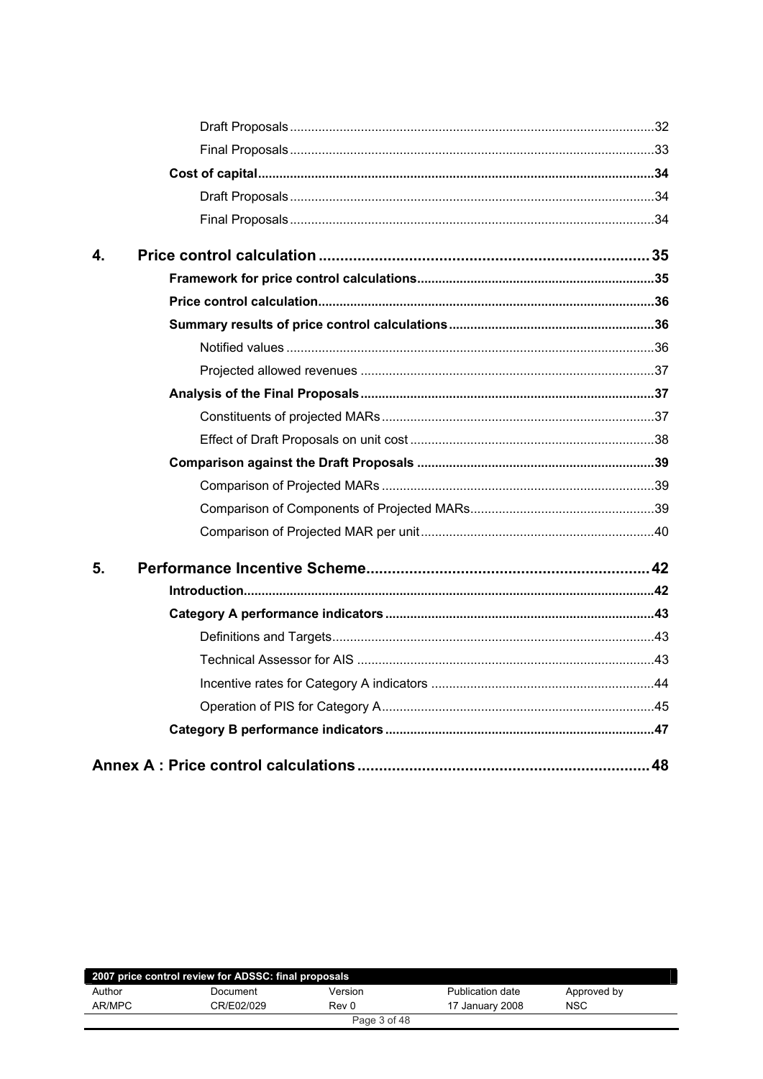| 5. |  |
|----|--|
|    |  |
|    |  |
|    |  |
|    |  |
|    |  |
|    |  |
|    |  |
|    |  |
|    |  |
|    |  |
|    |  |
|    |  |
| 4. |  |
|    |  |
|    |  |
|    |  |
|    |  |
|    |  |

|        | 2007 price control review for ADSSC: final proposals |              |                  |             |  |
|--------|------------------------------------------------------|--------------|------------------|-------------|--|
| Author | Document                                             | Version      | Publication date | Approved by |  |
| AR/MPC | CR/E02/029                                           | Rev 0        | 17 January 2008  | <b>NSC</b>  |  |
|        |                                                      | Page 3 of 48 |                  |             |  |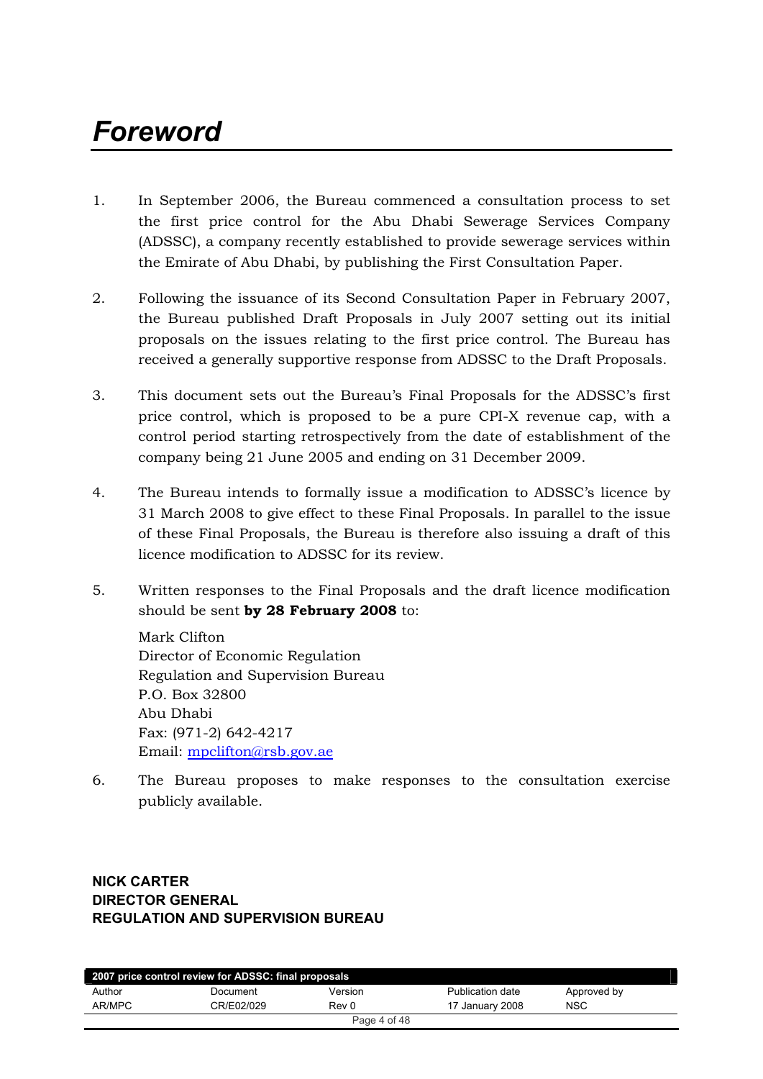# *Foreword*

- 1. In September 2006, the Bureau commenced a consultation process to set the first price control for the Abu Dhabi Sewerage Services Company (ADSSC), a company recently established to provide sewerage services within the Emirate of Abu Dhabi, by publishing the First Consultation Paper.
- 2. Following the issuance of its Second Consultation Paper in February 2007, the Bureau published Draft Proposals in July 2007 setting out its initial proposals on the issues relating to the first price control. The Bureau has received a generally supportive response from ADSSC to the Draft Proposals.
- 3. This document sets out the Bureau's Final Proposals for the ADSSC's first price control, which is proposed to be a pure CPI-X revenue cap, with a control period starting retrospectively from the date of establishment of the company being 21 June 2005 and ending on 31 December 2009.
- 4. The Bureau intends to formally issue a modification to ADSSC's licence by 31 March 2008 to give effect to these Final Proposals. In parallel to the issue of these Final Proposals, the Bureau is therefore also issuing a draft of this licence modification to ADSSC for its review.
- 5. Written responses to the Final Proposals and the draft licence modification should be sent by 28 February 2008 to:

Mark Clifton Director of Economic Regulation Regulation and Supervision Bureau P.O. Box 32800 Abu Dhabi Fax: (971-2) 642-4217 Email:  $mpclifton@rsb.gov.$ ae

6. The Bureau proposes to make responses to the consultation exercise publicly available.

## **NICK CARTER DIRECTOR GENERAL REGULATION AND SUPERVISION BUREAU**

| 2007 price control review for ADSSC: final proposals |            |         |                  |             |  |
|------------------------------------------------------|------------|---------|------------------|-------------|--|
| Author                                               | Document   | Version | Publication date | Approved by |  |
| AR/MPC                                               | CR/E02/029 | Rev 0   | 17 January 2008  | <b>NSC</b>  |  |
| Page 4 of 48                                         |            |         |                  |             |  |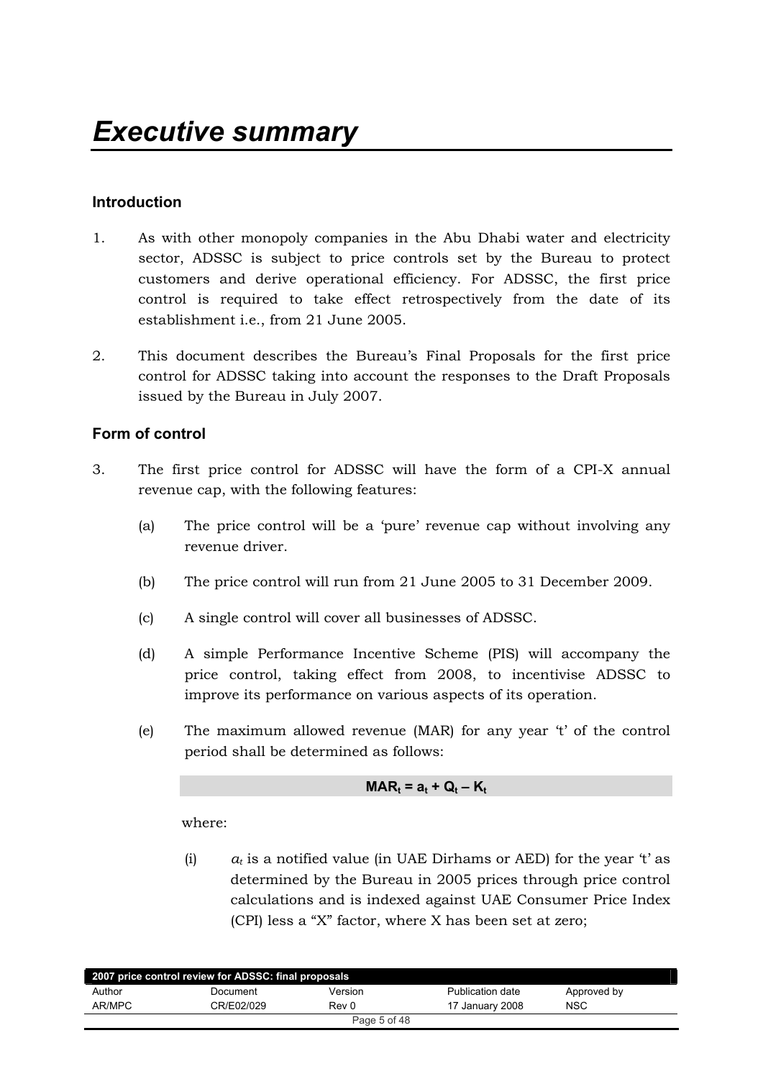## **Introduction**

- 1. As with other monopoly companies in the Abu Dhabi water and electricity sector, ADSSC is subject to price controls set by the Bureau to protect customers and derive operational efficiency. For ADSSC, the first price control is required to take effect retrospectively from the date of its establishment i.e., from 21 June 2005.
- 2. This document describes the Bureau's Final Proposals for the first price control for ADSSC taking into account the responses to the Draft Proposals issued by the Bureau in July 2007.

## **Form of control**

- 3. The first price control for ADSSC will have the form of a CPI-X annual revenue cap, with the following features:
	- (a) The price control will be a 'pure' revenue cap without involving any revenue driver.
	- (b) The price control will run from 21 June 2005 to 31 December 2009.
	- (c) A single control will cover all businesses of ADSSC.
	- (d) A simple Performance Incentive Scheme (PIS) will accompany the price control, taking effect from 2008, to incentivise ADSSC to improve its performance on various aspects of its operation.
	- (e) The maximum allowed revenue (MAR) for any year  $t'$  of the control period shall be determined as follows:

$$
MAR_t = a_t + Q_t - K_t
$$

where:

(i)  $a_t$  is a notified value (in UAE Dirhams or AED) for the year 't' as determined by the Bureau in 2005 prices through price control calculations and is indexed against UAE Consumer Price Index (CPI) less a "X" factor, where X has been set at zero;

| 2007 price control review for ADSSC: final proposals |            |         |                  |             |  |
|------------------------------------------------------|------------|---------|------------------|-------------|--|
| Author                                               | Document   | Version | Publication date | Approved by |  |
| AR/MPC                                               | CR/E02/029 | Rev 0   | 17 January 2008  | <b>NSC</b>  |  |
| Page 5 of 48                                         |            |         |                  |             |  |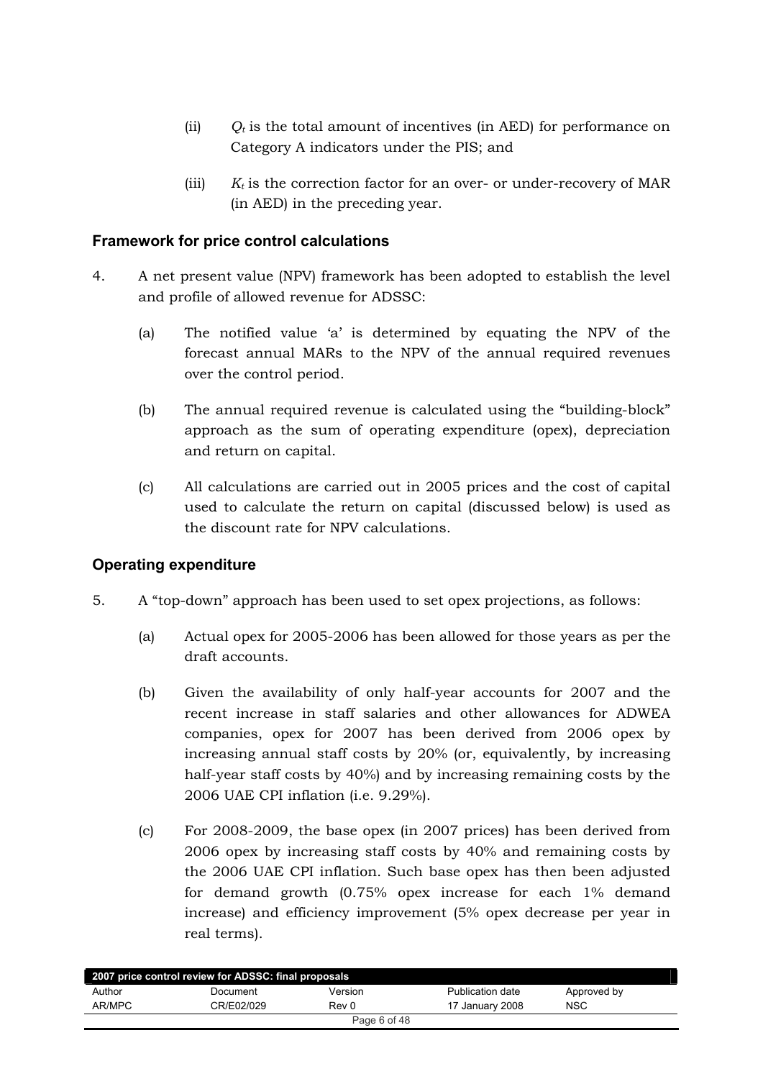- (ii)  $Q_t$  is the total amount of incentives (in AED) for performance on Category A indicators under the PIS; and
- (iii)  $K_t$  is the correction factor for an over- or under-recovery of MAR  $(in AED)$  in the preceding year.

## **Framework for price control calculations**

- 4. A net present value (NPV) framework has been adopted to establish the level and profile of allowed revenue for ADSSC:
	- (a) The notified value 'a' is determined by equating the NPV of the forecast annual MARs to the NPV of the annual required revenues over the control period.
	- (b) The annual required revenue is calculated using the "building-block" approach as the sum of operating expenditure (opex), depreciation and return on capital.
	- (c) All calculations are carried out in 2005 prices and the cost of capital used to calculate the return on capital (discussed below) is used as the discount rate for NPV calculations.

## **Operating expenditure**

- 5. A "top-down" approach has been used to set opex projections, as follows:
	- (a) Actual opex for 2005-2006 has been allowed for those years as per the draft accounts.
	- (b) Given the availability of only half-year accounts for  $2007$  and the recent increase in staff salaries and other allowances for ADWEA companies, opex for 2007 has been derived from 2006 opex by increasing annual staff costs by 20% (or, equivalently, by increasing half-year staff costs by 40%) and by increasing remaining costs by the 2006 UAE CPI inflation (i.e. 9.29%).
	- (c) For 2008-2009, the base opex (in 2007 prices) has been derived from  $2006$  opex by increasing staff costs by  $40\%$  and remaining costs by the 2006 UAE CPI inflation. Such base opex has then been adjusted for demand growth  $(0.75\%$  opex increase for each  $1\%$  demand increase) and efficiency improvement (5% opex decrease per year in real terms).

|        | 2007 price control review for ADSSC: final proposals |              |                         |             |  |
|--------|------------------------------------------------------|--------------|-------------------------|-------------|--|
| Author | Document                                             | Version      | <b>Publication date</b> | Approved by |  |
| AR/MPC | CR/E02/029                                           | Rev 0        | 17 January 2008         | <b>NSC</b>  |  |
|        |                                                      | Page 6 of 48 |                         |             |  |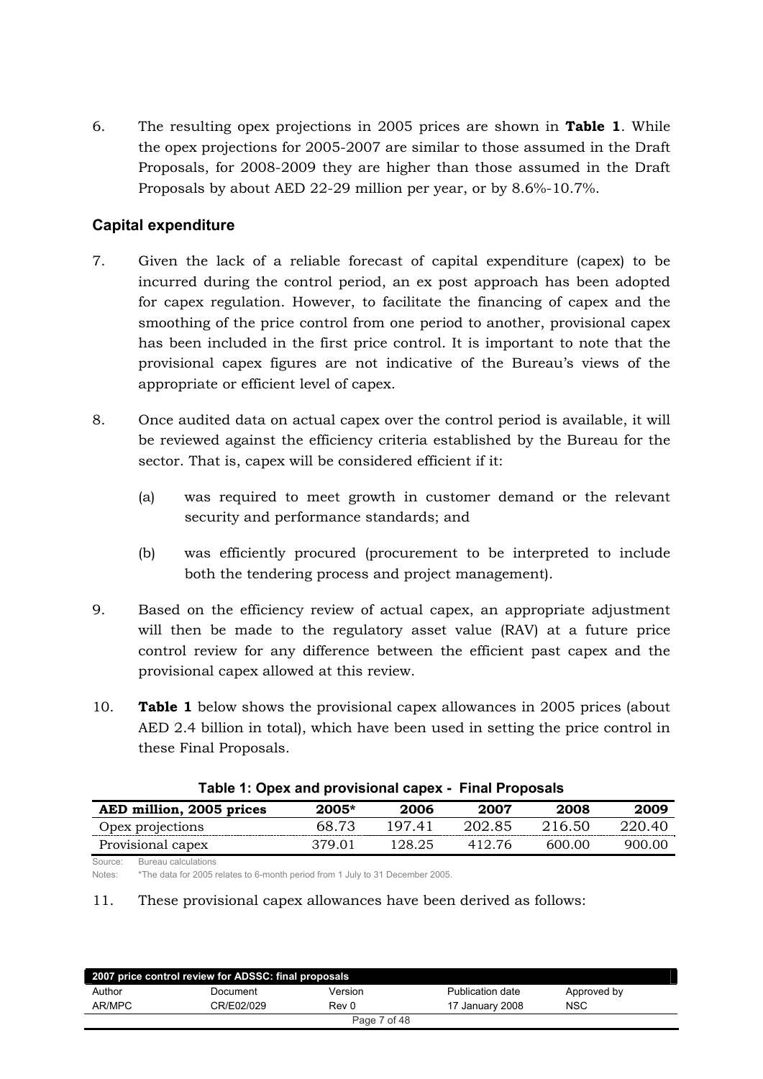6. The resulting opex projections in 2005 prices are shown in **Table 1**. While the opex projections for 2005-2007 are similar to those assumed in the Draft Proposals, for 2008-2009 they are higher than those assumed in the Draft Proposals by about AED 22-29 million per year, or by  $8.6\%$ -10.7%.

## **Capital expenditure**

- 7. Given the lack of a reliable forecast of capital expenditure (capex) to be incurred during the control period, an ex post approach has been adopted for capex regulation. However, to facilitate the financing of capex and the smoothing of the price control from one period to another, provisional capex has been included in the first price control. It is important to note that the provisional capex figures are not indicative of the Bureau's views of the appropriate or efficient level of capex.
- 8. Once audited data on actual capex over the control period is available, it will be reviewed against the efficiency criteria established by the Bureau for the sector. That is, capex will be considered efficient if it:
	- (a) was required to meet growth in customer demand or the relevant security and performance standards; and
	- (b) was efficiently procured (procurement to be interpreted to include both the tendering process and project management).
- 9. Based on the efficiency review of actual capex, an appropriate adjustment will then be made to the regulatory asset value (RAV) at a future price control review for any difference between the efficient past capex and the provisional capex allowed at this review.
- 10. **Table 1** below shows the provisional capex allowances in 2005 prices (about AED 2.4 billion in total), which have been used in setting the price control in these Final Proposals.

| Table 1. Open and provisional capes • Thial Froposals |         |        |        |        |        |
|-------------------------------------------------------|---------|--------|--------|--------|--------|
| AED million, 2005 prices                              | $2005*$ | 2006   | 2007   | 2008   | 2009   |
| Opex projections                                      | 68.73   | 197.41 | 202.85 | 216.50 | 220.40 |
| Provisional capex                                     | 379.01  | 128.25 | 412.76 | 600.00 | 900.00 |

Source: Bureau calculations

Notes: \*The data for 2005 relates to 6-month period from 1 July to 31 December 2005.

#### 11. These provisional capex allowances have been derived as follows:

| 2007 price control review for ADSSC: final proposals |            |         |                  |             |  |
|------------------------------------------------------|------------|---------|------------------|-------------|--|
| Author                                               | Document   | Version | Publication date | Approved by |  |
| AR/MPC                                               | CR/E02/029 | Rev 0   | 17 January 2008  | <b>NSC</b>  |  |
| Page 7 of 48                                         |            |         |                  |             |  |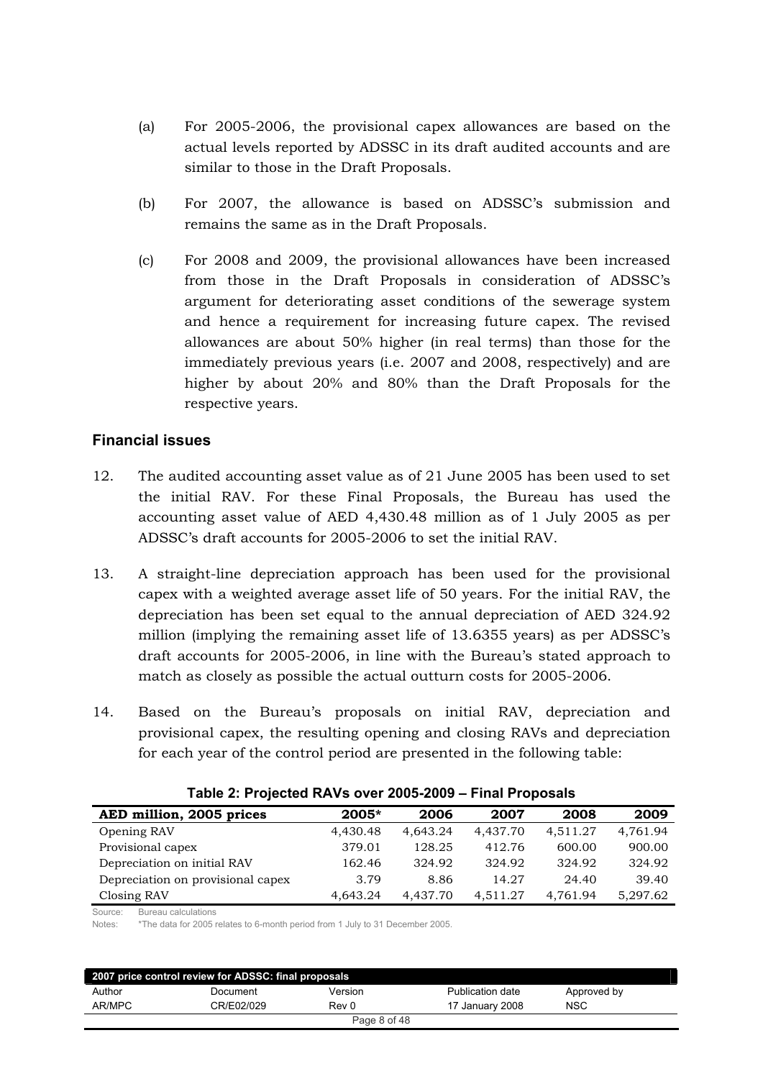- (a) For  $2005-2006$ , the provisional capex allowances are based on the actual levels reported by ADSSC in its draft audited accounts and are similar to those in the Draft Proposals.
- (b) For  $2007$ , the allowance is based on ADSSC's submission and remains the same as in the Draft Proposals.
- $\epsilon$ ) For 2008 and 2009, the provisional allowances have been increased from those in the Draft Proposals in consideration of ADSSC's argument for deteriorating asset conditions of the sewerage system and hence a requirement for increasing future capex. The revised allowances are about 50% higher (in real terms) than those for the immediately previous vears (i.e. 2007 and 2008, respectively) and are higher by about  $20\%$  and  $80\%$  than the Draft Proposals for the respective years.

## **Financial issues**

- 12. The audited accounting asset value as of 21 June 2005 has been used to set the initial RAV. For these Final Proposals, the Bureau has used the accounting asset value of AED 4,430.48 million as of 1 July 2005 as per ADSSC's draft accounts for 2005-2006 to set the initial RAV.
- 13. A straight-line depreciation approach has been used for the provisional capex with a weighted average asset life of 50 years. For the initial RAV, the depreciation has been set equal to the annual depreciation of AED  $324.92$ million (implying the remaining asset life of 13.6355 years) as per ADSSC's draft accounts for 2005-2006, in line with the Bureau's stated approach to match as closely as possible the actual outturn costs for 2005-2006.
- 14. Based on the Bureau's proposals on initial RAV, depreciation and provisional capex, the resulting opening and closing RAVs and depreciation for each year of the control period are presented in the following table:

| $\frac{1}{2}$ and 2. Frujected NAVS OVER 2009-2009 $-$ Final Fruposals |          |          |          |          |          |  |  |
|------------------------------------------------------------------------|----------|----------|----------|----------|----------|--|--|
| AED million, 2005 prices                                               | $2005*$  | 2006     | 2007     | 2008     | 2009     |  |  |
| Opening RAV                                                            | 4,430.48 | 4.643.24 | 4,437.70 | 4,511.27 | 4,761.94 |  |  |
| Provisional capex                                                      | 379.01   | 128.25   | 412.76   | 600.00   | 900.00   |  |  |
| Depreciation on initial RAV                                            | 162.46   | 324.92   | 324.92   | 324.92   | 324.92   |  |  |
| Depreciation on provisional capex                                      | 3.79     | 8.86     | 14.27    | 24.40    | 39.40    |  |  |
| Closing RAV                                                            | 4,643.24 | 4.437.70 | 4,511.27 | 4,761.94 | 5,297.62 |  |  |

## **Table 2: Projected RAVs over 2005-2009 – Final Proposals**

Source: Bureau calculations

Notes: \*The data for 2005 relates to 6-month period from 1 July to 31 December 2005.

| 2007 price control review for ADSSC: final proposals |            |              |                  |             |  |
|------------------------------------------------------|------------|--------------|------------------|-------------|--|
| Author                                               | Document   | Version      | Publication date | Approved by |  |
| AR/MPC                                               | CR/E02/029 | Rev 0        | 17 January 2008  | <b>NSC</b>  |  |
|                                                      |            | Page 8 of 48 |                  |             |  |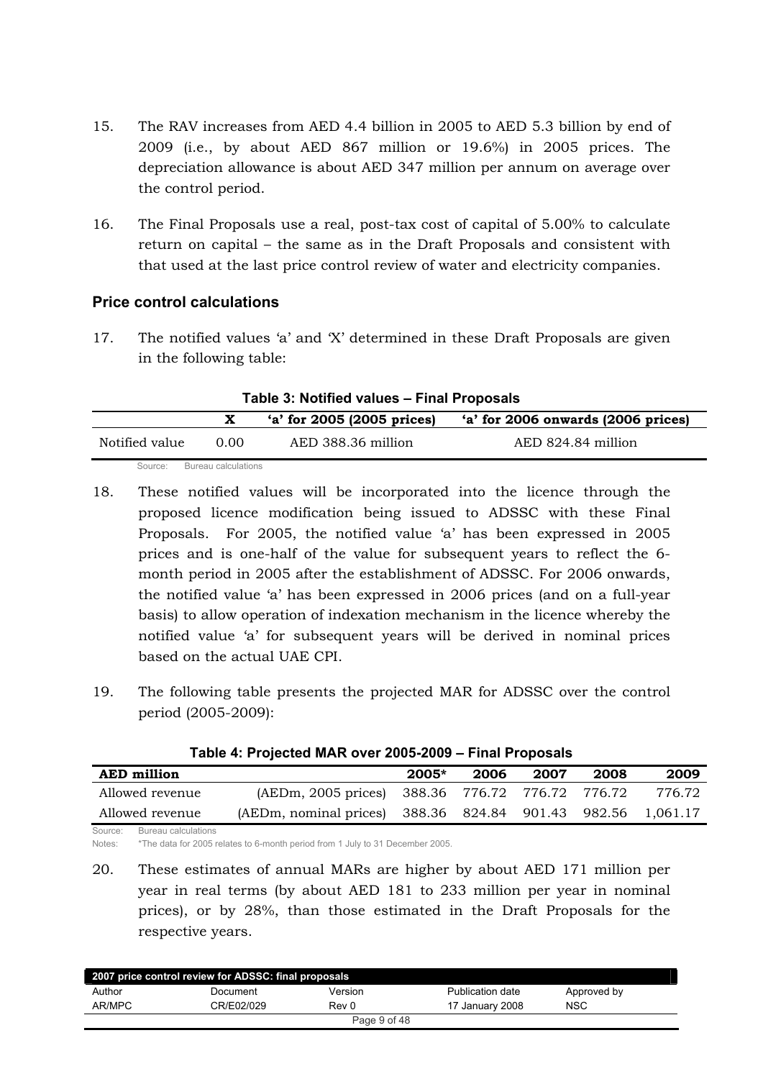- 15. The RAV increases from AED 4.4 billion in 2005 to AED 5.3 billion by end of 2009 (i.e., by about AED 867 million or 19.6%) in 2005 prices. The depreciation allowance is about AED 347 million per annum on average over the control period.
- 16. The Final Proposals use a real, post-tax cost of capital of 5.00% to calculate return on capital – the same as in the Draft Proposals and consistent with that used at the last price control review of water and electricity companies.

## **Price control calculations**

17. The notified values 'a' and 'X' determined in these Draft Proposals are given in the following table:

| Table 3: Notified values - Final Proposals |                     |                              |                                    |  |
|--------------------------------------------|---------------------|------------------------------|------------------------------------|--|
|                                            |                     | $'a'$ for 2005 (2005 prices) | 'a' for 2006 onwards (2006 prices) |  |
| Notified value                             | 0.00                | AED 388.36 million           | AED 824.84 million                 |  |
| Source:                                    | Bureau calculations |                              |                                    |  |

- 18. These notified values will be incorporated into the licence through the proposed licence modification being issued to ADSSC with these Final Proposals. For 2005, the notified value 'a' has been expressed in 2005 prices and is one-half of the value for subsequent years to reflect the 6month period in 2005 after the establishment of ADSSC. For 2006 onwards, the notified value 'a' has been expressed in 2006 prices (and on a full-year basis) to allow operation of indexation mechanism in the licence whereby the notified value 'a' for subsequent years will be derived in nominal prices hased on the actual UAE CPL
- 19. The following table presents the projected MAR for ADSSC over the control period (2005-2009):

| Table 4. Projected MAR Over 2005-2009 – Final Proposals |                                                             |         |      |      |      |        |  |  |
|---------------------------------------------------------|-------------------------------------------------------------|---------|------|------|------|--------|--|--|
| <b>AED</b> million                                      |                                                             | $2005*$ | 2006 | 2007 | 2008 | 2009   |  |  |
| Allowed revenue                                         | (AEDm, 2005 prices) 388.36 776.72 776.72 776.72             |         |      |      |      | 776.72 |  |  |
| Allowed revenue                                         | (AEDm, nominal prices) 388.36 824.84 901.43 982.56 1,061.17 |         |      |      |      |        |  |  |
| Source: Bureau calculations                             |                                                             |         |      |      |      |        |  |  |

**Table 4: Projected MAR over 2005-2009 – Final Proposals**

Notes: \*The data for 2005 relates to 6-month period from 1 July to 31 December 2005.

20. These estimates of annual MARs are higher by about AED 171 million per year in real terms (by about AED 181 to 233 million per year in nominal prices), or by 28%, than those estimated in the Draft Proposals for the respective years.

| 2007 price control review for ADSSC: final proposals |            |              |                  |             |  |
|------------------------------------------------------|------------|--------------|------------------|-------------|--|
| Author                                               | Document   | Version      | Publication date | Approved by |  |
| AR/MPC                                               | CR/E02/029 | Rev 0        | 17 January 2008  | <b>NSC</b>  |  |
|                                                      |            | Page 9 of 48 |                  |             |  |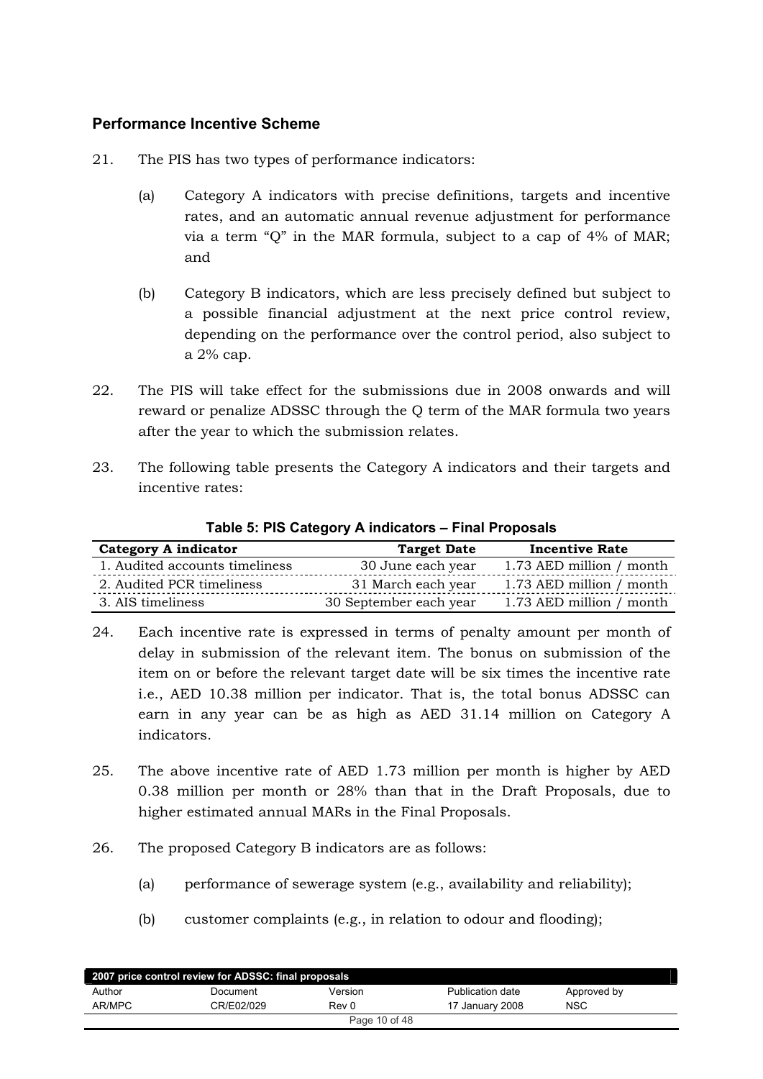## **Performance Incentive Scheme**

- 21. The PIS has two types of performance indicators:
	- (a) Category A indicators with precise definitions, targets and incentive rates, and an automatic annual revenue adjustment for performance via a term " $Q$ " in the MAR formula, subject to a cap of  $4\%$  of MAR; and
	- (b) Category B indicators, which are less precisely defined but subject to a possible financial adjustment at the next price control review, depending on the performance over the control period, also subject to a  $2\%$  cap.
- 22. The PIS will take effect for the submissions due in 2008 onwards and will reward or penalize ADSSC through the Q term of the MAR formula two years after the year to which the submission relates.
- 23. The following table presents the Category A indicators and their targets and incentive rates:

| <b>Category A indicator</b>    | <b>Target Date</b>     | <b>Incentive Rate</b>    |
|--------------------------------|------------------------|--------------------------|
| 1. Audited accounts timeliness | 30 June each year      | 1.73 AED million / month |
| 2. Audited PCR timeliness      | 31 March each year     | 1.73 AED million / month |
| 3. AIS timeliness              | 30 September each year | 1.73 AED million / month |

#### **Table 5: PIS Category A indicators – Final Proposals**

- 24. Each incentive rate is expressed in terms of penalty amount per month of delay in submission of the relevant item. The bonus on submission of the item on or before the relevant target date will be six times the incentive rate i.e., AED 10.38 million per indicator. That is, the total bonus ADSSC can earn in any year can be as high as AED 31.14 million on Category A indicators.
- 25. The above incentive rate of AED 1.73 million per month is higher by AED 0.38 million per month or 28% than that in the Draft Proposals, due to higher estimated annual MARs in the Final Proposals.
- 26. The proposed Category B indicators are as follows:
	- (a) performance of sewerage system (e.g., availability and reliability);
	- (b) customer complaints (e.g., in relation to odour and flooding);

| 2007 price control review for ADSSC: final proposals |            |         |                  |             |  |
|------------------------------------------------------|------------|---------|------------------|-------------|--|
| Author                                               | Document   | Version | Publication date | Approved by |  |
| AR/MPC                                               | CR/E02/029 | Rev 0   | 17 January 2008  | <b>NSC</b>  |  |
| Page 10 of 48                                        |            |         |                  |             |  |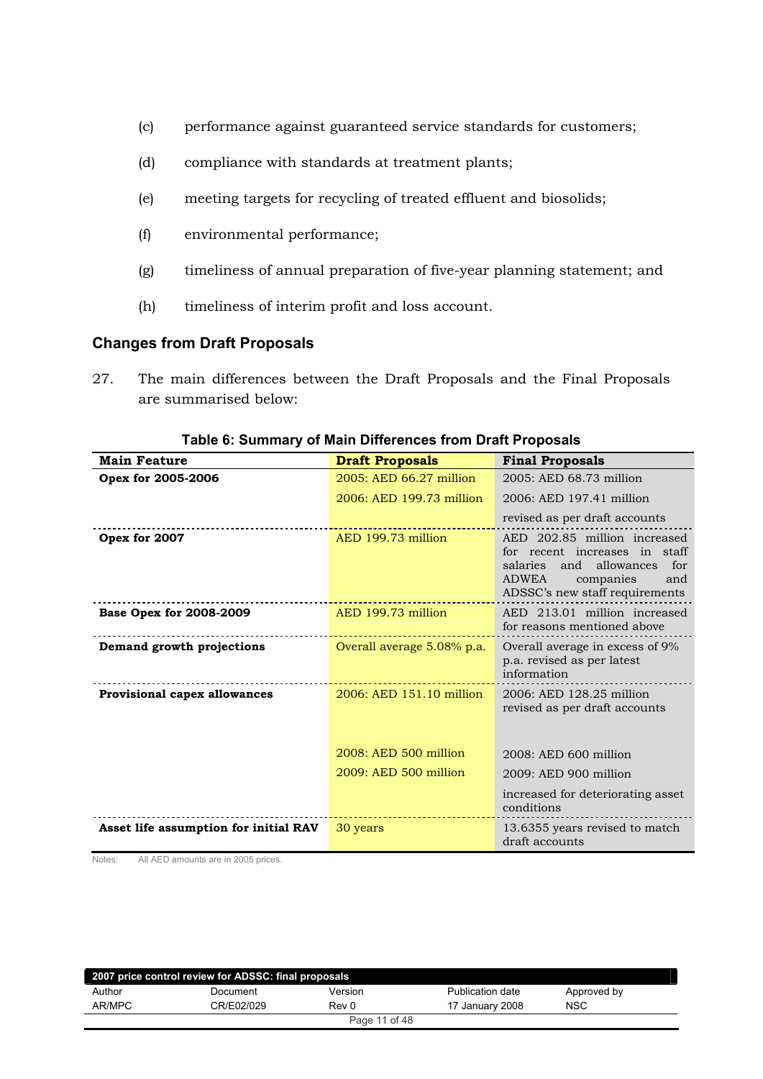- (c) performance against guaranteed service standards for customers;
- $(d)$  compliance with standards at treatment plants;
- (e) meeting targets for recycling of treated effluent and biosolids;
- (f) environmental performance;
- (g) timeliness of annual preparation of five-year planning statement; and
- (h) timeliness of interim profit and loss account.

#### **Changes from Draft Proposals**

27. The main differences between the Draft Proposals and the Final Proposals are summarised below:

| <b>Main Feature</b>                   | <b>Draft Proposals</b>     | <b>Final Proposals</b>                                                                                                                                                      |
|---------------------------------------|----------------------------|-----------------------------------------------------------------------------------------------------------------------------------------------------------------------------|
| Opex for 2005-2006                    | 2005: AED 66.27 million    | 2005: AED 68.73 million                                                                                                                                                     |
|                                       | 2006: AED 199.73 million   | 2006: AED 197.41 million                                                                                                                                                    |
|                                       |                            | revised as per draft accounts                                                                                                                                               |
| Opex for 2007                         | AED 199.73 million         | AED 202.85 million increased<br>for recent increases in staff<br>and<br>allowances<br>salaries<br>for<br><b>ADWEA</b><br>companies<br>and<br>ADSSC's new staff requirements |
| <b>Base Opex for 2008-2009</b>        | AED 199.73 million         | AED 213.01 million increased<br>for reasons mentioned above                                                                                                                 |
| Demand growth projections             | Overall average 5.08% p.a. | Overall average in excess of 9%<br>p.a. revised as per latest<br>information                                                                                                |
| <b>Provisional capex allowances</b>   | 2006: AED 151.10 million   | 2006: AED 128.25 million<br>revised as per draft accounts                                                                                                                   |
|                                       | 2008: AED 500 million      | 2008: AED 600 million                                                                                                                                                       |
|                                       | 2009: AED 500 million      | 2009: AED 900 million                                                                                                                                                       |
|                                       |                            | increased for deteriorating asset<br>conditions                                                                                                                             |
| Asset life assumption for initial RAV | 30 years                   | 13.6355 years revised to match<br>draft accounts                                                                                                                            |

#### **Table 6: Summary of Main Differences from Draft Proposals**

Notes: All AED amounts are in 2005 prices.

| 2007 price control review for ADSSC: final proposals |            |         |                  |             |  |
|------------------------------------------------------|------------|---------|------------------|-------------|--|
| Author                                               | Document   | Version | Publication date | Approved by |  |
| AR/MPC                                               | CR/E02/029 | Rev 0   | 17 January 2008  | <b>NSC</b>  |  |
| Page 11 of 48                                        |            |         |                  |             |  |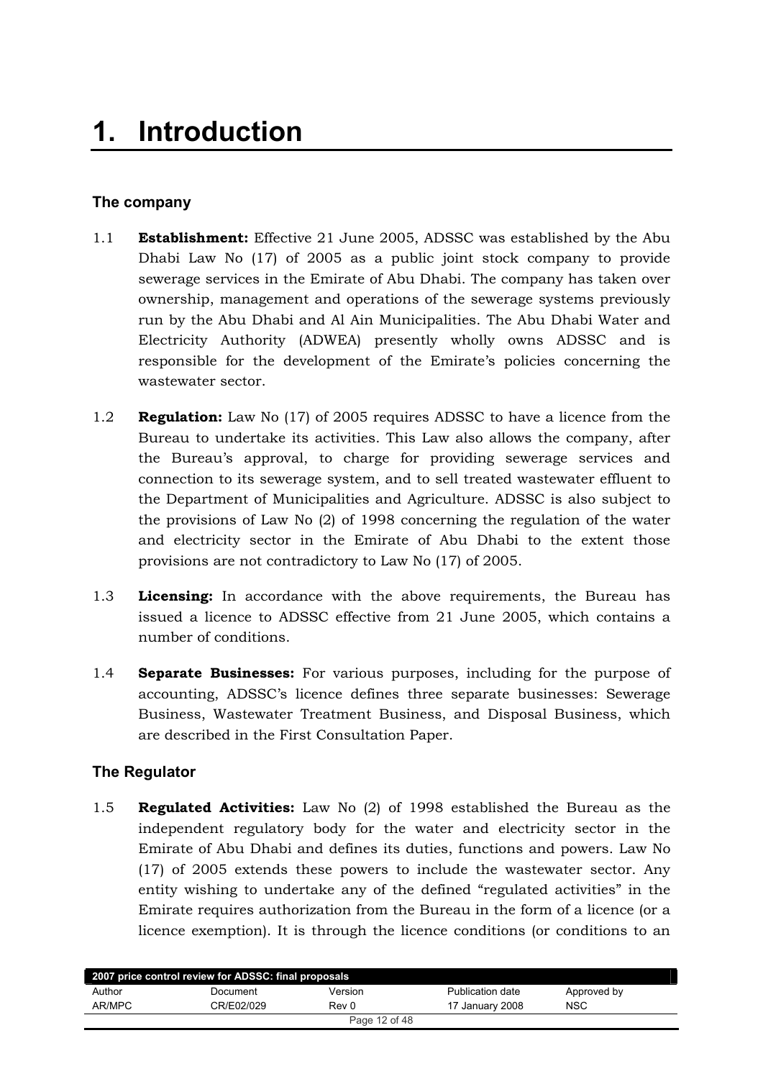## <span id="page-11-0"></span>**The company**

- 1.1 **Establishment:** Effective 21 June 2005, ADSSC was established by the Abu Dhabi Law No  $(17)$  of 2005 as a public joint stock company to provide sewerage services in the Emirate of Abu Dhabi. The company has taken over ownership, management and operations of the sewerage systems previously run by the Abu Dhabi and Al Ain Municipalities. The Abu Dhabi Water and Electricity Authority (ADWEA) presently wholly owns ADSSC and is responsible for the development of the Emirate's policies concerning the wastewater sector.
- 1.2 **Regulation:** Law No (17) of 2005 requires ADSSC to have a licence from the Bureau to undertake its activities. This Law also allows the company, after the Bureau's approval, to charge for providing sewerage services and connection to its sewerage system, and to sell treated wastewater effluent to the Department of Municipalities and Agriculture. ADSSC is also subject to the provisions of Law No  $(2)$  of 1998 concerning the regulation of the water and electricity sector in the Emirate of Abu Dhabi to the extent those provisions are not contradictory to Law No  $(17)$  of 2005.
- 1.3 **Licensing:** In accordance with the above requirements, the Bureau has issued a licence to ADSSC effective from 21 June 2005, which contains a number of conditions.
- 1.4 **Separate Businesses:** For various purposes, including for the purpose of accounting, ADSSC's licence defines three separate businesses: Sewerage Business, Wastewater Treatment Business, and Disposal Business, which are described in the First Consultation Paper.

## **The Regulator**

1.5 **Regulated Activities:** Law No (2) of 1998 established the Bureau as the independent regulatory body for the water and electricity sector in the Emirate of Abu Dhabi and defines its duties, functions and powers. Law No  $(17)$  of 2005 extends these powers to include the wastewater sector. Any entity wishing to undertake any of the defined "regulated activities" in the Emirate requires authorization from the Bureau in the form of a licence (or a licence exemption). It is through the licence conditions (or conditions to an

| 2007 price control review for ADSSC: final proposals |            |               |                  |             |
|------------------------------------------------------|------------|---------------|------------------|-------------|
| Author                                               | Document   | Version       | Publication date | Approved by |
| AR/MPC                                               | CR/E02/029 | Rev 0         | 17 January 2008  | NSC         |
|                                                      |            | Page 12 of 48 |                  |             |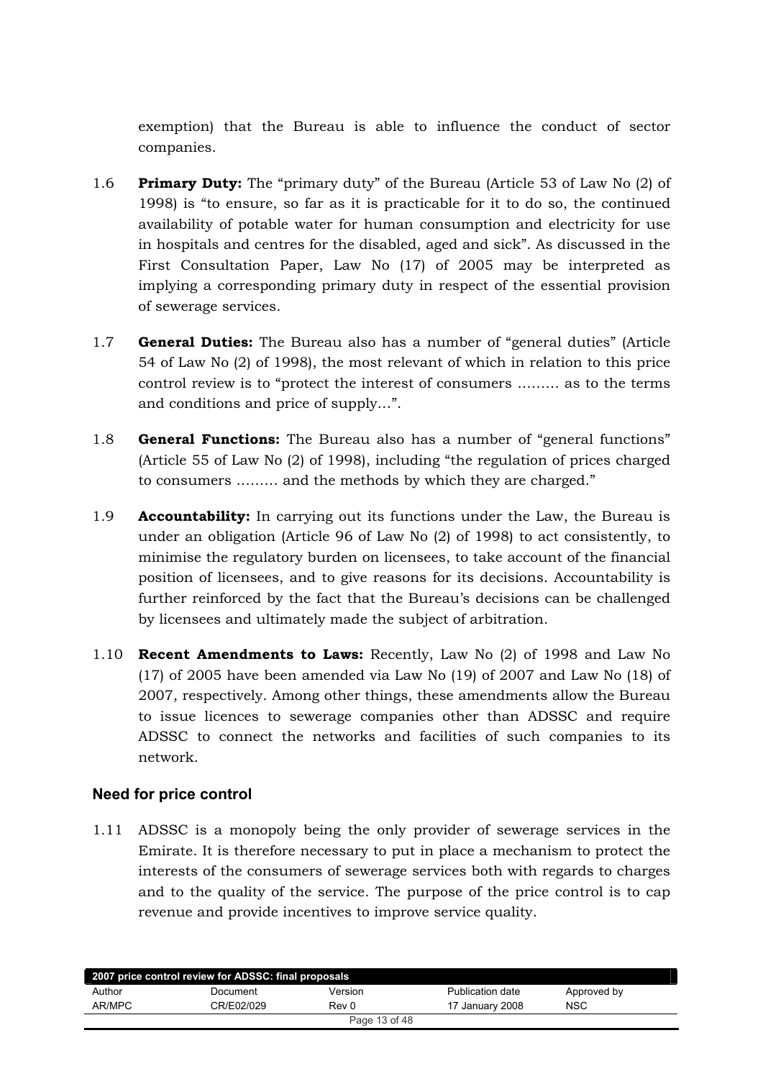<span id="page-12-0"></span>exemption) that the Bureau is able to influence the conduct of sector companies.

- 1.6 **Primary Duty:** The "primary duty" of the Bureau (Article 53 of Law No (2) of 1998) is "to ensure, so far as it is practicable for it to do so, the continued availability of potable water for human consumption and electricity for use in hospitals and centres for the disabled, aged and sick". As discussed in the First Consultation Paper, Law No  $(17)$  of 2005 may be interpreted as implying a corresponding primary duty in respect of the essential provision of sewerage services.
- 1.7 **General Duties:** The Bureau also has a number of "general duties" (Article 54 of Law No (2) of 1998), the most relevant of which in relation to this price control review is to "protect the interest of consumers ......... as to the terms and conditions and price of supply...".
- 1.8 **General Functions:** The Bureau also has a number of "general functions" (Article 55 of Law No (2) of 1998), including "the regulation of prices charged to consumers ......... and the methods by which they are charged."
- 1.9 **Accountability:** In carrying out its functions under the Law, the Bureau is under an obligation (Article 96 of Law No (2) of 1998) to act consistently, to minimise the regulatory burden on licensees, to take account of the financial position of licensees, and to give reasons for its decisions. Accountability is further reinforced by the fact that the Bureau's decisions can be challenged by licensees and ultimately made the subject of arbitration.
- 1.10 **Recent Amendments to Laws:** Recently, Law No (2) of 1998 and Law No  $(17)$  of 2005 have been amended via Law No  $(19)$  of 2007 and Law No  $(18)$  of 2007, respectively. Among other things, these amendments allow the Bureau to issue licences to sewerage companies other than ADSSC and require ADSSC to connect the networks and facilities of such companies to its network.

## **Need for price control**

1.11 ADSSC is a monopoly being the only provider of sewerage services in the Emirate. It is therefore necessary to put in place a mechanism to protect the interests of the consumers of sewerage services both with regards to charges and to the quality of the service. The purpose of the price control is to cap revenue and provide incentives to improve service quality.

| 2007 price control review for ADSSC: final proposals |            |         |                  |             |  |
|------------------------------------------------------|------------|---------|------------------|-------------|--|
| Author                                               | Document   | Version | Publication date | Approved by |  |
| AR/MPC                                               | CR/E02/029 | Rev 0   | 17 January 2008  | <b>NSC</b>  |  |
| Page 13 of 48                                        |            |         |                  |             |  |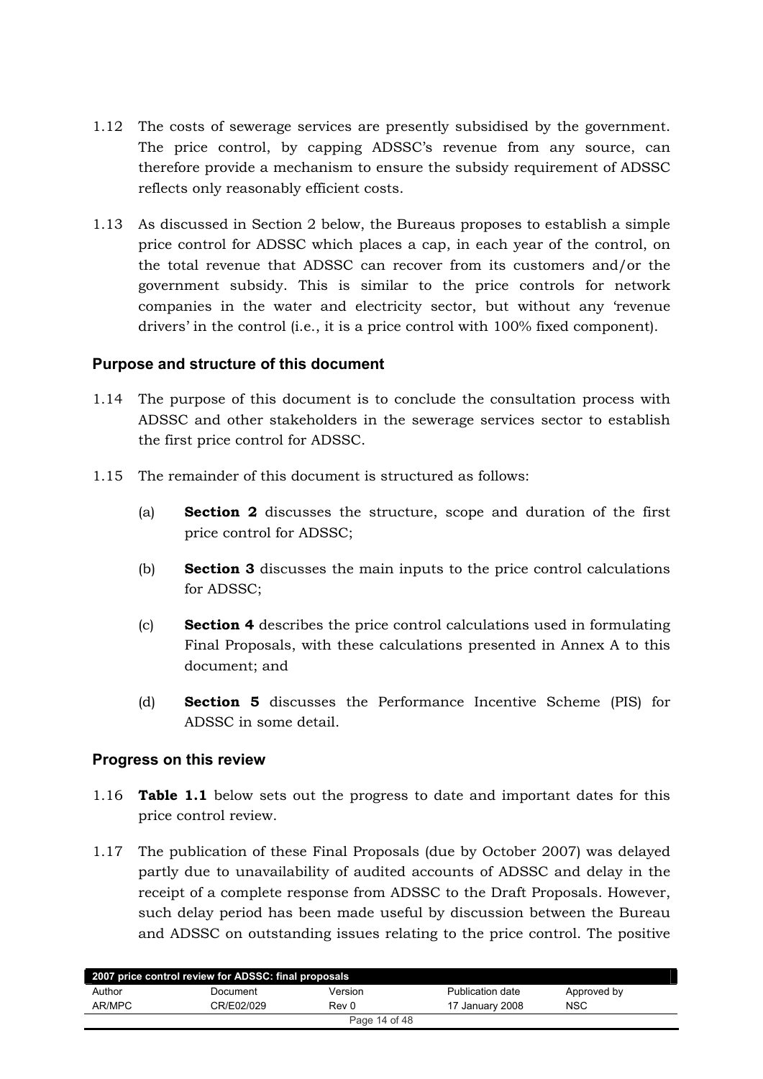- <span id="page-13-0"></span>1.12 The costs of sewerage services are presently subsidised by the government. The price control, by capping ADSSC's revenue from any source, can therefore provide a mechanism to ensure the subsidy requirement of ADSSC reflects only reasonably efficient costs.
- 1.13 As discussed in Section 2 below, the Bureaus proposes to establish a simple price control for ADSSC which places a cap, in each year of the control, on the total revenue that ADSSC can recover from its customers and/or the government subsidy. This is similar to the price controls for network companies in the water and electricity sector, but without any 'revenue drivers' in the control (i.e., it is a price control with 100% fixed component).

## **Purpose and structure of this document**

- 1.14 The purpose of this document is to conclude the consultation process with ADSSC and other stakeholders in the sewerage services sector to establish the first price control for ADSSC.
- 1.15 The remainder of this document is structured as follows:
	- (a) **Section 2** discusses the structure, scope and duration of the first price control for ADSSC:
	- (b) **Section 3** discusses the main inputs to the price control calculations for ADSSC;
	- (c) **Section 4** describes the price control calculations used in formulating Final Proposals, with these calculations presented in Annex A to this document; and
	- (d) **Section 5** discusses the Performance Incentive Scheme (PIS) for ADSSC in some detail.

## **Progress on this review**

- 1.16 **Table 1.1** below sets out the progress to date and important dates for this price control review.
- 1.17 The publication of these Final Proposals (due by October 2007) was delayed partly due to unavailability of audited accounts of ADSSC and delay in the receipt of a complete response from ADSSC to the Draft Proposals. However, such delay period has been made useful by discussion between the Bureau and ADSSC on outstanding issues relating to the price control. The positive

| 2007 price control review for ADSSC: final proposals |            |               |                  |             |  |
|------------------------------------------------------|------------|---------------|------------------|-------------|--|
| Author                                               | Document   | Version       | Publication date | Approved by |  |
| AR/MPC                                               | CR/E02/029 | Rev 0         | 17 January 2008  | <b>NSC</b>  |  |
|                                                      |            | Page 14 of 48 |                  |             |  |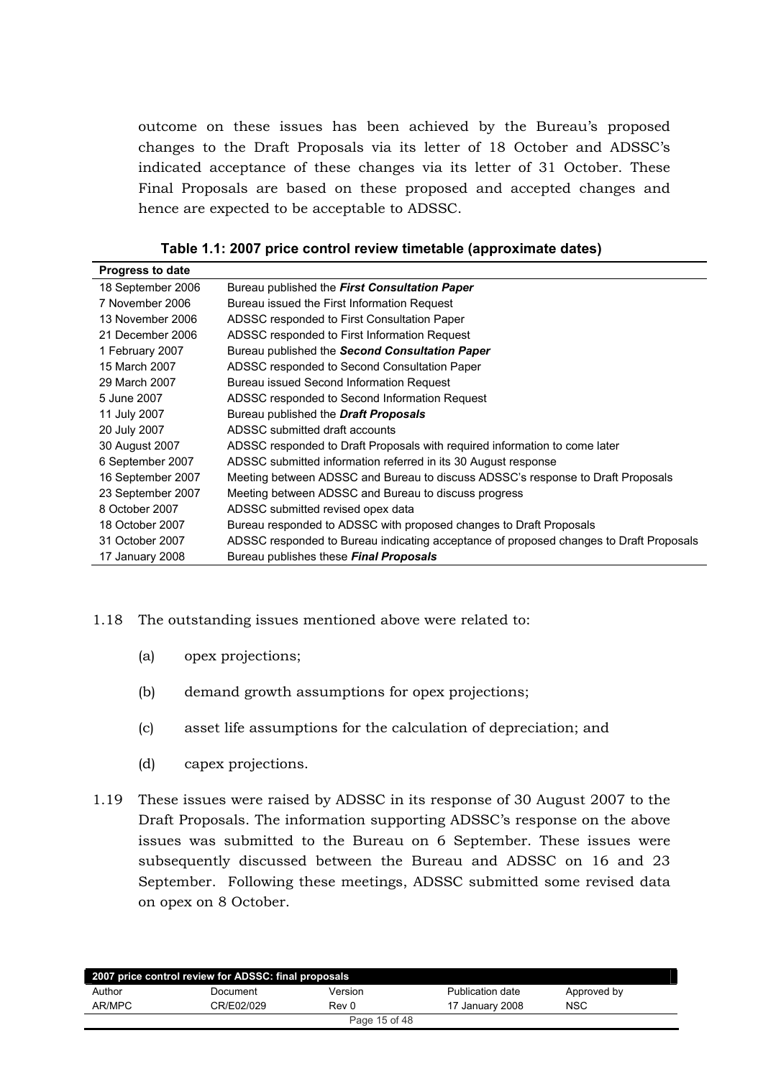outcome on these issues has been achieved by the Bureau's proposed changes to the Draft Proposals via its letter of 18 October and ADSSC's indicated acceptance of these changes via its letter of 31 October. These Final Proposals are based on these proposed and accepted changes and hence are expected to be acceptable to ADSSC.

| Table 1.1: 2007 price control review timetable (approximate dates) |  |
|--------------------------------------------------------------------|--|
|--------------------------------------------------------------------|--|

<span id="page-14-0"></span>

| <b>Progress to date</b> |                                                                                        |
|-------------------------|----------------------------------------------------------------------------------------|
| 18 September 2006       | Bureau published the First Consultation Paper                                          |
| 7 November 2006         | Bureau issued the First Information Request                                            |
| 13 November 2006        | ADSSC responded to First Consultation Paper                                            |
| 21 December 2006        | ADSSC responded to First Information Request                                           |
| 1 February 2007         | Bureau published the Second Consultation Paper                                         |
| 15 March 2007           | ADSSC responded to Second Consultation Paper                                           |
| 29 March 2007           | Bureau issued Second Information Request                                               |
| 5 June 2007             | ADSSC responded to Second Information Request                                          |
| 11 July 2007            | Bureau published the <b>Draft Proposals</b>                                            |
| 20 July 2007            | ADSSC submitted draft accounts                                                         |
| 30 August 2007          | ADSSC responded to Draft Proposals with required information to come later             |
| 6 September 2007        | ADSSC submitted information referred in its 30 August response                         |
| 16 September 2007       | Meeting between ADSSC and Bureau to discuss ADSSC's response to Draft Proposals        |
| 23 September 2007       | Meeting between ADSSC and Bureau to discuss progress                                   |
| 8 October 2007          | ADSSC submitted revised opex data                                                      |
| 18 October 2007         | Bureau responded to ADSSC with proposed changes to Draft Proposals                     |
| 31 October 2007         | ADSSC responded to Bureau indicating acceptance of proposed changes to Draft Proposals |
| 17 January 2008         | Bureau publishes these Final Proposals                                                 |

#### 1.18 The outstanding issues mentioned above were related to:

- (a) opex projections;
- (b) demand growth assumptions for opex projections;
- (c) asset life assumptions for the calculation of depreciation; and
- (d) capex projections.
- 1.19 These issues were raised by ADSSC in its response of 30 August 2007 to the Draft Proposals. The information supporting ADSSC's response on the above issues was submitted to the Bureau on 6 September. These issues were subsequently discussed between the Bureau and ADSSC on 16 and 23 September. Following these meetings, ADSSC submitted some revised data on opex on 8 October.

| 2007 price control review for ADSSC: final proposals |            |         |                  |             |  |  |
|------------------------------------------------------|------------|---------|------------------|-------------|--|--|
| Author                                               | Document   | Version | Publication date | Approved by |  |  |
| AR/MPC                                               | CR/E02/029 | Rev 0   | 17 January 2008  | <b>NSC</b>  |  |  |
| Page 15 of 48                                        |            |         |                  |             |  |  |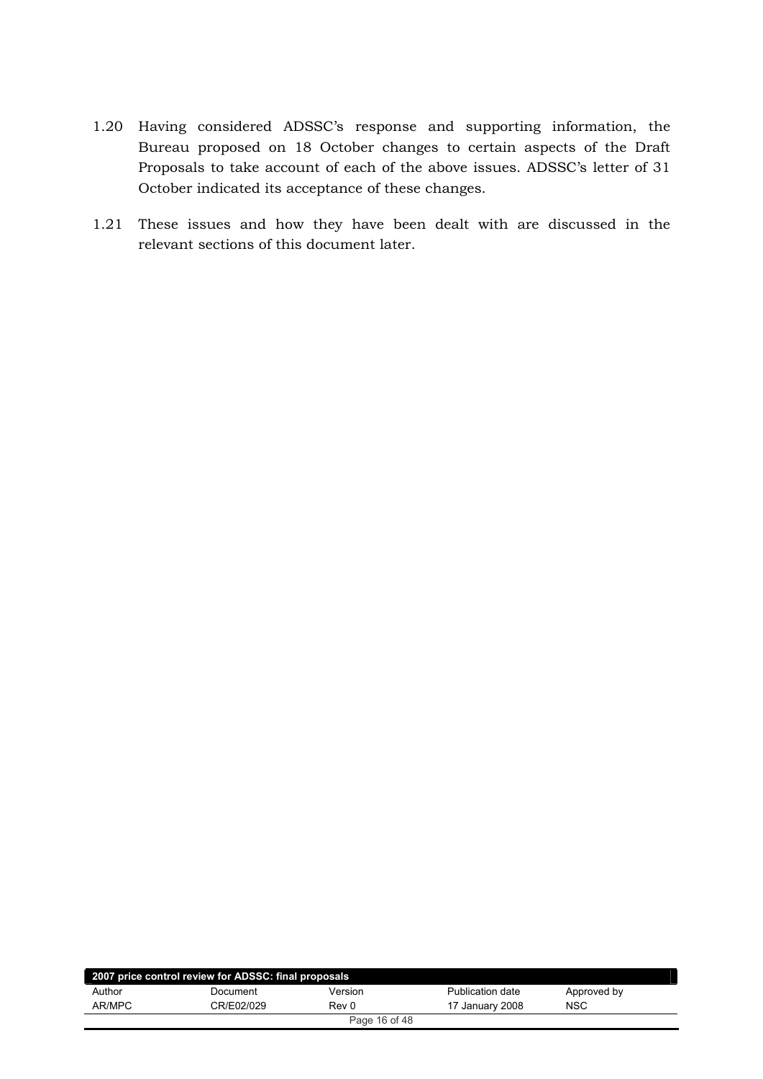- 1.20 Having considered ADSSC's response and supporting information, the Bureau proposed on 18 October changes to certain aspects of the Draft Proposals to take account of each of the above issues. ADSSC's letter of 31 October indicated its acceptance of these changes.
- 1.21 These issues and how they have been dealt with are discussed in the relevant sections of this document later.

| 2007 price control review for ADSSC: final proposals |            |         |                  |             |  |  |
|------------------------------------------------------|------------|---------|------------------|-------------|--|--|
| Author                                               | Document   | Version | Publication date | Approved by |  |  |
| AR/MPC                                               | CR/E02/029 | Rev 0   | 17 January 2008  | <b>NSC</b>  |  |  |
| Page 16 of 48                                        |            |         |                  |             |  |  |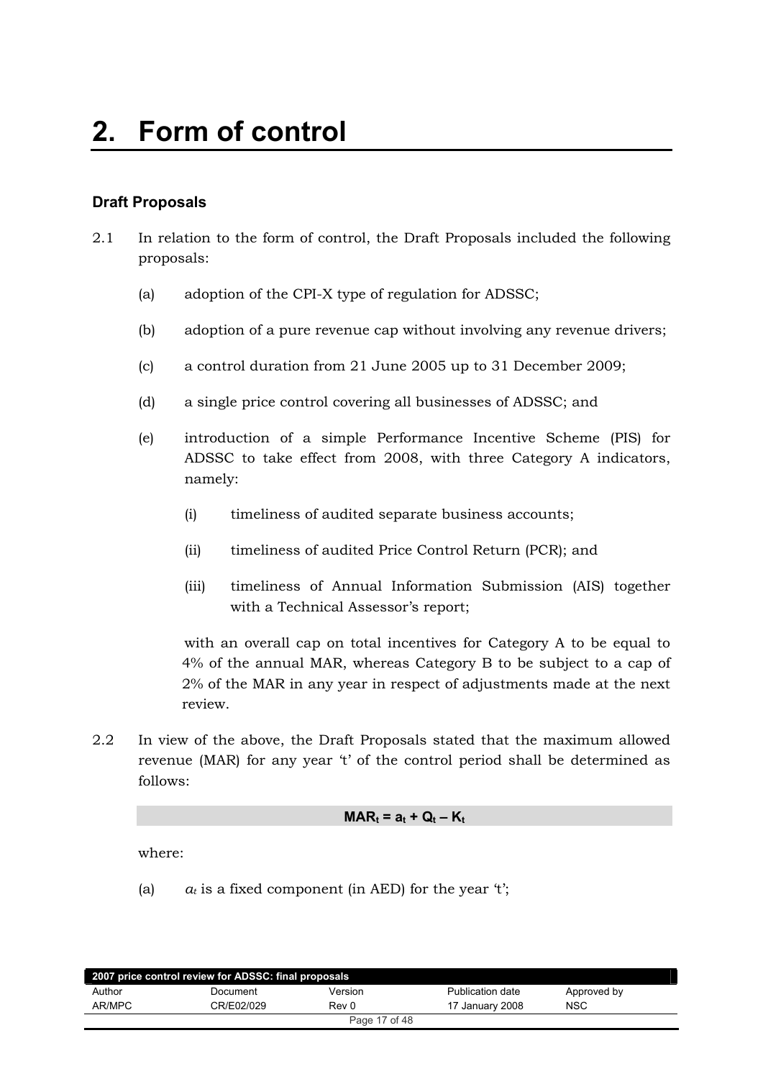## <span id="page-16-0"></span>**Draft Proposals**

- $2.1$ In relation to the form of control, the Draft Proposals included the following proposals:
	- adoption of the CPI-X type of regulation for ADSSC;  $(a)$
	- $(b)$ adoption of a pure revenue cap without involving any revenue drivers;
	- a control duration from 21 June 2005 up to 31 December 2009;  $(c)$
	- a single price control covering all businesses of ADSSC; and  $(d)$
	- $(e)$ introduction of a simple Performance Incentive Scheme (PIS) for ADSSC to take effect from 2008, with three Category A indicators, namely:
		- $(i)$ timeliness of audited separate business accounts:
		- $(ii)$ timeliness of audited Price Control Return (PCR); and
		- $(iii)$ timeliness of Annual Information Submission (AIS) together with a Technical Assessor's report;

with an overall cap on total incentives for Category A to be equal to 4% of the annual MAR, whereas Category B to be subject to a cap of 2% of the MAR in any year in respect of adjustments made at the next review.

2.2 In view of the above, the Draft Proposals stated that the maximum allowed revenue (MAR) for any year 't' of the control period shall be determined as  $follows:$ 

#### $MAR_t = a_t + Q_t - K_t$

where:

 $(a)$  $a_t$  is a fixed component (in AED) for the year 't';

| 2007 price control review for ADSSC: final proposals |            |         |                  |             |  |  |
|------------------------------------------------------|------------|---------|------------------|-------------|--|--|
| Author                                               | Document   | Version | Publication date | Approved by |  |  |
| AR/MPC                                               | CR/E02/029 | Rev 0   | 17 January 2008  | <b>NSC</b>  |  |  |
| Page 17 of 48                                        |            |         |                  |             |  |  |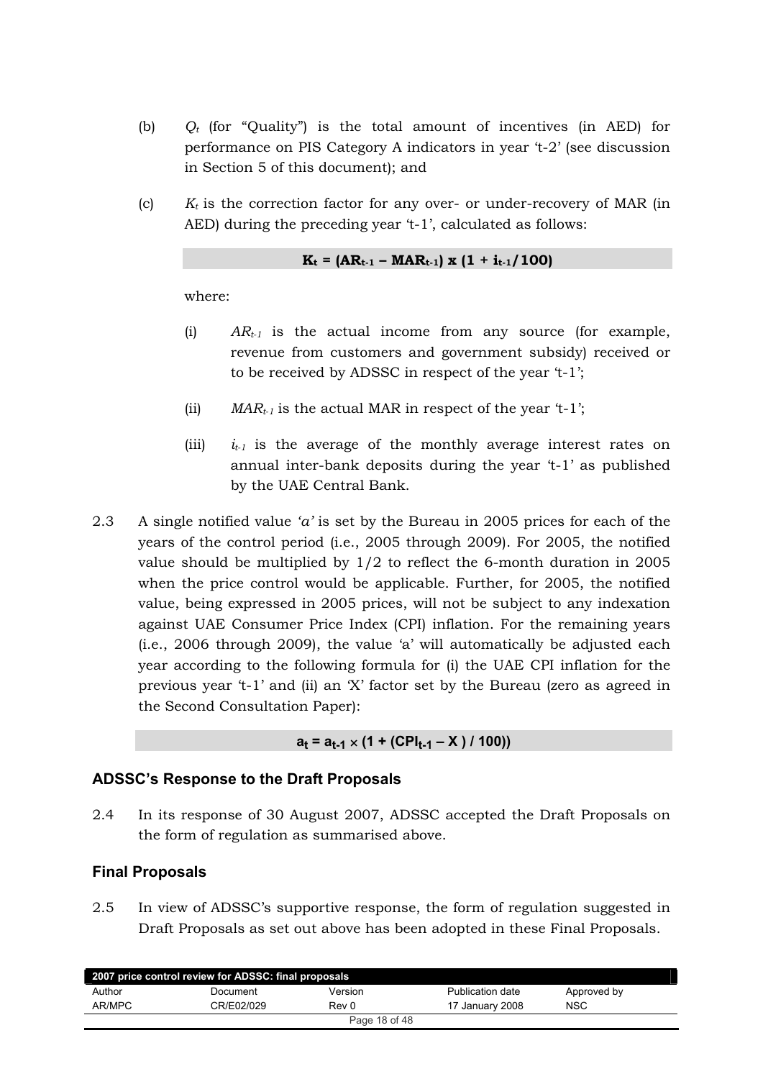- <span id="page-17-0"></span> $Q_t$  (for "Quality") is the total amount of incentives (in AED) for  $(b)$ performance on PIS Category A indicators in year 't-2' (see discussion in Section 5 of this document); and
- $K_t$  is the correction factor for any over- or under-recovery of MAR (in  $(c)$ AED) during the preceding year 't-1', calculated as follows:

$$
K_t = (AR_{t-1} - MAR_{t-1}) \times (1 + i_{t-1}/100)
$$

where:

- $(i)$  $AR_{t-1}$  is the actual income from any source (for example, revenue from customers and government subsidy received or to be received by ADSSC in respect of the year 't-1';
- $(ii)$  $MAR_{t-1}$  is the actual MAR in respect of the year 't-1';
- $i_{t-1}$  is the average of the monthly average interest rates on  $(iii)$ annual inter-bank deposits during the year 't-1' as published by the UAE Central Bank.
- 2.3 A single notified value 'a' is set by the Bureau in 2005 prices for each of the years of the control period (i.e., 2005 through 2009). For 2005, the notified value should be multiplied by  $1/2$  to reflect the 6-month duration in 2005 when the price control would be applicable. Further, for 2005, the notified value, being expressed in 2005 prices, will not be subject to any indexation against UAE Consumer Price Index (CPI) inflation. For the remaining years (i.e., 2006 through 2009), the value 'a' will automatically be adjusted each year according to the following formula for (i) the UAE CPI inflation for the previous year 't-1' and (ii) an 'X' factor set by the Bureau (zero as agreed in the Second Consultation Paper):

#### $a_t = a_{t-1} \times (1 + (CPI_{t-1} - X) / 100)$

## ADSSC's Response to the Draft Proposals

2.4 In its response of 30 August 2007, ADSSC accepted the Draft Proposals on the form of regulation as summarised above.

## **Final Proposals**

2.5 In view of ADSSC's supportive response, the form of regulation suggested in Draft Proposals as set out above has been adopted in these Final Proposals.

| 2007 price control review for ADSSC: final proposals |            |               |                  |             |  |
|------------------------------------------------------|------------|---------------|------------------|-------------|--|
| Author                                               | Document   | Version       | Publication date | Approved by |  |
| AR/MPC                                               | CR/E02/029 | Rev 0         | 17 January 2008  | <b>NSC</b>  |  |
|                                                      |            | Page 18 of 48 |                  |             |  |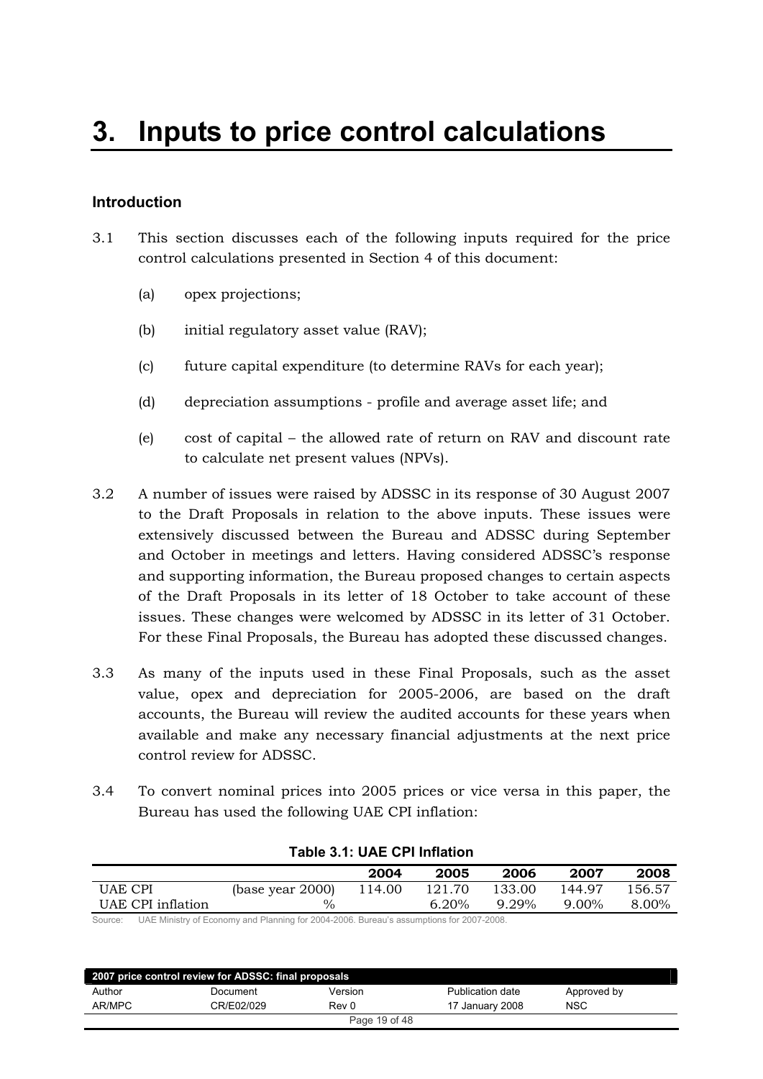## <span id="page-18-0"></span>**Introduction**

- 3.1 This section discusses each of the following inputs required for the price control calculations presented in Section 4 of this document:
	- $(a)$  opex projections;
	- (b) initial regulatory asset value  $(RAV)$ ;
	- (c) future capital expenditure (to determine RAVs for each year);
	- $(d)$  depreciation assumptions profile and average asset life; and
	- (e) cost of capital the allowed rate of return on RAV and discount rate to calculate net present values (NPVs).
- 3.2 A number of issues were raised by ADSSC in its response of 30 August 2007 to the Draft Proposals in relation to the above inputs. These issues were extensively discussed between the Bureau and ADSSC during September and October in meetings and letters. Having considered ADSSC's response and supporting information, the Bureau proposed changes to certain aspects of the Draft Proposals in its letter of 18 October to take account of these issues. These changes were welcomed by ADSSC in its letter of 31 October. For these Final Proposals, the Bureau has adopted these discussed changes.
- 3.3 As many of the inputs used in these Final Proposals, such as the asset value, opex and depreciation for 2005-2006, are based on the draft accounts, the Bureau will review the audited accounts for these years when available and make any necessary financial adjustments at the next price control review for ADSSC.
- 3.4 To convert nominal prices into 2005 prices or vice versa in this paper, the Bureau has used the following UAE CPI inflation:

|                   |                     |        | 2005     | 2006     | 2007   | 2008   |
|-------------------|---------------------|--------|----------|----------|--------|--------|
| UAE CPI           | (base year $2000$ ) | 114.00 | 121.70   | 133.00   | 144.97 | 156.57 |
| UAE CPI inflation | $\%$                |        | $6.20\%$ | $9.29\%$ | 9.00%  | 8.00%  |

**Table 3.1: UAE CPI Inflation**

Source: UAE Ministry of Economy and Planning for 2004-2006. Bureau's assumptions for 2007-2008.

| 2007 price control review for ADSSC: final proposals |            |         |                  |             |  |  |
|------------------------------------------------------|------------|---------|------------------|-------------|--|--|
| Author                                               | Document   | Version | Publication date | Approved by |  |  |
| AR/MPC                                               | CR/E02/029 | Rev 0   | 17 January 2008  | <b>NSC</b>  |  |  |
| Page 19 of 48                                        |            |         |                  |             |  |  |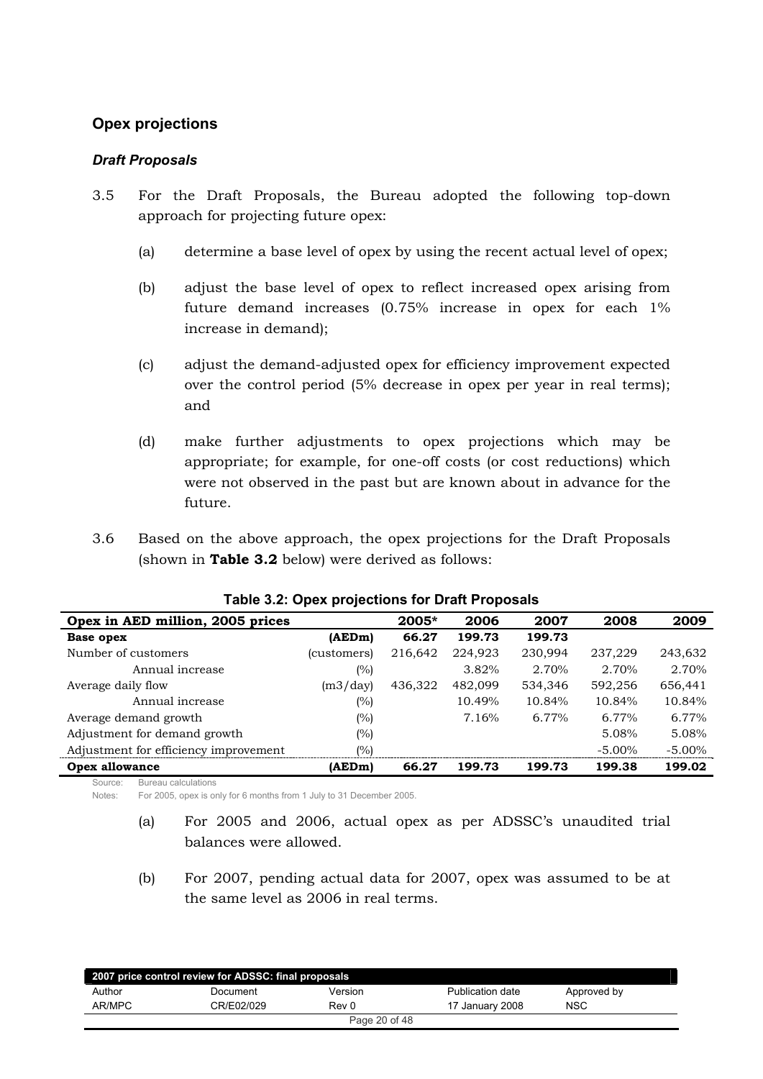## <span id="page-19-0"></span>**Opex projections**

## *Draft Proposals*

- 3.5 For the Draft Proposals, the Bureau adopted the following top-down approach for projecting future opex:
	- (a) determine a base level of opex by using the recent actual level of opex;
	- $(b)$  adjust the base level of opex to reflect increased opex arising from future demand increases  $(0.75\%$  increase in opex for each  $1\%$ increase in demand);
	- (c) adjust the demand-adjusted opex for efficiency improvement expected over the control period (5% decrease in opex per year in real terms); and
	- (d) make further adjustments to opex projections which may be appropriate; for example, for one-off costs (or cost reductions) which were not observed in the past but are known about in advance for the future.
- 3.6 Based on the above approach, the opex projections for the Draft Proposals (shown in Table 3.2 below) were derived as follows:

| Opex in AED million, 2005 prices      |             | 2005*   | 2006    | 2007    | 2008      | 2009      |
|---------------------------------------|-------------|---------|---------|---------|-----------|-----------|
| Base opex                             | (AEDm)      | 66.27   | 199.73  | 199.73  |           |           |
| Number of customers                   | (customers) | 216,642 | 224,923 | 230,994 | 237,229   | 243,632   |
| Annual increase                       | (%)         |         | 3.82%   | 2.70%   | 2.70%     | 2.70%     |
| Average daily flow                    | (m3/day)    | 436,322 | 482,099 | 534,346 | 592,256   | 656,441   |
| Annual increase                       | $(\%)$      |         | 10.49%  | 10.84%  | 10.84%    | 10.84%    |
| Average demand growth                 | (%)         |         | 7.16%   | 6.77%   | 6.77%     | 6.77%     |
| Adjustment for demand growth          | (%)         |         |         |         | 5.08%     | 5.08%     |
| Adjustment for efficiency improvement | (%)         |         |         |         | $-5.00\%$ | $-5.00\%$ |
| Opex allowance                        | (AEDm)      | 66.27   | 199.73  | 199.73  | 199.38    | 199.02    |

#### **Table 3.2: Opex projections for Draft Proposals**

Source: Bureau calculations

Notes: For 2005, opex is only for 6 months from 1 July to 31 December 2005.

- (a) For  $2005$  and  $2006$ , actual opex as per ADSSC's unaudited trial balances were allowed.
- (b) For 2007, pending actual data for 2007, opex was assumed to be at the same level as  $2006$  in real terms.

| 2007 price control review for ADSSC: final proposals |            |               |                  |             |  |  |
|------------------------------------------------------|------------|---------------|------------------|-------------|--|--|
| Author                                               | Document   | Version       | Publication date | Approved by |  |  |
| AR/MPC                                               | CR/E02/029 | Rev 0         | 17 January 2008  | <b>NSC</b>  |  |  |
|                                                      |            | Page 20 of 48 |                  |             |  |  |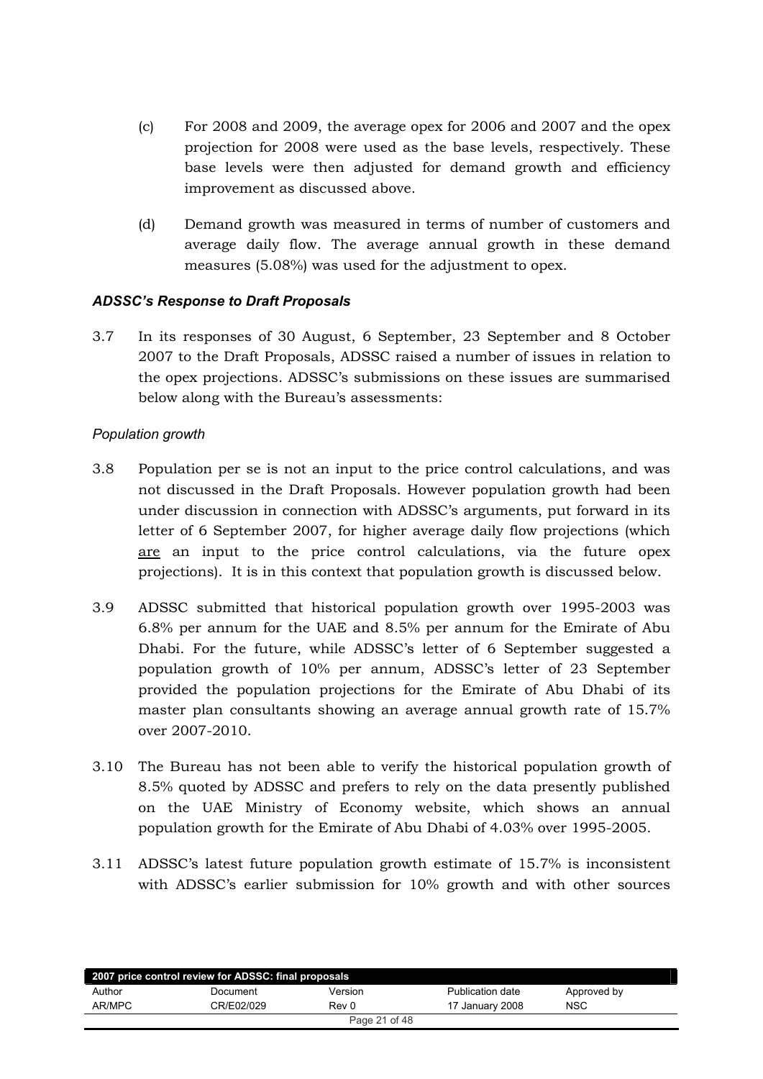- <span id="page-20-0"></span>(c) For 2008 and 2009, the average opex for 2006 and 2007 and the opex projection for 2008 were used as the base levels, respectively. These base levels were then adjusted for demand growth and efficiency improvement as discussed above.
- (d) Demand growth was measured in terms of number of customers and average daily flow. The average annual growth in these demand measures  $(5.08\%)$  was used for the adjustment to opex.

#### *ADSSC's Response to Draft Proposals*

3.7 In its responses of 30 August, 6 September, 23 September and 8 October 2007 to the Draft Proposals, ADSSC raised a number of issues in relation to the opex projections. ADSSC's submissions on these issues are summarised below along with the Bureau's assessments:

#### *Population growth*

- 3.8 Population per se is not an input to the price control calculations, and was not discussed in the Draft Proposals. However population growth had been under discussion in connection with ADSSC's arguments, put forward in its letter of 6 September 2007, for higher average daily flow projections (which are an input to the price control calculations, via the future opex projections). It is in this context that population growth is discussed below.
- 3.9 ADSSC submitted that historical population growth over 1995-2003 was  $6.8\%$  per annum for the UAE and  $8.5\%$  per annum for the Emirate of Abu Dhabi. For the future, while ADSSC's letter of 6 September suggested a population growth of 10% per annum, ADSSC's letter of 23 September provided the population projections for the Emirate of Abu Dhabi of its master plan consultants showing an average annual growth rate of 15.7% over 2007-2010.
- 3.10 The Bureau has not been able to verify the historical population growth of 8.5% quoted by ADSSC and prefers to rely on the data presently published on the UAE Ministry of Economy website, which shows an annual population growth for the Emirate of Abu Dhabi of 4.03% over 1995-2005.
- 3.11 ADSSC's latest future population growth estimate of 15.7% is inconsistent with ADSSC's earlier submission for 10% growth and with other sources

| 2007 price control review for ADSSC: final proposals |            |         |                  |             |  |  |
|------------------------------------------------------|------------|---------|------------------|-------------|--|--|
| Author                                               | Document   | Version | Publication date | Approved by |  |  |
| AR/MPC                                               | CR/E02/029 | Rev 0   | 17 January 2008  | <b>NSC</b>  |  |  |
| Page 21 of 48                                        |            |         |                  |             |  |  |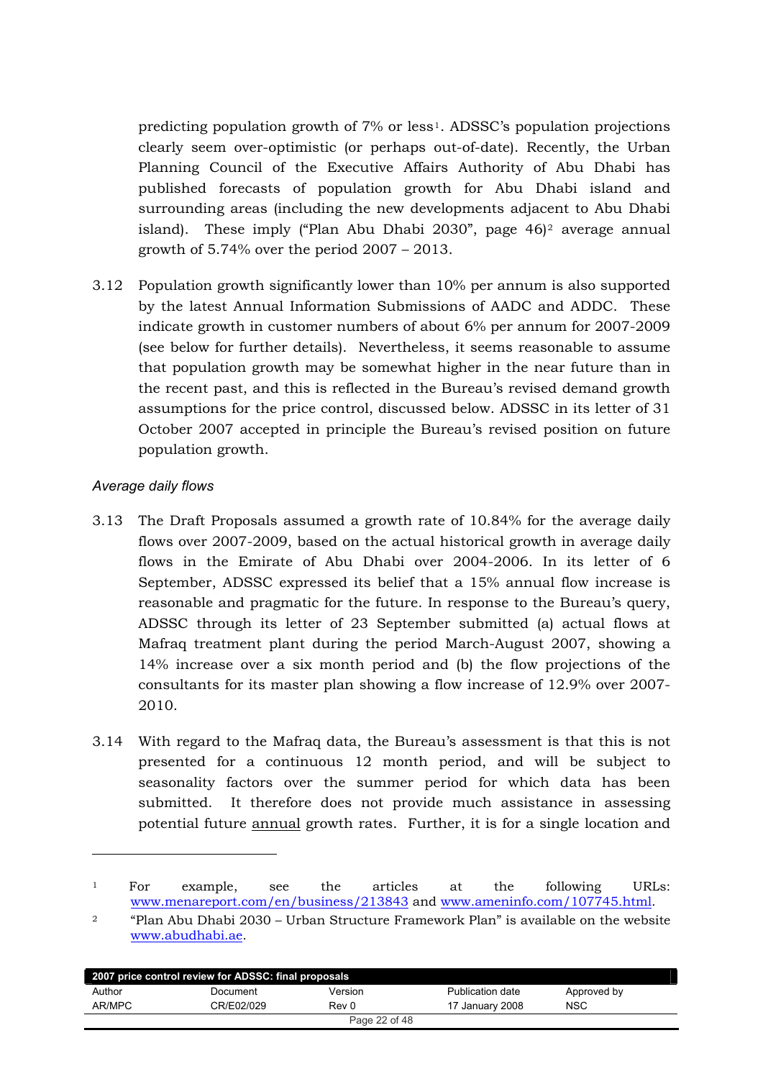predicting population growth of  $7\%$  or less<sup>1</sup>. ADSSC's population projections clearly seem over-optimistic (or perhaps out-of-date). Recently, the Urban Planning Council of the Executive Affairs Authority of Abu Dhabi has published forecasts of population growth for Abu Dhabi island and surrounding areas (including the new developments adjacent to Abu Dhabi island). These imply ("Plan Abu Dhabi 2030", page  $46$ )<sup>2</sup> average annual growth of  $5.74\%$  over the period  $2007 - 2013$ .

3.12 Population growth significantly lower than 10% per annum is also supported by the latest Annual Information Submissions of AADC and ADDC. These indicate growth in customer numbers of about 6% per annum for 2007-2009 (see below for further details). Nevertheless, it seems reasonable to assume that population growth may be somewhat higher in the near future than in the recent past, and this is reflected in the Bureau's revised demand growth assumptions for the price control, discussed below. ADSSC in its letter of 31 October 2007 accepted in principle the Bureau's revised position on future population growth.

## *Average daily flows*

!!!!!!!!!!!!!!!!!!!!!!!!!!!!!!!!!!!!!!!!

- 3.13 The Draft Proposals assumed a growth rate of 10.84% for the average daily flows over 2007-2009, based on the actual historical growth in average daily flows in the Emirate of Abu Dhabi over 2004-2006. In its letter of 6 September, ADSSC expressed its belief that a 15% annual flow increase is reasonable and pragmatic for the future. In response to the Bureau's query, ADSSC through its letter of 23 September submitted (a) actual flows at Mafraq treatment plant during the period March-August 2007, showing a  $14\%$  increase over a six month period and (b) the flow projections of the consultants for its master plan showing a flow increase of  $12.9\%$  over  $2007$ - $2010.$
- 3.14 With regard to the Mafraq data, the Bureau's assessment is that this is not presented for a continuous 12 month period, and will be subject to seasonality factors over the summer period for which data has been submitted. It therefore does not provide much assistance in assessing potential future annual growth rates. Further, it is for a single location and

<sup>&</sup>lt;sup>2</sup> "Plan Abu Dhabi 2030 – Urban Structure Framework Plan" is available on the website www.abudhabi.ae.

| 2007 price control review for ADSSC: final proposals |            |               |                  |             |  |  |
|------------------------------------------------------|------------|---------------|------------------|-------------|--|--|
| Author                                               | Document   | Version       | Publication date | Approved by |  |  |
| AR/MPC                                               | CR/E02/029 | Rev 0         | 17 January 2008  | <b>NSC</b>  |  |  |
|                                                      |            | Page 22 of 48 |                  |             |  |  |

<sup>&</sup>lt;sup>1</sup> For example, see the articles at the following URLs:  $www. menareport.com/en/business/213843 and www.ameninfo.com/107745.html.$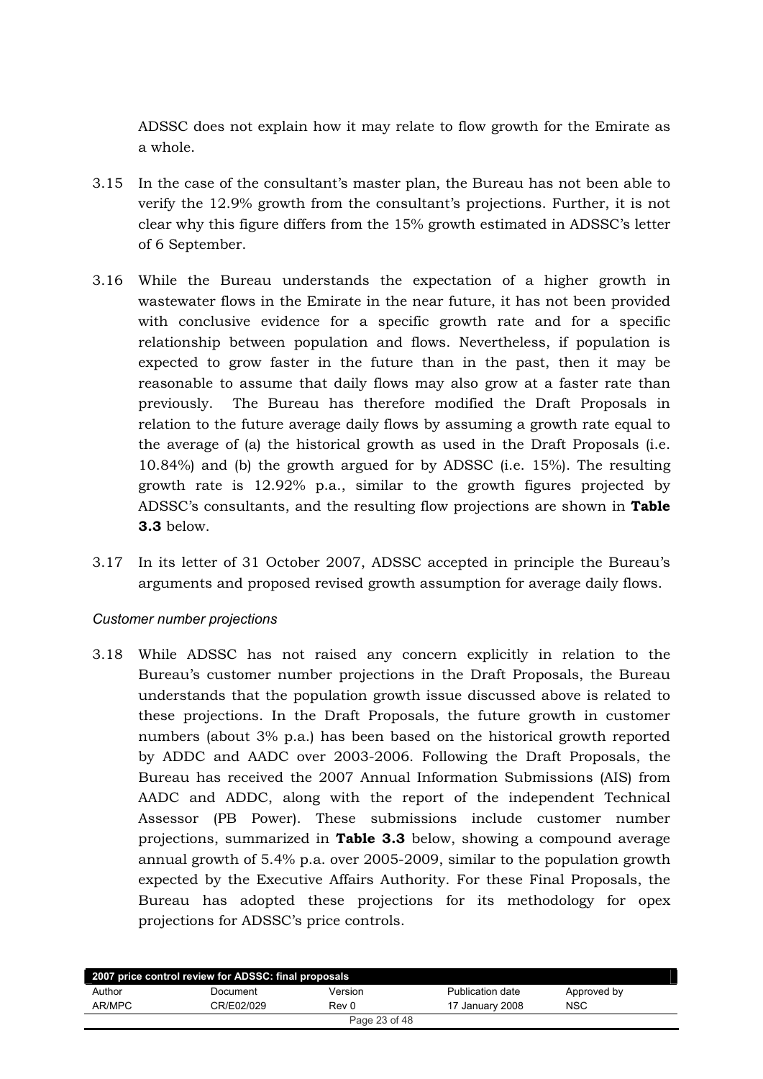ADSSC does not explain how it may relate to flow growth for the Emirate as a whole.

- 3.15 In the case of the consultant's master plan, the Bureau has not been able to werify the 12.9% growth from the consultant's projections. Further, it is not clear why this figure differs from the 15% growth estimated in ADSSC's letter of 6 September.
- 3.16 While the Bureau understands the expectation of a higher growth in wastewater flows in the Emirate in the near future, it has not been provided with conclusive evidence for a specific growth rate and for a specific relationship between population and flows. Nevertheless, if population is expected to grow faster in the future than in the past, then it may be reasonable to assume that daily flows may also grow at a faster rate than previously. The Bureau has therefore modified the Draft Proposals in relation to the future average daily flows by assuming a growth rate equal to the average of (a) the historical growth as used in the Draft Proposals (i.e. 10.84%) and (b) the growth argued for by ADSSC (i.e.  $15\%$ ). The resulting growth rate is  $12.92\%$  p.a., similar to the growth figures projected by ADSSC's consultants, and the resulting flow projections are shown in Table **3.3** below.
- 3.17 In its letter of 31 October 2007, ADSSC accepted in principle the Bureau's arguments and proposed revised growth assumption for average daily flows.

#### *Customer number projections*

3.18 While ADSSC has not raised any concern explicitly in relation to the Bureau's customer number projections in the Draft Proposals, the Bureau understands that the population growth issue discussed above is related to these projections. In the Draft Proposals, the future growth in customer numbers (about  $3\%$  p.a.) has been based on the historical growth reported by ADDC and AADC over 2003-2006. Following the Draft Proposals, the Bureau has received the 2007 Annual Information Submissions (AIS) from AADC and ADDC, along with the report of the independent Technical Assessor (PB Power). These submissions include customer number projections, summarized in Table 3.3 below, showing a compound average annual growth of  $5.4\%$  p.a. over 2005-2009, similar to the population growth expected by the Executive Affairs Authority. For these Final Proposals, the Bureau has adopted these projections for its methodology for opex projections for ADSSC's price controls.

| 2007 price control review for ADSSC: final proposals |            |               |                  |             |  |  |
|------------------------------------------------------|------------|---------------|------------------|-------------|--|--|
| Author                                               | Document   | Version       | Publication date | Approved by |  |  |
| AR/MPC                                               | CR/E02/029 | Rev 0         | 17 January 2008  | <b>NSC</b>  |  |  |
|                                                      |            | Page 23 of 48 |                  |             |  |  |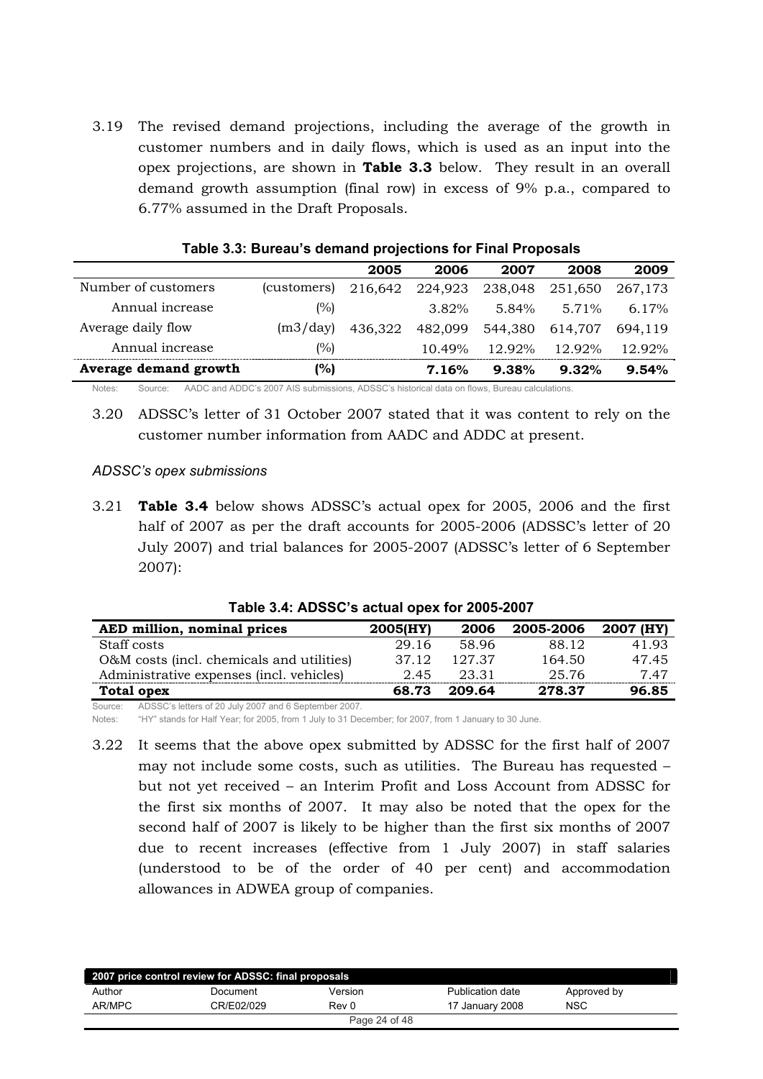3.19 The revised demand projections, including the average of the growth in customer numbers and in daily flows, which is used as an input into the 6) opex projections, are shown in **Table 3.3** below. They result in an overall demand growth assumption (final row) in excess of 9% p.a., compared to 6.77% assumed in the Draft Proposals.

|                       |             | 2005    | 2006      | 2007    | 2008    | 2009     |
|-----------------------|-------------|---------|-----------|---------|---------|----------|
| Number of customers   | (customers) | 216.642 | 224,923   | 238,048 | 251,650 | 267,173  |
| Annual increase       | (%)         |         | 3.82%     | 5.84%   | 5.71%   | $6.17\%$ |
| Average daily flow    | (m3/day)    | 436.322 | 482.099   | 544.380 | 614.707 | 694.119  |
| Annual increase       | (%)         |         | $10.49\%$ | 12.92%  | 12.92%  | 12.92%   |
| Average demand growth | %)          |         | 7.16%     | 9.38%   | 9.32%   | 9.54%    |

| Table 3.3: Bureau's demand projections for Final Proposals |  |  |  |  |
|------------------------------------------------------------|--|--|--|--|
|                                                            |  |  |  |  |

Notes: Source: AADC and ADDC's 2007 AIS submissions, ADSSC's historical data on flows, Bureau calculations.

3.20 ADSSC's letter of 31 October 2007 stated that it was content to rely on the customer number information from AADC and ADDC at present.

#### *ADSSC's opex submissions*

3.21 **Table 3.4** below shows ADSSC's actual opex for 2005, 2006 and the first half of 2007 as per the draft accounts for 2005-2006 (ADSSC's letter of 20 July 2007) and trial balances for 2005-2007 (ADSSC's letter of 6 September 2007):

| AED million, nominal prices               | 2005(HY) | 2006   | 2005-2006 | 2007 (HY) |
|-------------------------------------------|----------|--------|-----------|-----------|
| Staff costs                               | 29.16    | 58.96  | 88.12     | 41.93     |
| O&M costs (incl. chemicals and utilities) | 37.12    | 127.37 | 164.50    | 47.45     |
| Administrative expenses (incl. vehicles)  | 2.45     | 23.31  | 25.76     | 7.47      |
| Total opex                                | 68.73    | 209.64 | 278.37    | 96.85     |

**Table 3.4: ADSSC's actual opex for 2005-2007**

Source: ADSSC's letters of 20 July 2007 and 6 September 2007.

Notes: "HY" stands for Half Year; for 2005, from 1 July to 31 December; for 2007, from 1 January to 30 June.

3.22 It seems that the above opex submitted by ADSSC for the first half of 2007 may not include some costs, such as utilities. The Bureau has requested  $$ but not yet received - an Interim Profit and Loss Account from ADSSC for the first six months of 2007. It may also be noted that the opex for the second half of 2007 is likely to be higher than the first six months of 2007 due to recent increases (effective from 1 July 2007) in staff salaries (understood to be of the order of 40 per cent) and accommodation allowances in ADWEA group of companies.

|        | 2007 price control review for ADSSC: final proposals |               |                  |             |
|--------|------------------------------------------------------|---------------|------------------|-------------|
| Author | Document                                             | Version       | Publication date | Approved by |
| AR/MPC | CR/E02/029                                           | Rev 0         | 17 January 2008  | <b>NSC</b>  |
|        |                                                      | Page 24 of 48 |                  |             |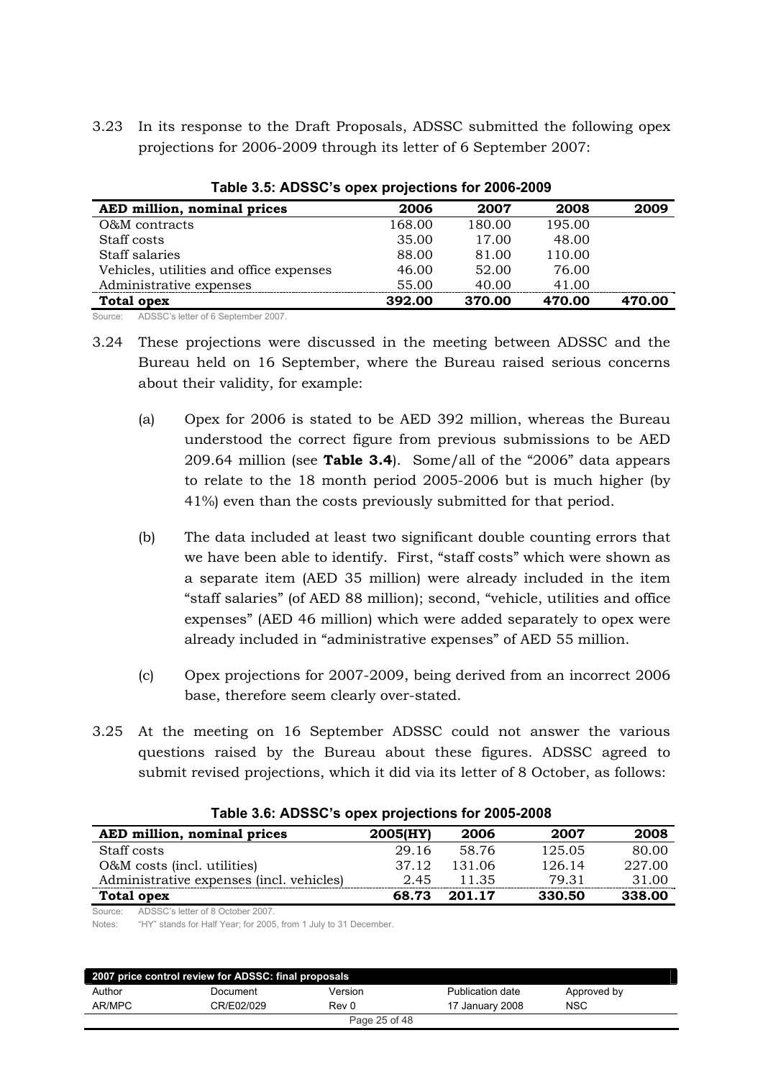3.23 In its response to the Draft Proposals, ADSSC submitted the following opex projections for 2006-2009 through its letter of 6 September 2007:

| AED million, nominal prices             | 2006   | 2007   | 2008   | 2009   |
|-----------------------------------------|--------|--------|--------|--------|
| O&M contracts                           | 168.00 | 180.00 | 195.00 |        |
| Staff costs                             | 35.00  | 17.00  | 48.00  |        |
| Staff salaries                          | 88.00  | 81.00  | 110.00 |        |
| Vehicles, utilities and office expenses | 46.00  | 52.00  | 76.00  |        |
| Administrative expenses                 | 55.00  | 40.00  | 41.00  |        |
| <b>Total opex</b>                       | 392.00 | 370.00 | 470.00 | 470.00 |

**Table 3.5: ADSSC's opex projections for 2006-2009**

Source: ADSSC's letter of 6 September 2007.

- 3.24 These projections were discussed in the meeting between ADSSC and the Bureau held on 16 September, where the Bureau raised serious concerns about their validity, for example:
	- (a) Opex for 2006 is stated to be AED 392 million, whereas the Bureau understood the correct figure from previous submissions to be AED  $209.64$  million (see **Table 3.4**). Some/all of the "2006" data appears to relate to the  $18$  month period  $2005-2006$  but is much higher (by 41%) even than the costs previously submitted for that period.
	- (b) The data included at least two significant double counting errors that we have been able to identify. First, "staff costs" which were shown as a separate item (AED 35 million) were already included in the item "staff salaries" (of AED 88 million); second, "vehicle, utilities and office expenses" (AED 46 million) which were added separately to opex were already included in "administrative expenses" of AED 55 million.
	- $\chi$  C<sub>1</sub> C<sub>1</sub> C<sub>2</sub> c<sub>2</sub> opex projections for 2007-2009, being derived from an incorrect 2006 base, therefore seem clearly over-stated.
- 3.25 At the meeting on 16 September ADSSC could not answer the various questions raised by the Bureau about these figures. ADSSC agreed to submit revised projections, which it did via its letter of 8 October, as follows:

| AED million, nominal prices               | 2005(HY) | 2006   | 2007   | 2008   |
|-------------------------------------------|----------|--------|--------|--------|
| Staff costs                               | 29.16    | 58.76  | 125.05 | 80.00  |
| O&M costs (incl. utilities)               | 37.12    | 131.06 | 126.14 | 227.00 |
| Administrative expenses (incl. vehicles)  | 2.45     | 11.35  | 79.31  | 31.00  |
| Total opex                                | 68.73    | 201.17 | 330.50 | 338.00 |
| Source: ADSSC's letter of 8 October 2007. |          |        |        |        |

#### **Table 3.6: ADSSC's opex projections for 2005-2008**

Notes: "HY" stands for Half Year; for 2005, from 1 July to 31 December.

| 2007 price control review for ADSSC: final proposals |            |               |                  |             |  |
|------------------------------------------------------|------------|---------------|------------------|-------------|--|
| Author                                               | Document   | Version       | Publication date | Approved by |  |
| AR/MPC                                               | CR/E02/029 | Rev 0         | 17 January 2008  | <b>NSC</b>  |  |
|                                                      |            | Page 25 of 48 |                  |             |  |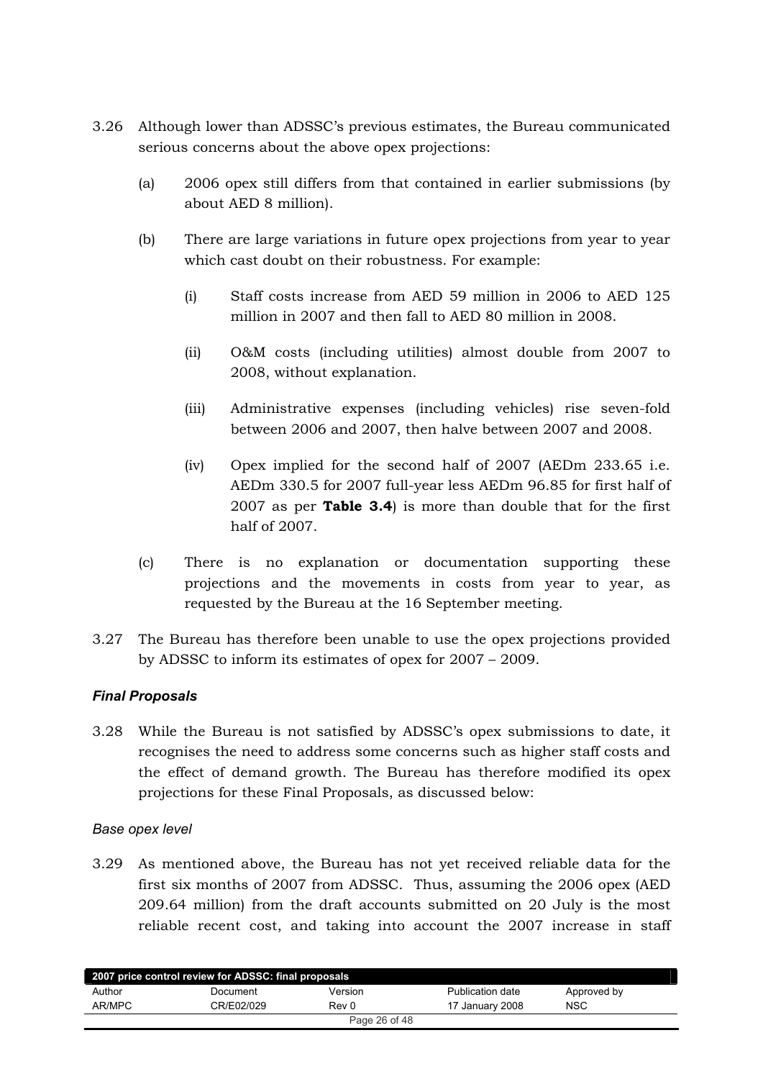- <span id="page-25-0"></span>3.26 Although lower than ADSSC's previous estimates, the Bureau communicated serious concerns about the above opex projections:
	- $(a)$ 2006 opex still differs from that contained in earlier submissions (by about AED 8 million).
	- $(b)$ There are large variations in future opex projections from year to year which cast doubt on their robustness. For example:
		- Staff costs increase from AED 59 million in 2006 to AED 125  $(i)$ million in 2007 and then fall to AED 80 million in 2008.
		- $(ii)$ O&M costs (including utilities) almost double from 2007 to 2008, without explanation.
		- $(iii)$ Administrative expenses (including vehicles) rise seven-fold between 2006 and 2007, then halve between 2007 and 2008.
		- Opex implied for the second half of 2007 (AEDm 233.65 i.e.  $(iv)$ AEDm 330.5 for 2007 full-year less AEDm 96.85 for first half of 2007 as per **Table 3.4**) is more than double that for the first half of 2007.
	- $(c)$ There is no explanation or documentation supporting these projections and the movements in costs from year to year, as requested by the Bureau at the 16 September meeting.
- 3.27 The Bureau has therefore been unable to use the opex projections provided by ADSSC to inform its estimates of opex for  $2007 - 2009$ .

## **Final Proposals**

3.28 While the Bureau is not satisfied by ADSSC's opex submissions to date, it recognises the need to address some concerns such as higher staff costs and the effect of demand growth. The Bureau has therefore modified its opex projections for these Final Proposals, as discussed below:

#### Base opex level

3.29 As mentioned above, the Bureau has not yet received reliable data for the first six months of 2007 from ADSSC. Thus, assuming the 2006 opex (AED) 209.64 million) from the draft accounts submitted on 20 July is the most reliable recent cost, and taking into account the 2007 increase in staff

| 2007 price control review for ADSSC: final proposals |            |               |                  |             |  |  |
|------------------------------------------------------|------------|---------------|------------------|-------------|--|--|
| Author                                               | Document   | Version       | Publication date | Approved by |  |  |
| AR/MPC                                               | CR/E02/029 | Rev 0         | 17 January 2008  | <b>NSC</b>  |  |  |
|                                                      |            | Page 26 of 48 |                  |             |  |  |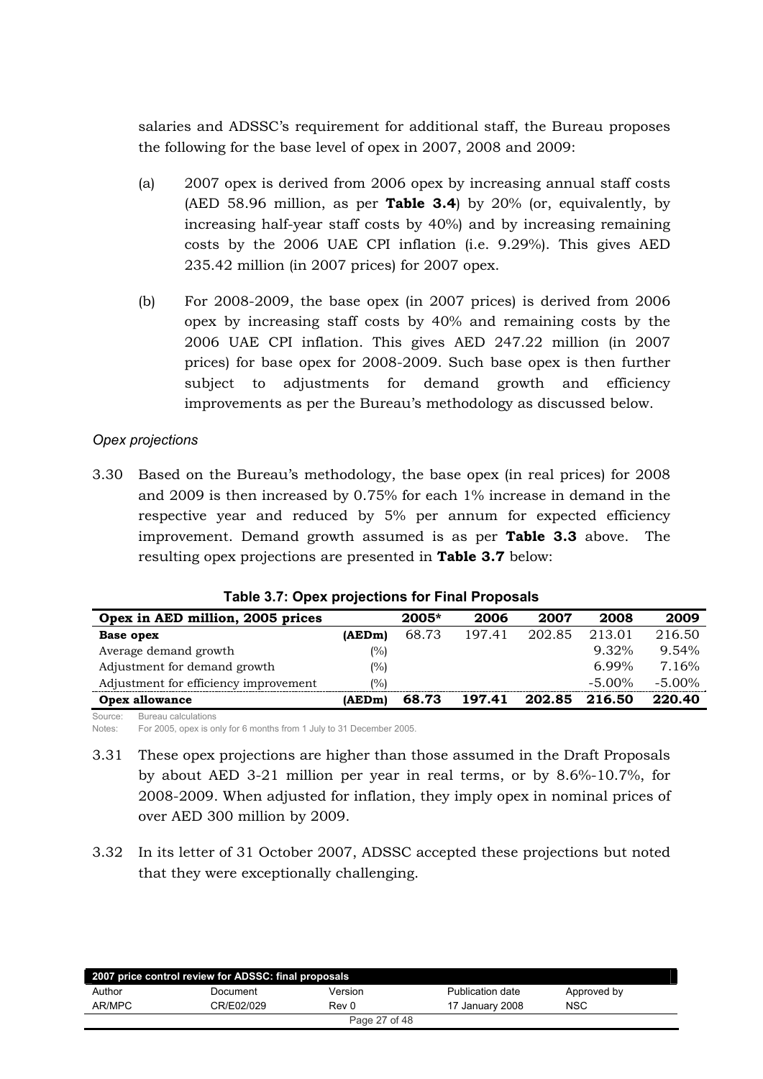salaries and ADSSC's requirement for additional staff, the Bureau proposes the following for the base level of opex in  $2007$ ,  $2008$  and  $2009$ :

- (a)  $2007$  opex is derived from 2006 opex by increasing annual staff costs (AED 58.96 million, as per **Table 3.4**) by 20% (or, equivalently, by increasing half-year staff costs by 40%) and by increasing remaining costs by the 2006 UAE CPI inflation (i.e. 9.29%). This gives AED  $235.42$  million (in 2007 prices) for 2007 opex.
- (b) For 2008-2009, the base opex (in 2007 prices) is derived from  $2006$ opex by increasing staff costs by 40% and remaining costs by the 2006 UAE CPI inflation. This gives AED 247.22 million (in 2007 prices) for base opex for 2008-2009. Such base opex is then further subject to adjustments for demand growth and efficiency improvements as per the Bureau's methodology as discussed below.

## *Opex projections*

3.30 Based on the Bureau's methodology, the base opex (in real prices) for 2008 and 2009 is then increased by 0.75% for each  $1\%$  increase in demand in the respective year and reduced by 5% per annum for expected efficiency improvement. Demand growth assumed is as per **Table 3.3** above. The resulting opex projections are presented in **Table 3.7** below:

| Opex in AED million, 2005 prices      |        | $2005*$ | 2006   | 2007   | 2008      | 2009      |
|---------------------------------------|--------|---------|--------|--------|-----------|-----------|
| Base opex                             | (AEDm) | 68.73   | 197.41 | 202.85 | 213.01    | 216.50    |
| Average demand growth                 | (%)    |         |        |        | $9.32\%$  | 9.54%     |
| Adjustment for demand growth          | (%)    |         |        |        | $6.99\%$  | 7.16%     |
| Adjustment for efficiency improvement | (%)    |         |        |        | $-5.00\%$ | $-5.00\%$ |
| Opex allowance                        | (AEDm) | 68.73   | 197.41 | 202.85 | 216.50    | 220.40    |

|  |  |  |  |  |  |  | Table 3.7: Opex projections for Final Proposals |
|--|--|--|--|--|--|--|-------------------------------------------------|
|--|--|--|--|--|--|--|-------------------------------------------------|

Source: Bureau calculations Notes: For 2005, opex is only for 6 months from 1 July to 31 December 2005.

- 3.31 These opex projections are higher than those assumed in the Draft Proposals by about AED 3-21 million per year in real terms, or by  $8.6\%$ -10.7%, for 2008-2009. When adjusted for inflation, they imply opex in nominal prices of over AED 300 million by 2009.
- 3.32 In its letter of 31 October 2007, ADSSC accepted these projections but noted that they were exceptionally challenging.

|        | 2007 price control review for ADSSC: final proposals |               |                  |             |
|--------|------------------------------------------------------|---------------|------------------|-------------|
| Author | Document                                             | Version       | Publication date | Approved by |
| AR/MPC | CR/E02/029                                           | Rev 0         | 17 January 2008  | <b>NSC</b>  |
|        |                                                      | Page 27 of 48 |                  |             |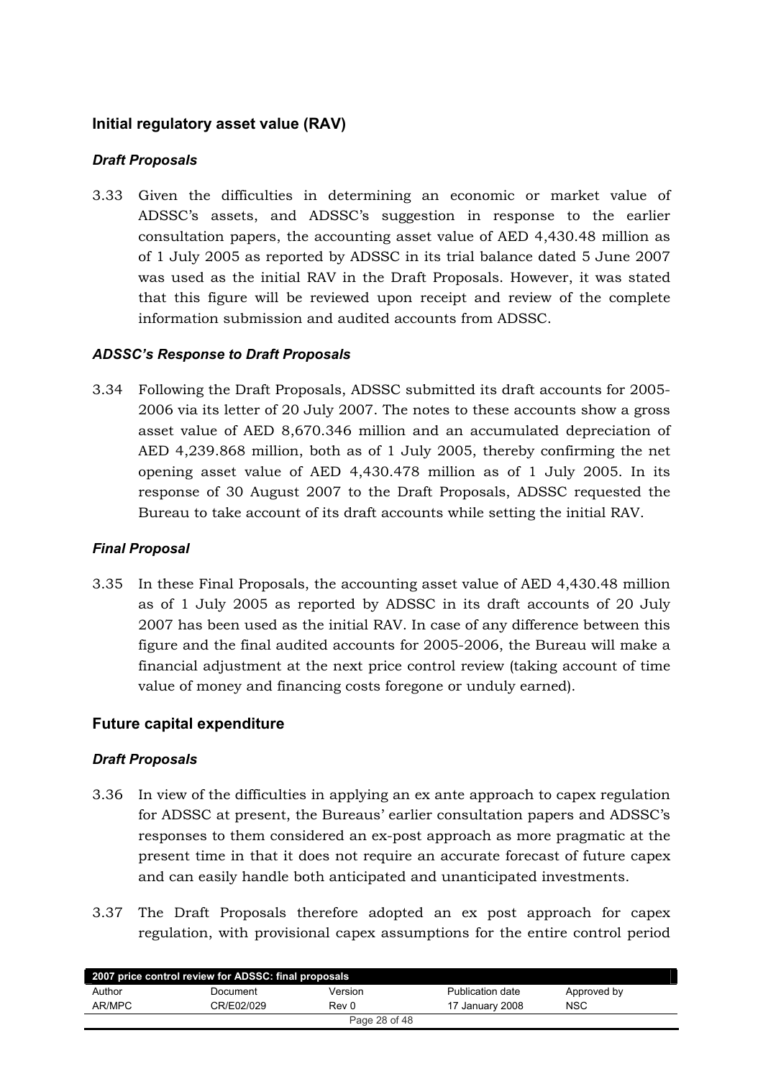## <span id="page-27-0"></span>**Initial regulatory asset value (RAV)**

## *Draft Proposals*

3.33 Given the difficulties in determining an economic or market value of ADSSC's assets, and ADSSC's suggestion in response to the earlier consultation papers, the accounting asset value of AED 4,430.48 million as of 1 July 2005 as reported by ADSSC in its trial balance dated 5 June 2007 was used as the initial RAV in the Draft Proposals. However, it was stated that this figure will be reviewed upon receipt and review of the complete information submission and audited accounts from ADSSC.

## *ADSSC's Response to Draft Proposals*

3.34 Following the Draft Proposals, ADSSC submitted its draft accounts for 2005-2006 via its letter of 20 July 2007. The notes to these accounts show a gross asset value of AED 8,670.346 million and an accumulated depreciation of AED 4,239.868 million, both as of 1 July 2005, thereby confirming the net opening asset value of AED 4,430.478 million as of 1 July 2005. In its response of 30 August 2007 to the Draft Proposals, ADSSC requested the Bureau to take account of its draft accounts while setting the initial RAV.

## *Final Proposal*

3.35 In these Final Proposals, the accounting asset value of AED 4,430.48 million as of 1 July 2005 as reported by ADSSC in its draft accounts of 20 July 2007 has been used as the initial RAV. In case of any difference between this figure and the final audited accounts for 2005-2006, the Bureau will make a financial adjustment at the next price control review (taking account of time value of money and financing costs foregone or unduly earned).

## **Future capital expenditure**

## *Draft Proposals*

- 3.36 In view of the difficulties in applying an ex ante approach to capex regulation for ADSSC at present, the Bureaus' earlier consultation papers and ADSSC's responses to them considered an ex-post approach as more pragmatic at the present time in that it does not require an accurate forecast of future capex and can easily handle both anticipated and unanticipated investments.
- 3.37 The Draft Proposals therefore adopted an ex post approach for capex regulation, with provisional capex assumptions for the entire control period

| 2007 price control review for ADSSC: final proposals |            |         |                  |             |  |  |  |  |
|------------------------------------------------------|------------|---------|------------------|-------------|--|--|--|--|
| Author                                               | Document   | Version | Publication date | Approved by |  |  |  |  |
| AR/MPC                                               | CR/E02/029 | Rev 0   | 17 January 2008  | <b>NSC</b>  |  |  |  |  |
| Page 28 of 48                                        |            |         |                  |             |  |  |  |  |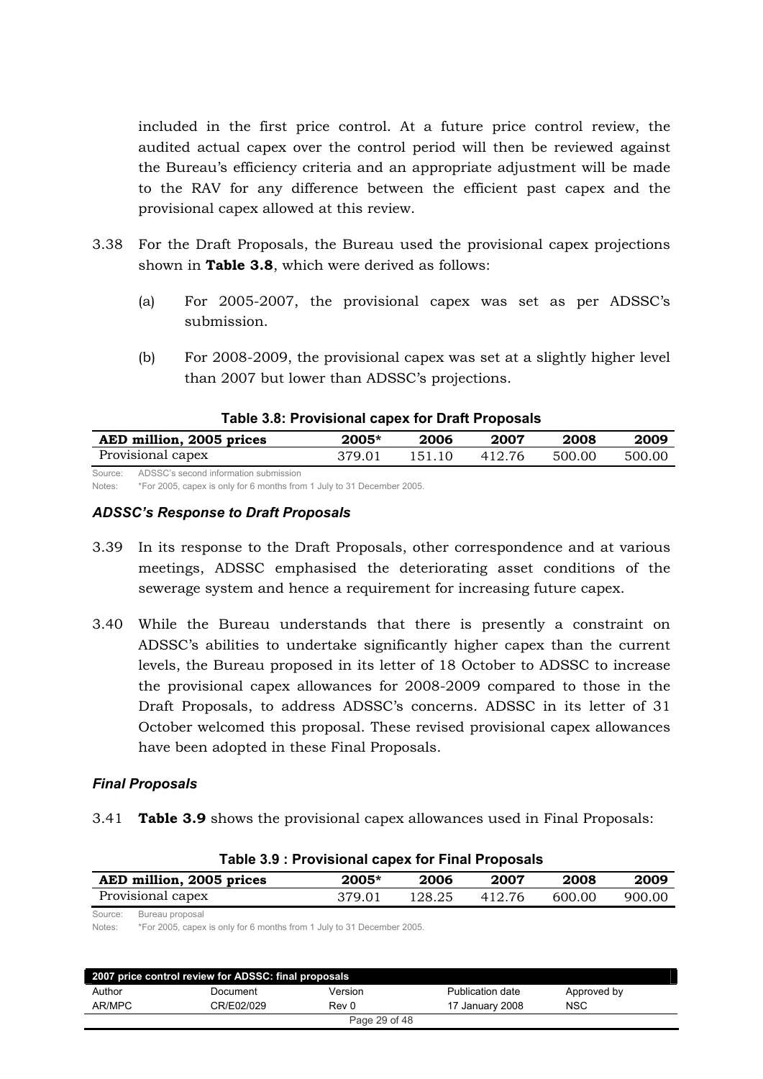<span id="page-28-0"></span>included in the first price control. At a future price control review, the audited actual capex over the control period will then be reviewed against the Bureau's efficiency criteria and an appropriate adjustment will be made to the RAV for any difference between the efficient past capex and the provisional capex allowed at this review.

- 3.38 For the Draft Proposals, the Bureau used the provisional capex projections shown in **Table 3.8**, which were derived as follows:
	- (a) For  $2005-2007$ , the provisional capex was set as per ADSSC's submission.
	- (b) For 2008-2009, the provisional capex was set at a slightly higher level than 2007 but lower than ADSSC's projections.

#### **Table 3.8: Provisional capex for Draft Proposals**

| AED million, 2005 prices                      | 2005*  | 2006   | 2007   | 2008   | 2009   |
|-----------------------------------------------|--------|--------|--------|--------|--------|
| Provisional capex                             | 379.01 | 151.10 | 412.76 | 500.00 | 500.00 |
| Source: ADSSC's second information submission |        |        |        |        |        |

Notes: \*For 2005, capex is only for 6 months from 1 July to 31 December 2005.

#### *ADSSC's Response to Draft Proposals*

- 3.39 In its response to the Draft Proposals, other correspondence and at various meetings, ADSSC emphasised the deteriorating asset conditions of the sewerage system and hence a requirement for increasing future capex.
- 3.40 While the Bureau understands that there is presently a constraint on ADSSC's abilities to undertake significantly higher capex than the current levels, the Bureau proposed in its letter of 18 October to ADSSC to increase the provisional capex allowances for 2008-2009 compared to those in the Draft Proposals, to address ADSSC's concerns. ADSSC in its letter of 31 October welcomed this proposal. These revised provisional capex allowances have been adopted in these Final Proposals.

#### *Final Proposals*

3.41 **Table 3.9** shows the provisional capex allowances used in Final Proposals:

|                   | AED million, 2005 prices                                                                  | 2005*  | 2006   |        | 2008   | 2009<br>900.00 |
|-------------------|-------------------------------------------------------------------------------------------|--------|--------|--------|--------|----------------|
| Provisional capex |                                                                                           | 379.01 | 128.25 | 412.76 | 600.00 |                |
| Source:<br>Notes: | Bureau proposal<br>*For 2005, capex is only for 6 months from 1 July to 31 December 2005. |        |        |        |        |                |

#### **Table 3.9 : Provisional capex for Final Proposals**

| 2007 price control review for ADSSC: final proposals |            |               |                  |             |  |  |  |
|------------------------------------------------------|------------|---------------|------------------|-------------|--|--|--|
| Author                                               | Document   | Version       | Publication date | Approved by |  |  |  |
| AR/MPC                                               | CR/E02/029 | Rev 0         | 17 January 2008  | <b>NSC</b>  |  |  |  |
|                                                      |            | Page 29 of 48 |                  |             |  |  |  |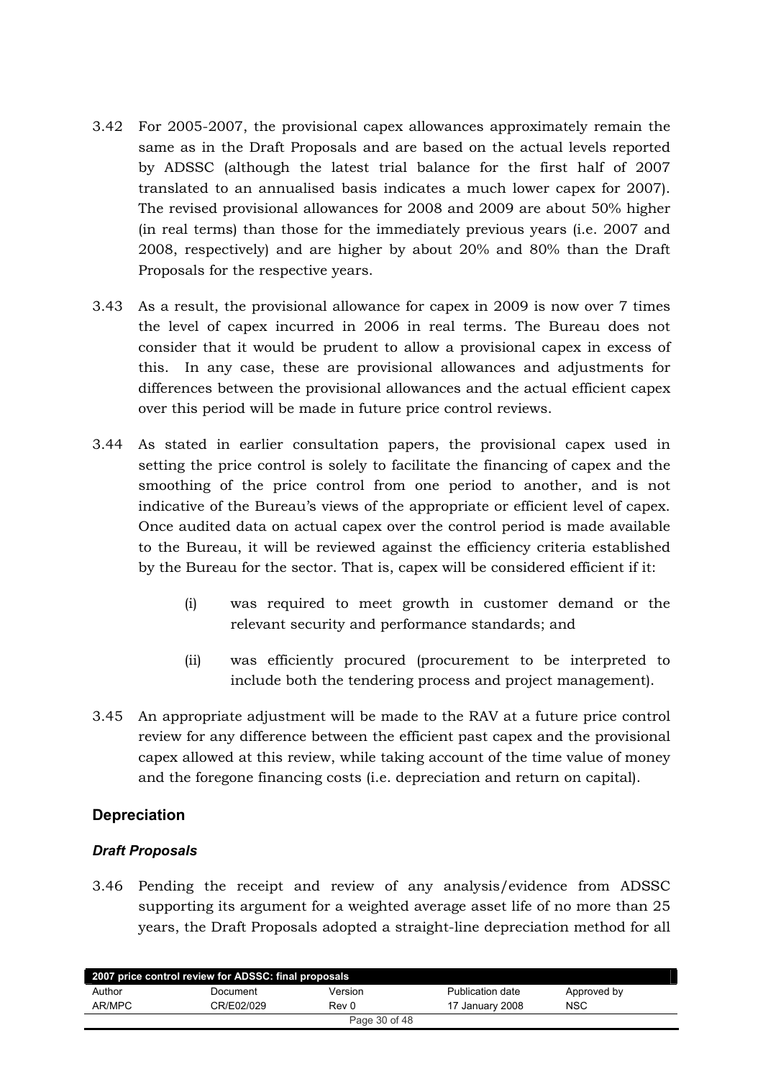- <span id="page-29-0"></span>3.42 For 2005-2007, the provisional capex allowances approximately remain the same as in the Draft Proposals and are based on the actual levels reported by ADSSC (although the latest trial balance for the first half of 2007 translated to an annualised basis indicates a much lower capex for 2007). The revised provisional allowances for 2008 and 2009 are about 50% higher  $(in$  real terms) than those for the immediately previous years  $(i.e. 2007$  and 2008, respectively) and are higher by about 20% and 80% than the Draft Proposals for the respective years.
- 3.43 As a result, the provisional allowance for capex in 2009 is now over 7 times the level of capex incurred in 2006 in real terms. The Bureau does not consider that it would be prudent to allow a provisional capex in excess of this. In any case, these are provisional allowances and adjustments for differences between the provisional allowances and the actual efficient capex over this period will be made in future price control reviews.
- 3.44 As stated in earlier consultation papers, the provisional capex used in setting the price control is solely to facilitate the financing of capex and the smoothing of the price control from one period to another, and is not indicative of the Bureau's views of the appropriate or efficient level of capex. Once audited data on actual capex over the control period is made available to the Bureau, it will be reviewed against the efficiency criteria established by the Bureau for the sector. That is, capex will be considered efficient if it:
	- $(i)$  was required to meet growth in customer demand or the relevant security and performance standards; and
	- (ii) was efficiently procured (procurement to be interpreted to include both the tendering process and project management).
- 3.45 An appropriate adjustment will be made to the RAV at a future price control review for any difference between the efficient past capex and the provisional the same same of monety capex allowed at this review, while taking account of the time value of money and the foregone financing costs (i.e. depreciation and return on capital).

## **Depreciation**

## *Draft Proposals*

3.46 Pending the receipt and review of any analysis/evidence from ADSSC supporting its argument for a weighted average asset life of no more than 25 years, the Draft Proposals adopted a straight-line depreciation method for all

| 2007 price control review for ADSSC: final proposals |            |         |                  |             |  |  |  |  |
|------------------------------------------------------|------------|---------|------------------|-------------|--|--|--|--|
| Author                                               | Document   | Version | Publication date | Approved by |  |  |  |  |
| AR/MPC                                               | CR/E02/029 | Rev 0   | 17 January 2008  | <b>NSC</b>  |  |  |  |  |
| Page 30 of 48                                        |            |         |                  |             |  |  |  |  |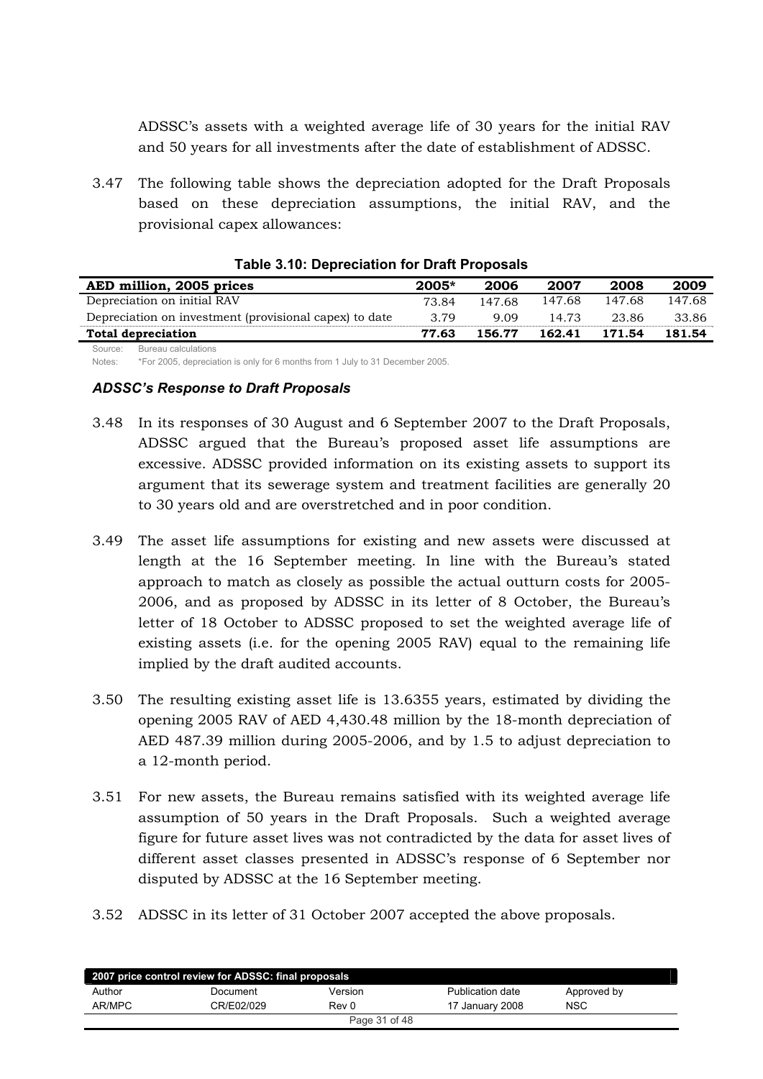<span id="page-30-0"></span>ADSSC's assets with a weighted average life of 30 years for the initial RAV and 50 years for all investments after the date of establishment of ADSSC.

3.47 The following table shows the depreciation adopted for the Draft Proposals based on these depreciation assumptions, the initial RAV, and the provisional capex allowances:

| AED million, 2005 prices                               | $2005*$ | 2006   | 2007   | 2008   | 2009   |
|--------------------------------------------------------|---------|--------|--------|--------|--------|
| Depreciation on initial RAV                            | 73.84   | 147.68 | 147.68 | 147.68 | 147.68 |
| Depreciation on investment (provisional capex) to date | 3.79    | 9.09   | 14 73  | 23.86  | 33.86  |
| <b>Total depreciation</b>                              | 77.63   | 156.77 | 162.41 | 171.54 | 181.54 |
| Bureau calculations<br>Source:                         |         |        |        |        |        |

#### **Table 3.10: Depreciation for Draft Proposals**

Notes: \*For 2005, depreciation is only for 6 months from 1 July to 31 December 2005.

#### *ADSSC's Response to Draft Proposals*

- 3.48 In its responses of 30 August and 6 September 2007 to the Draft Proposals, ADSSC argued that the Bureau's proposed asset life assumptions are excessive. ADSSC provided information on its existing assets to support its argument that its sewerage system and treatment facilities are generally 20 to 30 years old and are overstretched and in poor condition.
- 3.49 The asset life assumptions for existing and new assets were discussed at length at the 16 September meeting. In line with the Bureau's stated approach to match as closely as possible the actual outturn costs for 2005-2006, and as proposed by ADSSC in its letter of 8 October, the Bureau's letter of 18 October to ADSSC proposed to set the weighted average life of existing assets (i.e. for the opening  $2005$  RAV) equal to the remaining life implied by the draft audited accounts.
- 3.50 The resulting existing asset life is 13.6355 years, estimated by dividing the opening 2005 RAV of AED 4,430.48 million by the 18-month depreciation of AED 487.39 million during  $2005-2006$ , and by 1.5 to adjust depreciation to a 12-month period.
- 3.51 For new assets, the Bureau remains satisfied with its weighted average life assumption of 50 years in the Draft Proposals. Such a weighted average figure for future asset lives was not contradicted by the data for asset lives of different asset classes presented in ADSSC's response of 6 September nor disputed by ADSSC at the 16 September meeting.
- 3.52 ADSSC in its letter of 31 October 2007 accepted the above proposals.

| 2007 price control review for ADSSC: final proposals |            |               |                  |             |  |  |  |
|------------------------------------------------------|------------|---------------|------------------|-------------|--|--|--|
| Author                                               | Document   | Version       | Publication date | Approved by |  |  |  |
| AR/MPC                                               | CR/E02/029 | Rev 0         | 17 January 2008  | <b>NSC</b>  |  |  |  |
|                                                      |            | Page 31 of 48 |                  |             |  |  |  |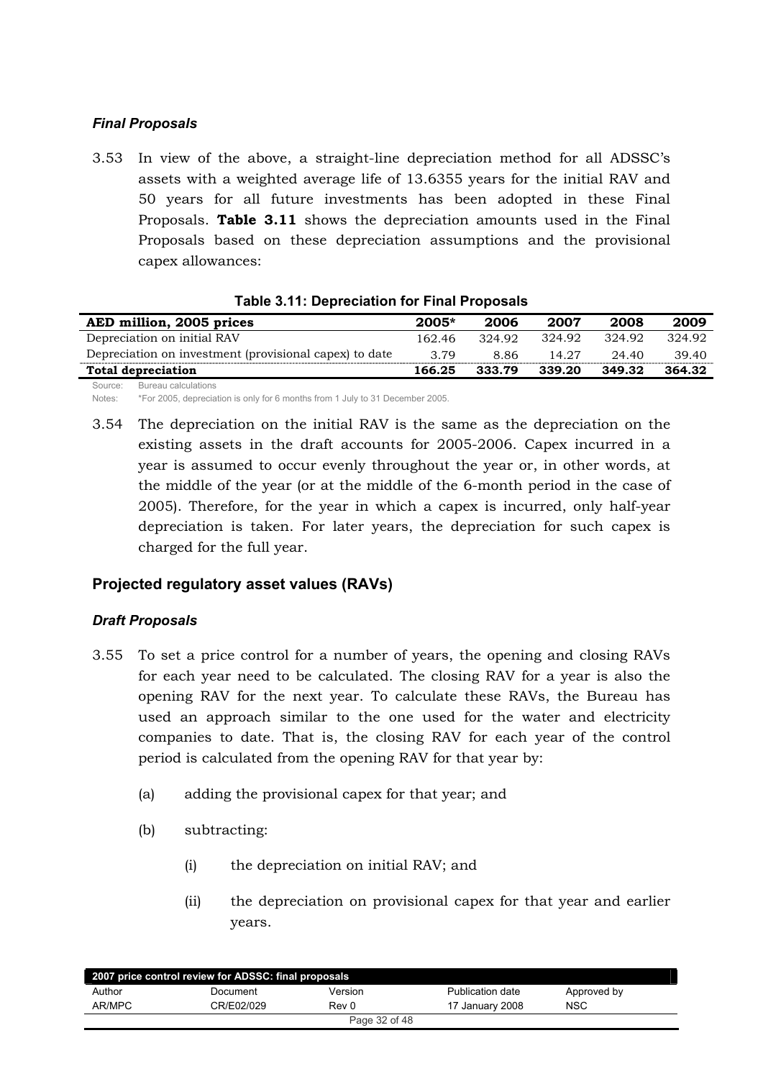## <span id="page-31-0"></span>*Final Proposals*

3.53 In view of the above, a straight-line depreciation method for all ADSSC's assets with a weighted average life of 13.6355 years for the initial RAV and 50 years for all future investments has been adopted in these Final Froposals. Table 3.11 shows the depreciation amounts used in the Final Proposals based on these depreciation assumptions and the provisional capex allowances:

| AED million, 2005 prices                               | $2005*$ | 2006   | 2007   | 2008   | 2009   |  |  |  |  |
|--------------------------------------------------------|---------|--------|--------|--------|--------|--|--|--|--|
| Depreciation on initial RAV                            | 162.46  | 324.92 | 324.92 | 324.92 | 324.92 |  |  |  |  |
| Depreciation on investment (provisional capex) to date | 3.79    | 8.86   | 14.27  | 24.40  | 39.40  |  |  |  |  |
| <b>Total depreciation</b>                              | 166.25  | 333.79 | 339.20 | 349.32 | 364.32 |  |  |  |  |
| Source: Bureau calculations                            |         |        |        |        |        |  |  |  |  |

|  | Table 3.11: Depreciation for Final Proposals |  |  |
|--|----------------------------------------------|--|--|
|  |                                              |  |  |

Notes: \*For 2005, depreciation is only for 6 months from 1 July to 31 December 2005.

 $3.54$  The depreciation on the initial RAV is the same as the depreciation on the existing assets in the draft accounts for 2005-2006. Capex incurred in a year is assumed to occur evenly throughout the year or, in other words, at the middle of the year (or at the middle of the 6-month period in the case of 2005). Therefore, for the year in which a capex is incurred, only half-year depreciation is taken. For later years, the depreciation for such capex is charged for the full year.

## **Projected regulatory asset values (RAVs)**

## *Draft Proposals*

- 3.55 To set a price control for a number of years, the opening and closing RAVs for each year need to be calculated. The closing RAV for a year is also the opening RAV for the next year. To calculate these RAVs, the Bureau has used an approach similar to the one used for the water and electricity companies to date. That is, the closing RAV for each year of the control period is calculated from the opening RAV for that year by:
	- $(a)$  adding the provisional capex for that year; and
	- (b) subtracting:
		- $(i)$  the depreciation on initial RAV; and
		- (ii) the depreciation on provisional capex for that year and earlier years.

| 2007 price control review for ADSSC: final proposals |            |               |                  |             |  |  |  |  |
|------------------------------------------------------|------------|---------------|------------------|-------------|--|--|--|--|
| Author                                               | Document   | Version       | Publication date | Approved by |  |  |  |  |
| AR/MPC                                               | CR/E02/029 | Rev 0         | 17 January 2008  | <b>NSC</b>  |  |  |  |  |
|                                                      |            | Page 32 of 48 |                  |             |  |  |  |  |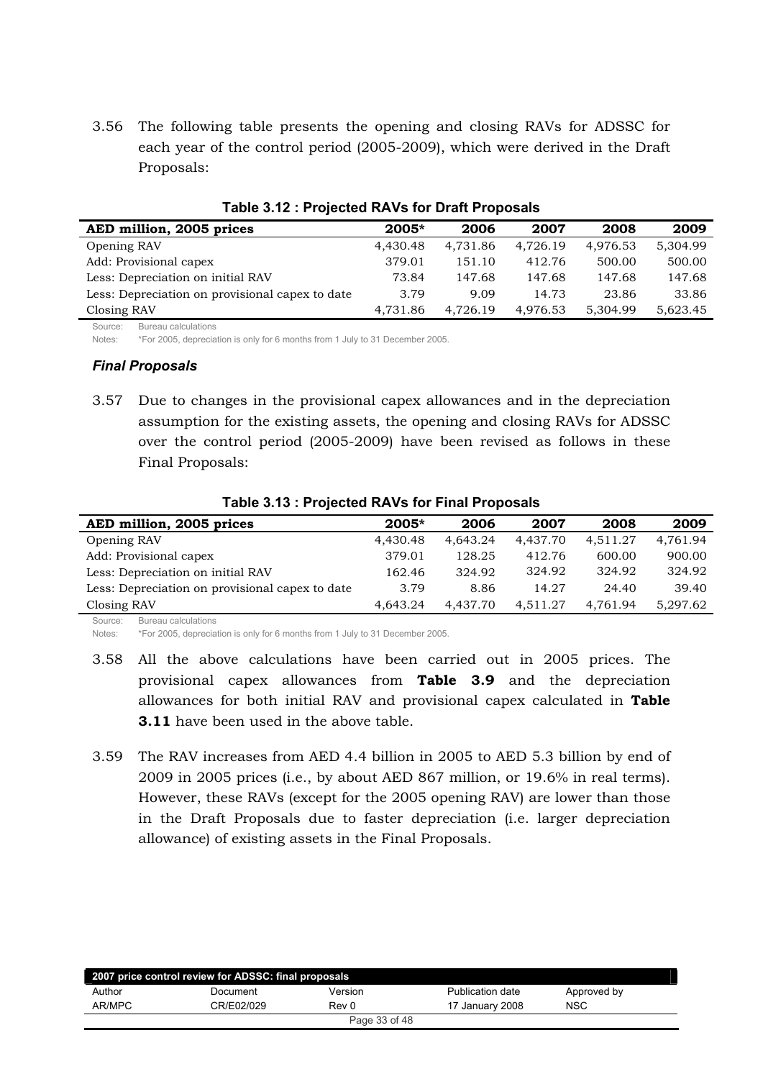<span id="page-32-0"></span>3.56 The following table presents the opening and closing RAVs for ADSSC for each year of the control period (2005-2009), which were derived in the Draft Proposals:

| AED million, 2005 prices                        | $2005*$  | 2006     | 2007     | 2008     | 2009     |
|-------------------------------------------------|----------|----------|----------|----------|----------|
| Opening RAV                                     | 4,430.48 | 4,731.86 | 4,726.19 | 4,976.53 | 5,304.99 |
| Add: Provisional capex                          | 379.01   | 151.10   | 412.76   | 500.00   | 500.00   |
| Less: Depreciation on initial RAV               | 73.84    | 147.68   | 147.68   | 147.68   | 147.68   |
| Less: Depreciation on provisional capex to date | 3.79     | 9.09     | 14.73    | 23.86    | 33.86    |
| Closing RAV                                     | 4,731.86 | 4,726.19 | 4,976.53 | 5,304.99 | 5,623.45 |

#### Table 3.12 : Projected RAVs for Draft Proposals

Source: Bureau calculations

Notes: \*For 2005, depreciation is only for 6 months from 1 July to 31 December 2005.

#### **Final Proposals**

Due to changes in the provisional capex allowances and in the depreciation 3.57 assumption for the existing assets, the opening and closing RAVs for ADSSC over the control period (2005-2009) have been revised as follows in these Final Proposals:

| AED million, 2005 prices                        | $2005*$  | 2006     | 2007     | 2008     | 2009     |
|-------------------------------------------------|----------|----------|----------|----------|----------|
| Opening RAV                                     | 4,430.48 | 4.643.24 | 4.437.70 | 4.511.27 | 4.761.94 |
| Add: Provisional capex                          | 379.01   | 128.25   | 412.76   | 600.00   | 900.00   |
| Less: Depreciation on initial RAV               | 162.46   | 324.92   | 324.92   | 324.92   | 324.92   |
| Less: Depreciation on provisional capex to date | 3.79     | 8.86     | 14.27    | 24.40    | 39.40    |
| Closing RAV                                     | 4.643.24 | 4.437.70 | 4,511.27 | 4,761.94 | 5.297.62 |
| Bureau calculations<br>$S$ $O$ urces            |          |          |          |          |          |

#### Table 3.13 : Projected RAVs for Final Proposals

Notes: \*For 2005, depreciation is only for 6 months from 1 July to 31 December 2005.

- 3.58 All the above calculations have been carried out in 2005 prices. The provisional capex allowances from **Table 3.9** and the depreciation allowances for both initial RAV and provisional capex calculated in Table **3.11** have been used in the above table.
- 3.59 The RAV increases from AED 4.4 billion in 2005 to AED 5.3 billion by end of 2009 in 2005 prices (i.e., by about AED 867 million, or 19.6% in real terms). However, these RAVs (except for the 2005 opening RAV) are lower than those in the Draft Proposals due to faster depreciation (i.e. larger depreciation allowance) of existing assets in the Final Proposals.

| 2007 price control review for ADSSC: final proposals |            |               |                  |             |  |
|------------------------------------------------------|------------|---------------|------------------|-------------|--|
| Author                                               | Document   | Version       | Publication date | Approved by |  |
| AR/MPC                                               | CR/E02/029 | Rev 0         | 17 January 2008  | NSC         |  |
|                                                      |            | Page 33 of 48 |                  |             |  |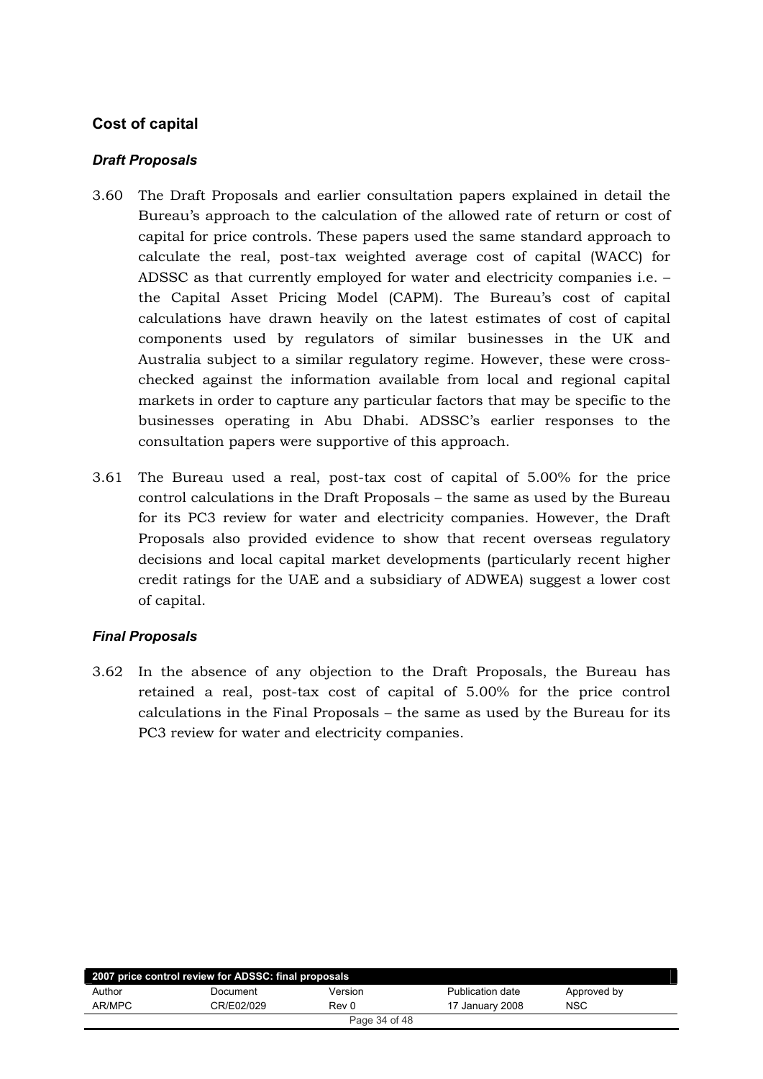## <span id="page-33-0"></span>**Cost of capital**

## *Draft Proposals*

- 3.60 The Draft Proposals and earlier consultation papers explained in detail the Bureau's approach to the calculation of the allowed rate of return or cost of capital for price controls. These papers used the same standard approach to calculate the real, post-tax weighted average cost of capital (WACC) for ADSSC as that currently employed for water and electricity companies i.e. the Capital Asset Pricing Model (CAPM). The Bureau's cost of capital calculations have drawn heavily on the latest estimates of cost of capital components used by regulators of similar businesses in the UK and Australia subject to a similar regulatory regime. However, these were crosschecked against the information available from local and regional capital markets in order to capture any particular factors that may be specific to the businesses operating in Abu Dhabi. ADSSC's earlier responses to the consultation papers were supportive of this approach.
- 3.61 The Bureau used a real, post-tax cost of capital of  $5.00\%$  for the price control calculations in the Draft Proposals – the same as used by the Bureau for its PC3 review for water and electricity companies. However, the Draft Proposals also provided evidence to show that recent overseas regulatory decisions and local capital market developments (particularly recent higher credit ratings for the UAE and a subsidiary of ADWEA) suggest a lower cost of capital.

## *Final Proposals*

3.62 In the absence of any objection to the Draft Proposals, the Bureau has retained a real, post-tax cost of capital of 5.00% for the price control calculations in the Final Proposals – the same as used by the Bureau for its PC3 review for water and electricity companies.

| 2007 price control review for ADSSC: final proposals |            |         |                  |             |  |
|------------------------------------------------------|------------|---------|------------------|-------------|--|
| Author                                               | Document   | Version | Publication date | Approved by |  |
| AR/MPC                                               | CR/E02/029 | Rev 0   | 17 January 2008  | <b>NSC</b>  |  |
| Page 34 of 48                                        |            |         |                  |             |  |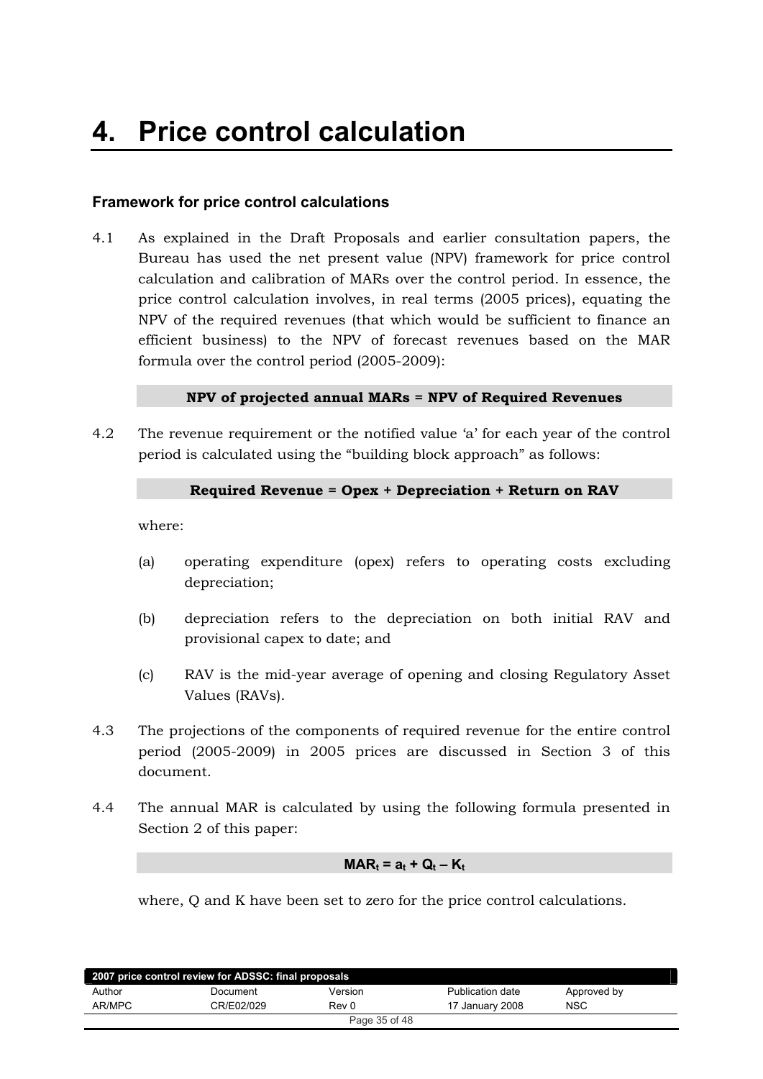## <span id="page-34-0"></span>**Framework for price control calculations**

 $4.1$ As explained in the Draft Proposals and earlier consultation papers, the Bureau has used the net present value (NPV) framework for price control calculation and calibration of MARs over the control period. In essence, the price control calculation involves, in real terms (2005 prices), equating the NPV of the required revenues (that which would be sufficient to finance an efficient business) to the NPV of forecast revenues based on the MAR formula over the control period (2005-2009):

#### NPV of projected annual MARs = NPV of Required Revenues

 $4.2$ The revenue requirement or the notified value 'a' for each year of the control period is calculated using the "building block approach" as follows:

#### Required Revenue = Opex + Depreciation + Return on RAV

where:

- $(a)$ operating expenditure (opex) refers to operating costs excluding depreciation;
- $(b)$ depreciation refers to the depreciation on both initial RAV and provisional capex to date; and
- RAV is the mid-year average of opening and closing Regulatory Asset  $(c)$ Values (RAVs).
- $4.3$ The projections of the components of required revenue for the entire control period (2005-2009) in 2005 prices are discussed in Section 3 of this document.
- $4.4$ The annual MAR is calculated by using the following formula presented in Section 2 of this paper:

#### $MAR_t = a_t + Q_t - K_t$

where, Q and K have been set to zero for the price control calculations.

| 2007 price control review for ADSSC: final proposals |            |               |                  |             |  |
|------------------------------------------------------|------------|---------------|------------------|-------------|--|
| Author                                               | Document   | Version       | Publication date | Approved by |  |
| AR/MPC                                               | CR/E02/029 | Rev 0         | 17 January 2008  | <b>NSC</b>  |  |
|                                                      |            | Page 35 of 48 |                  |             |  |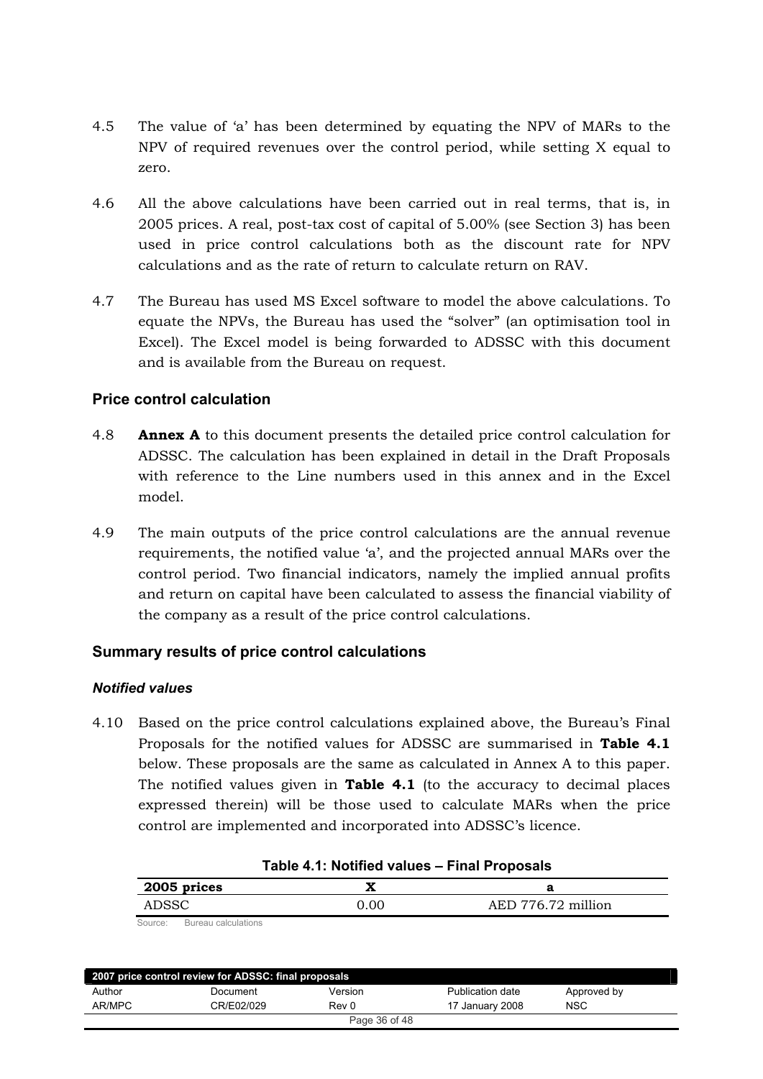- <span id="page-35-0"></span>4.5 The value of 'a' has been determined by equating the NPV of MARs to the NPV of required revenues over the control period, while setting  $X$  equal to zero.
- 4.6 All the above calculations have been carried out in real terms, that is, in 2005 prices. A real, post-tax cost of capital of 5.00% (see Section 3) has been used in price control calculations both as the discount rate for NPV  $s_{\text{2}}$  calculations and as the rate of return to calculate return on RAV.
- 4.7 The Bureau has used MS Excel software to model the above calculations. To equate the NPVs, the Bureau has used the "solver" (an optimisation tool in Excel). The Excel model is being forwarded to ADSSC with this document and is available from the Bureau on request.

## **Price control calculation**

- 4.8 **Annex A** to this document presents the detailed price control calculation for ADSSC. The calculation has been explained in detail in the Draft Proposals with reference to the Line numbers used in this annex and in the Excel model.
- 4.9 The main outputs of the price control calculations are the annual revenue requirements, the notified value 'a', and the projected annual MARs over the control period. Two financial indicators, namely the implied annual profits and return on capital have been calculated to assess the financial viability of the company as a result of the price control calculations.

## **Summary results of price control calculations**

#### *Notified values*

4.10 Based on the price control calculations explained above, the Bureau's Final Proposals for the notified values for ADSSC are summarised in Table 4.1 below. These proposals are the same as calculated in Annex A to this paper. The notified values given in **Table 4.1** (to the accuracy to decimal places expressed therein) will be those used to calculate MARs when the price control are implemented and incorporated into ADSSC's licence.

| 2005 prices |      |                    |
|-------------|------|--------------------|
| ADSSC       | 0.00 | AED 776.72 million |
|             |      |                    |

| Table 4.1: Notified values - Final Proposals |  |  |
|----------------------------------------------|--|--|
|----------------------------------------------|--|--|

Source: Bureau calculations

| 2007 price control review for ADSSC: final proposals |            |         |                  |             |  |
|------------------------------------------------------|------------|---------|------------------|-------------|--|
| Author                                               | Document   | Version | Publication date | Approved by |  |
| AR/MPC                                               | CR/E02/029 | Rev 0   | 17 January 2008  | <b>NSC</b>  |  |
| Page 36 of 48                                        |            |         |                  |             |  |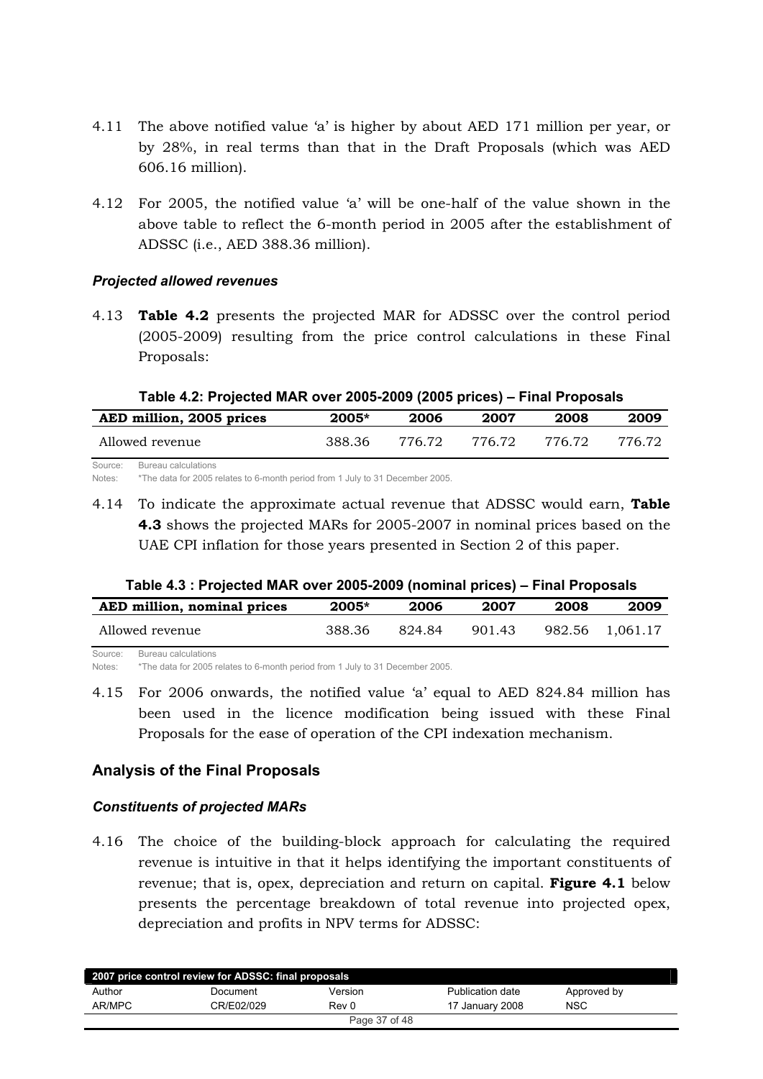- <span id="page-36-0"></span>4.11 The above notified value 'a' is higher by about AED 171 million per year, or by 28%, in real terms than that in the Draft Proposals (which was AED 606.16 million).
- 4.12 For 2005, the notified value 'a' will be one-half of the value shown in the above table to reflect the 6-month period in 2005 after the establishment of ADSSC (i.e., AED 388.36 million).

#### *Projected allowed revenues*

4.13 Table 4.2 presents the projected MAR for ADSSC over the control period  $(2005-2009)$  resulting from the price control calculations in these Final Proposals:

| Table 4.2: Projected MAR over 2005-2009 (2005 prices) – Final Proposals |         |        |        |        |        |  |
|-------------------------------------------------------------------------|---------|--------|--------|--------|--------|--|
| AED million, 2005 prices                                                | $2005*$ | 2006   | 2007   | 2008   | 2009   |  |
| Allowed revenue                                                         | -388.36 | 776 72 | 776.72 | 776 72 | 776 72 |  |
| Bureau calculations<br>Source:                                          |         |        |        |        |        |  |

## **Table 4.2: Projected MAR over 2005-2009 (2005 prices) – Final Proposals**

Notes: \*The data for 2005 relates to 6-month period from 1 July to 31 December 2005.

4.14 To indicate the approximate actual revenue that ADSSC would earn, Table **4.3** shows the projected MARs for 2005-2007 in nominal prices based on the UAE CPI inflation for those years presented in Section 2 of this paper.

| Table 4.3 : Projected MAR over 2005-2009 (nominal prices) – Final Proposals |  |
|-----------------------------------------------------------------------------|--|
|-----------------------------------------------------------------------------|--|

| AED million, nominal prices    | 2005*  | 2006  | 2007   | 2008   | 2009     |
|--------------------------------|--------|-------|--------|--------|----------|
| Allowed revenue                | 388.36 | 82484 | 901.43 | 982.56 | 1,061.17 |
| Bureau calculations<br>Source: |        |       |        |        |          |

Notes: \*The data for 2005 relates to 6-month period from 1 July to 31 December 2005.

4.15 For 2006 onwards, the notified value 'a' equal to AED 824.84 million has been used in the licence modification being issued with these Final Proposals for the ease of operation of the CPI indexation mechanism.

## **Analysis of the Final Proposals**

## *Constituents of projected MARs*

4.16 The choice of the building-block approach for calculating the required revenue is intuitive in that it helps identifying the important constituents of revenue; that is, opex, depreciation and return on capital. Figure 4.1 below presents the percentage breakdown of total revenue into projected opex, depreciation and profits in NPV terms for ADSSC:

| 2007 price control review for ADSSC: final proposals |            |         |                  |             |  |
|------------------------------------------------------|------------|---------|------------------|-------------|--|
| Author                                               | Document   | Version | Publication date | Approved by |  |
| AR/MPC                                               | CR/E02/029 | Rev 0   | 17 January 2008  | <b>NSC</b>  |  |
| Page 37 of 48                                        |            |         |                  |             |  |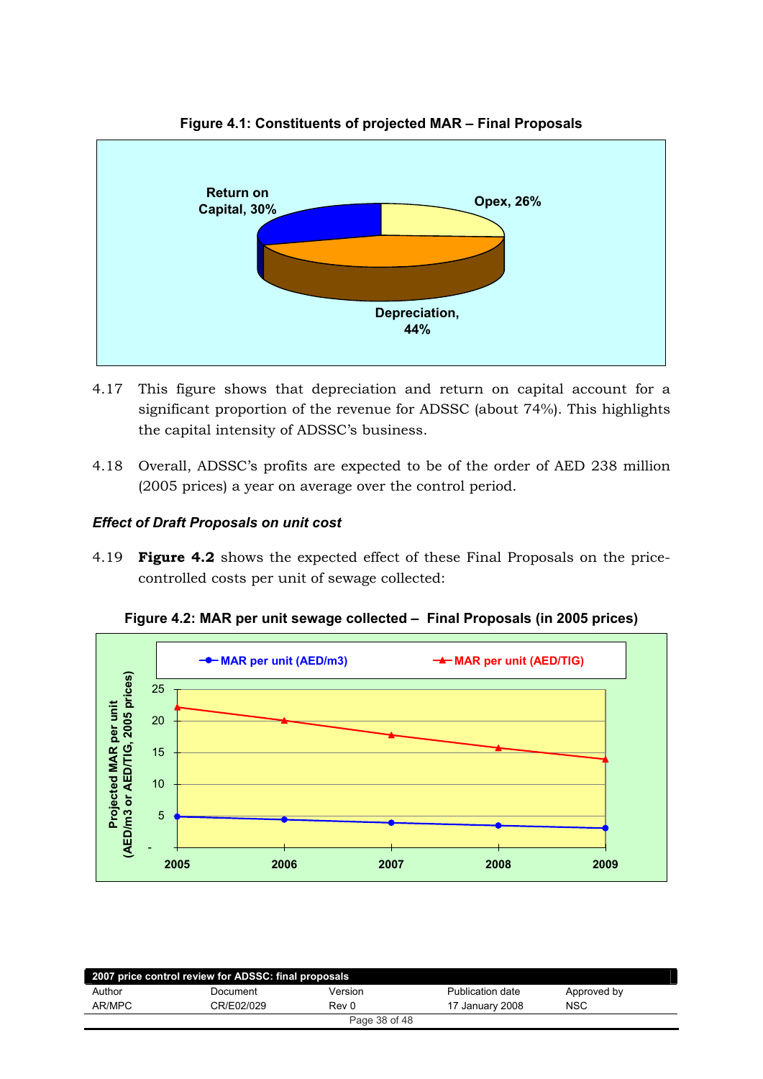<span id="page-37-0"></span>

#### Figure 4.1: Constituents of projected MAR - Final Proposals

- 4.17 This figure shows that depreciation and return on capital account for a significant proportion of the revenue for ADSSC (about 74%). This highlights the capital intensity of ADSSC's business.
- 4.18 Overall, ADSSC's profits are expected to be of the order of AED 238 million (2005 prices) a year on average over the control period.

## **Effect of Draft Proposals on unit cost**

4.19 **Figure 4.2** shows the expected effect of these Final Proposals on the pricecontrolled costs per unit of sewage collected:



Figure 4.2: MAR per unit sewage collected - Final Proposals (in 2005 prices)

| 2007 price control review for ADSSC: final proposals |            |         |                  |             |  |
|------------------------------------------------------|------------|---------|------------------|-------------|--|
| Author                                               | Document   | Version | Publication date | Approved by |  |
| AR/MPC                                               | CR/E02/029 | Rev 0   | 17 January 2008  | NSC         |  |
| Page 38 of 48                                        |            |         |                  |             |  |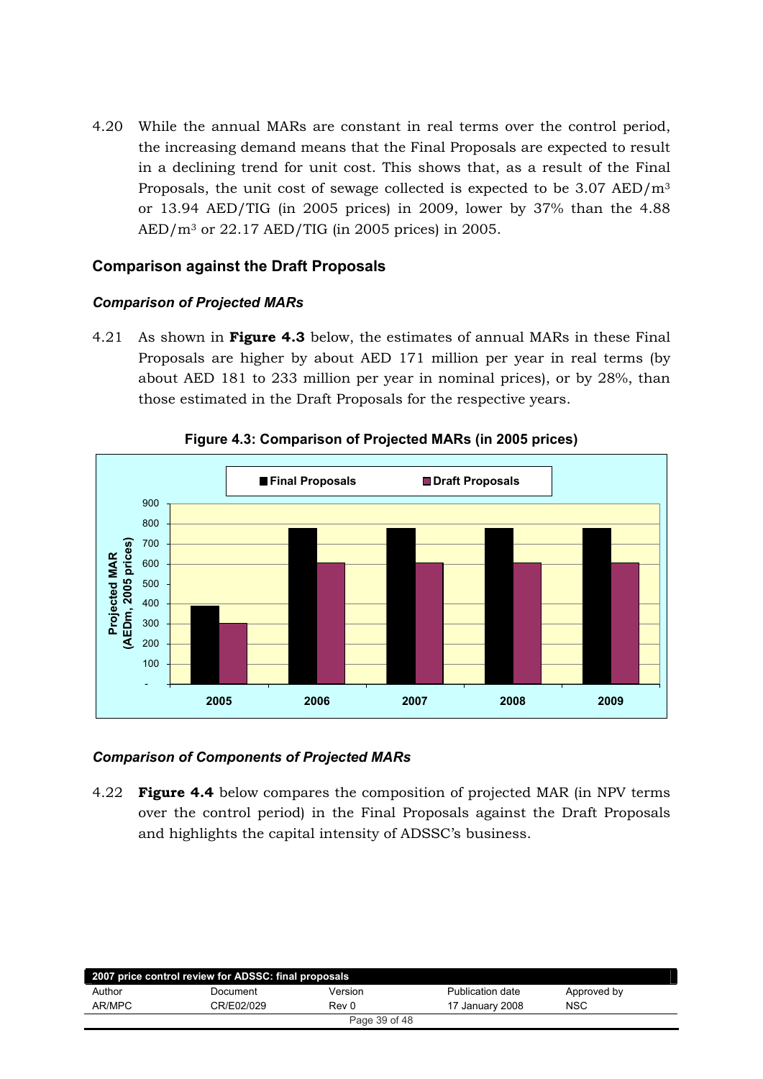<span id="page-38-0"></span>4.20 While the annual MARs are constant in real terms over the control period, the increasing demand means that the Final Proposals are expected to result in a declining trend for unit cost. This shows that, as a result of the Final Proposals, the unit cost of sewage collected is expected to be  $3.07$  AED/ $m<sup>3</sup>$ or 13.94 AED/TIG (in 2005 prices) in 2009, lower by 37% than the 4.88  $AED/m<sup>3</sup>$  or 22.17 AED/TIG (in 2005 prices) in 2005.

## **Comparison against the Draft Proposals**

#### **Comparison of Projected MARs**

As shown in Figure 4.3 below, the estimates of annual MARs in these Final 4.21 Proposals are higher by about AED 171 million per year in real terms (by about AED 181 to 233 million per year in nominal prices), or by 28%, than those estimated in the Draft Proposals for the respective years.



## Figure 4.3: Comparison of Projected MARs (in 2005 prices)

#### **Comparison of Components of Projected MARs**

 $4.22$ **Figure 4.4** below compares the composition of projected MAR (in NPV terms) over the control period) in the Final Proposals against the Draft Proposals and highlights the capital intensity of ADSSC's business.

| 2007 price control review for ADSSC: final proposals |            |               |                  |             |  |
|------------------------------------------------------|------------|---------------|------------------|-------------|--|
| Author                                               | Document   | Version       | Publication date | Approved by |  |
| AR/MPC                                               | CR/E02/029 | Rev 0         | 17 January 2008  | <b>NSC</b>  |  |
|                                                      |            | Page 39 of 48 |                  |             |  |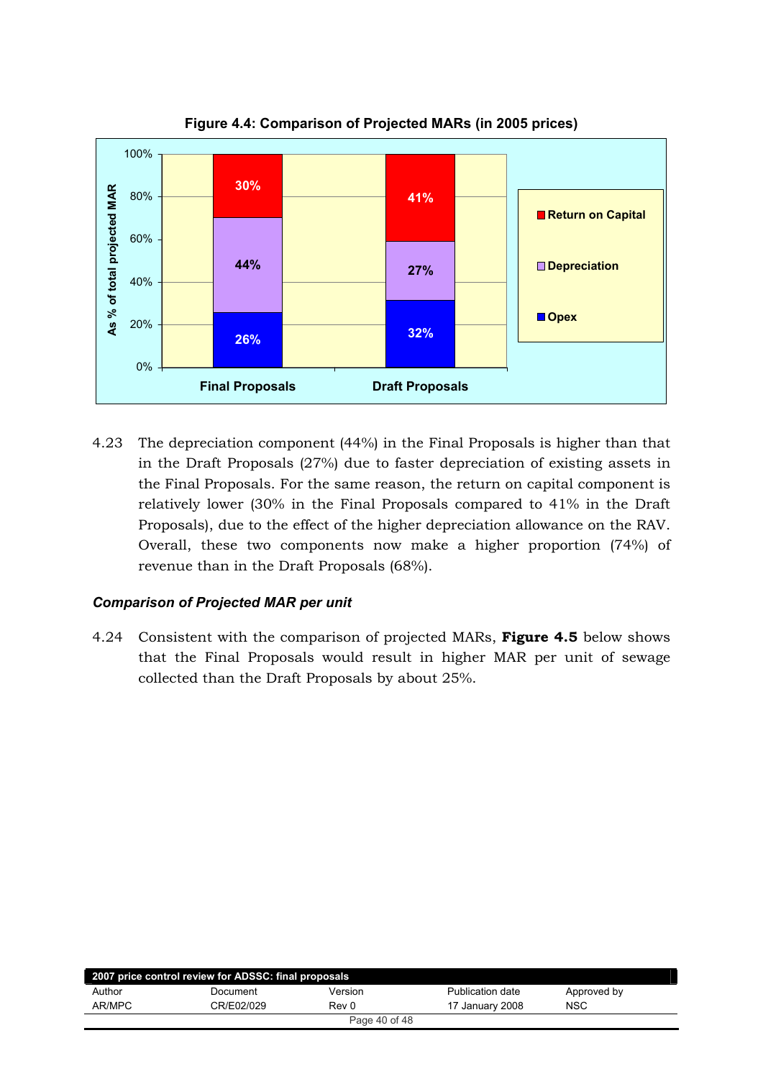<span id="page-39-0"></span>

**Figure 4.4: Comparison of Projected MARs (in 2005 prices)**

4.23 The depreciation component (44%) in the Final Proposals is higher than that in the Draft Proposals  $(27%)$  due to faster depreciation of existing assets in the Final Proposals. For the same reason, the return on capital component is relatively lower (30% in the Final Proposals compared to  $41\%$  in the Draft Proposals), due to the effect of the higher depreciation allowance on the RAV. Overall, these two components now make a higher proportion (74%) of revenue than in the Draft Proposals (68%).

## *Comparison of Projected MAR per unit*

4.24 Consistent with the comparison of projected MARs, **Figure 4.5** below shows that the Final Proposals would result in higher MAR per unit of sewage collected than the Draft Proposals by about 25%.

| 2007 price control review for ADSSC: final proposals |            |         |                         |             |  |  |
|------------------------------------------------------|------------|---------|-------------------------|-------------|--|--|
| Author                                               | Document   | Version | <b>Publication date</b> | Approved by |  |  |
| AR/MPC                                               | CR/E02/029 | Rev 0   | 17 January 2008         | <b>NSC</b>  |  |  |
| Page 40 of 48                                        |            |         |                         |             |  |  |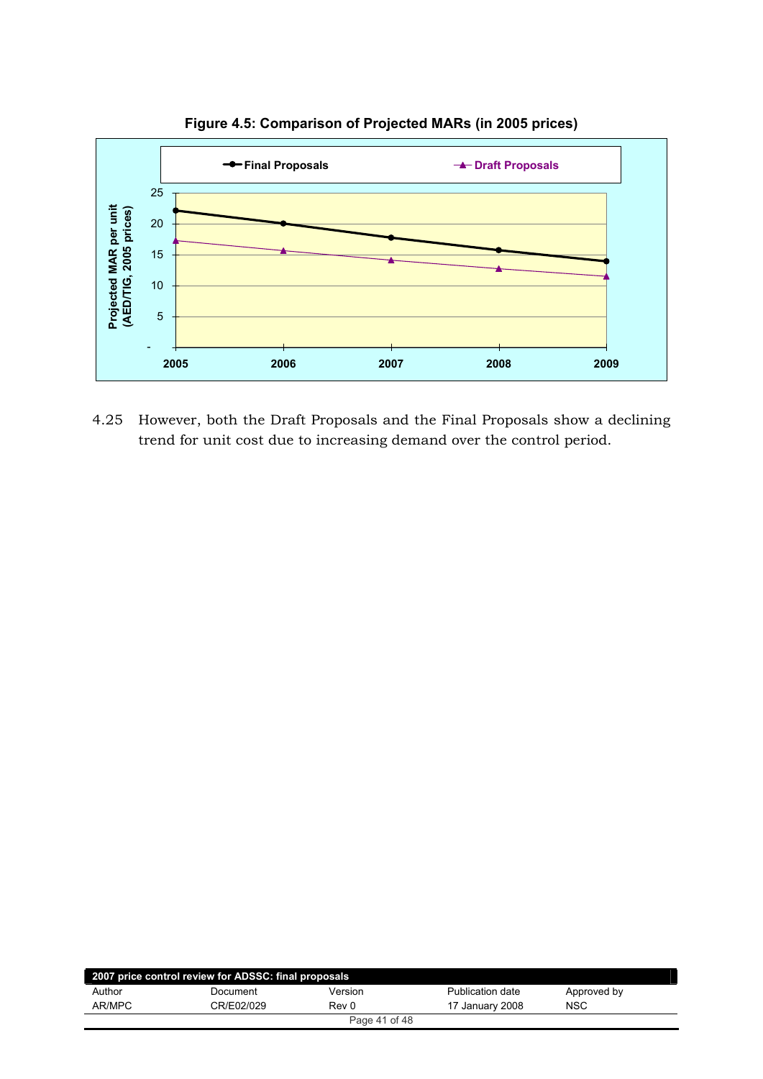

**Figure 4.5: Comparison of Projected MARs (in 2005 prices)**

4.25 However, both the Draft Proposals and the Final Proposals show a declining trend for unit cost due to increasing demand over the control period.

| 2007 price control review for ADSSC: final proposals |            |         |                  |             |  |  |
|------------------------------------------------------|------------|---------|------------------|-------------|--|--|
| Author                                               | Document   | Version | Publication date | Approved by |  |  |
| AR/MPC                                               | CR/E02/029 | Rev 0   | 17 January 2008  | <b>NSC</b>  |  |  |
| Page 41 of 48                                        |            |         |                  |             |  |  |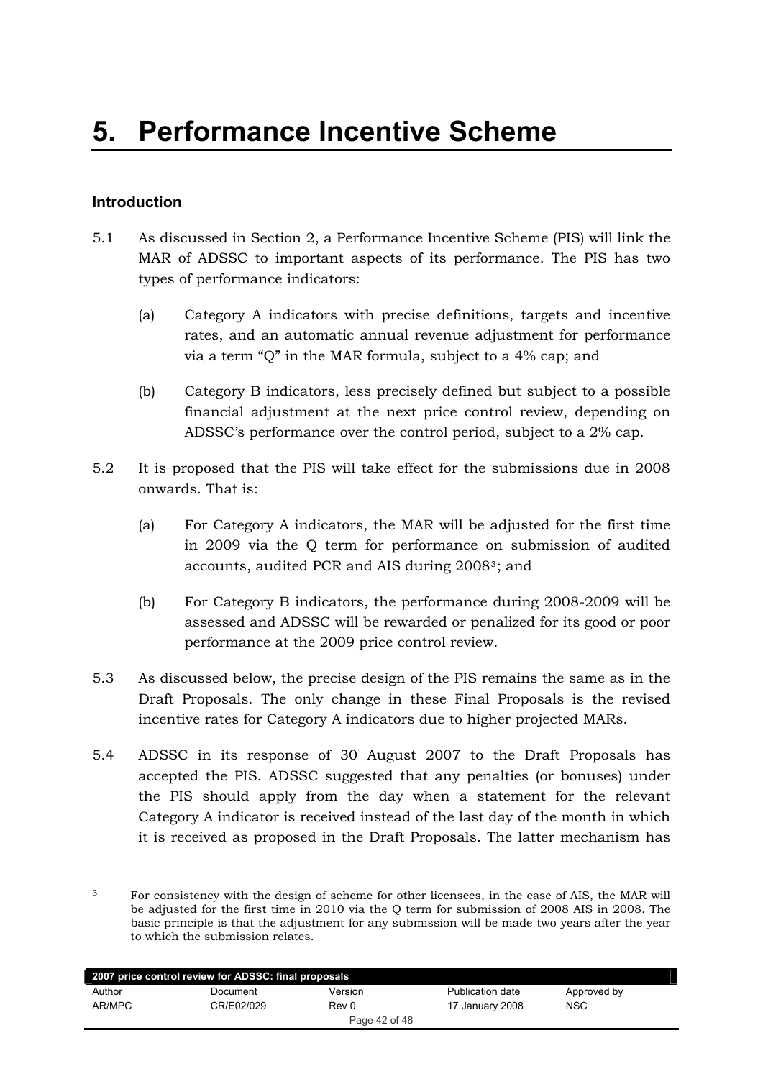## <span id="page-41-0"></span>**Introduction**

!!!!!!!!!!!!!!!!!!!!!!!!!!!!!!!!!!!!!!!!

- 5.1 As discussed in Section 2, a Performance Incentive Scheme (PIS) will link the MAR of ADSSC to important aspects of its performance. The PIS has two types of performance indicators:
	- (a) Category A indicators with precise definitions, targets and incentive rates, and an automatic annual revenue adjustment for performance via a term "Q" in the MAR formula, subject to a  $4\%$  cap; and
	- (b) Category B indicators, less precisely defined but subject to a possible financial adjustment at the next price control review, depending on ADSSC's performance over the control period, subject to a 2% cap.
- 5.2 It is proposed that the PIS will take effect for the submissions due in 2008 onwards. That is:
	- (a) For Category A indicators, the MAR will be adjusted for the first time in 2009 via the Q term for performance on submission of audited accounts, audited PCR and AIS during 2008<sup>3</sup>; and
	- (b) For Category B indicators, the performance during  $2008-2009$  will be assessed and ADSSC will be rewarded or penalized for its good or poor performance at the 2009 price control review.
- 5.3 As discussed below, the precise design of the PIS remains the same as in the Draft Proposals. The only change in these Final Proposals is the revised incentive rates for Category A indicators due to higher projected MARs.
- 5.4 ADSSC in its response of 30 August 2007 to the Draft Proposals has accepted the PIS. ADSSC suggested that any penalties (or bonuses) under the PIS should apply from the day when a statement for the relevant Category A indicator is received instead of the last day of the month in which it is received as proposed in the Draft Proposals. The latter mechanism has

<sup>&</sup>lt;sup>3</sup> For consistency with the design of scheme for other licensees, in the case of AIS, the MAR will be adjusted for the first time in 2010 via the Q term for submission of 2008 AIS in 2008. The basic principle is that the adjustment for any submission will be made two years after the year to which the submission relates.

| 2007 price control review for ADSSC: final proposals |            |         |                  |             |  |  |
|------------------------------------------------------|------------|---------|------------------|-------------|--|--|
| Author                                               | Document   | Version | Publication date | Approved by |  |  |
| AR/MPC                                               | CR/E02/029 | Rev 0   | 17 January 2008  | <b>NSC</b>  |  |  |
| Page 42 of 48                                        |            |         |                  |             |  |  |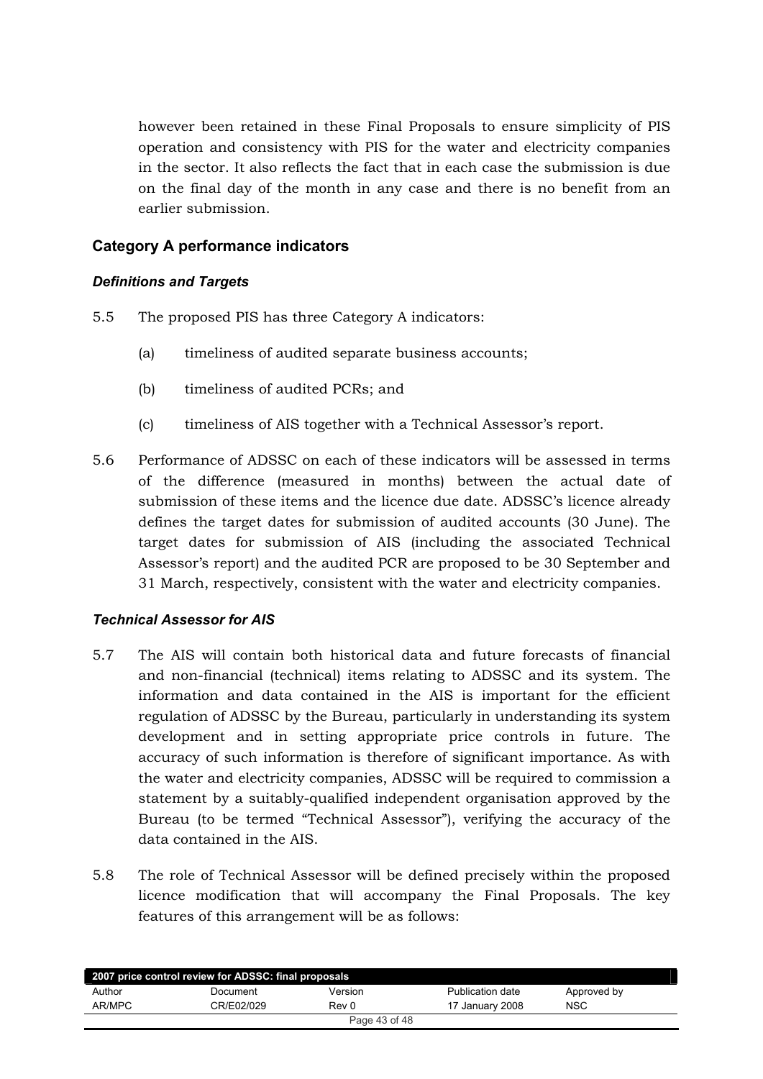<span id="page-42-0"></span>however been retained in these Final Proposals to ensure simplicity of PIS operation and consistency with PIS for the water and electricity companies in the sector. It also reflects the fact that in each case the submission is due on the final day of the month in any case and there is no benefit from an earlier submission.

## **Category A performance indicators**

## **Definitions and Targets**

- $5.5$ The proposed PIS has three Category A indicators:
	- $(a)$ timeliness of audited separate business accounts;
	- $(b)$ timeliness of audited PCRs; and
	- timeliness of AIS together with a Technical Assessor's report.  $(c)$
- 5.6 Performance of ADSSC on each of these indicators will be assessed in terms of the difference (measured in months) between the actual date of submission of these items and the licence due date. ADSSC's licence already defines the target dates for submission of audited accounts (30 June). The target dates for submission of AIS (including the associated Technical Assessor's report) and the audited PCR are proposed to be 30 September and 31 March, respectively, consistent with the water and electricity companies.

## **Technical Assessor for AIS**

- $5.7$ The AIS will contain both historical data and future forecasts of financial and non-financial (technical) items relating to ADSSC and its system. The information and data contained in the AIS is important for the efficient regulation of ADSSC by the Bureau, particularly in understanding its system development and in setting appropriate price controls in future. The accuracy of such information is therefore of significant importance. As with the water and electricity companies, ADSSC will be required to commission a statement by a suitably-qualified independent organisation approved by the Bureau (to be termed "Technical Assessor"), verifying the accuracy of the data contained in the AIS.
- 5.8 The role of Technical Assessor will be defined precisely within the proposed licence modification that will accompany the Final Proposals. The kev features of this arrangement will be as follows:

| 2007 price control review for ADSSC: final proposals |            |               |                  |             |  |
|------------------------------------------------------|------------|---------------|------------------|-------------|--|
| Author                                               | Document   | Version       | Publication date | Approved by |  |
| AR/MPC                                               | CR/E02/029 | Rev 0         | 17 January 2008  | <b>NSC</b>  |  |
|                                                      |            | Page 43 of 48 |                  |             |  |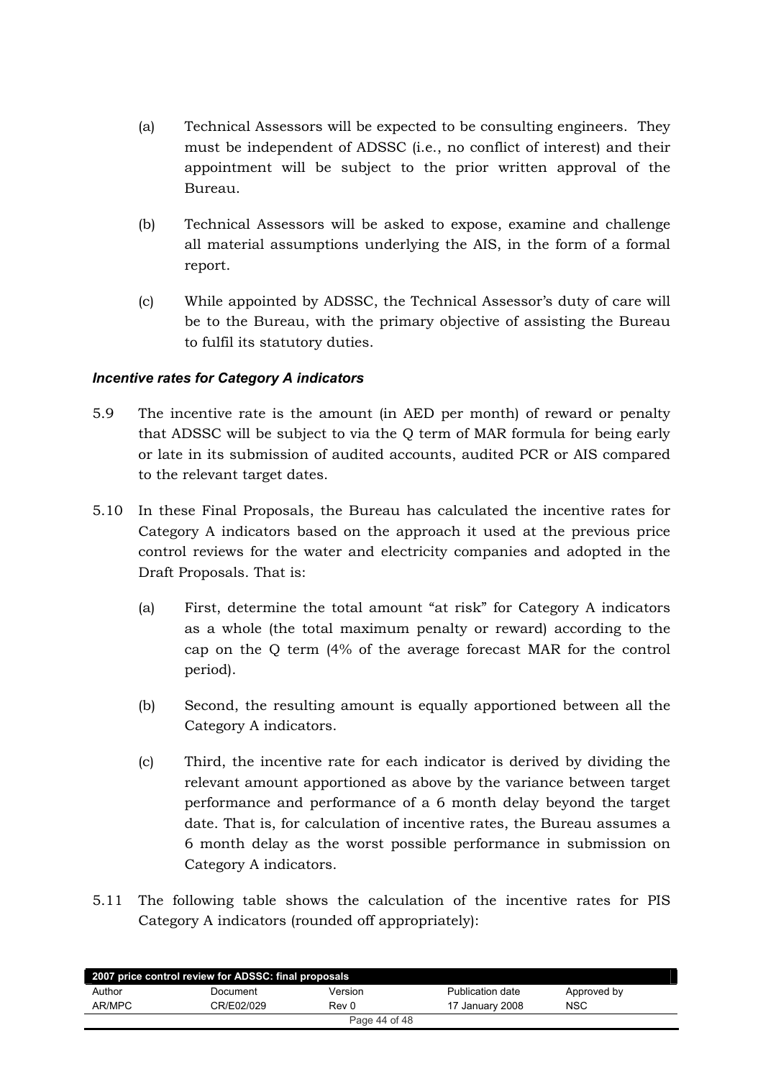- <span id="page-43-0"></span>(a) Technical Assessors will be expected to be consulting engineers. They must be independent of ADSSC (i.e., no conflict of interest) and their appointment will be subject to the prior written approval of the Bureau.
- (b) Technical Assessors will be asked to expose, examine and challenge all material assumptions underlying the AIS, in the form of a formal report.
- (c) While appointed by ADSSC, the Technical Assessor's duty of care will be to the Bureau, with the primary objective of assisting the Bureau to fulfil its statutory duties.

## *Incentive rates for Category A indicators*

- 5.9 The incentive rate is the amount (in AED per month) of reward or penalty that ADSSC will be subject to via the Q term of MAR formula for being early or late in its submission of audited accounts, audited PCR or AIS compared to the relevant target dates.
- 5.10 In these Final Proposals, the Bureau has calculated the incentive rates for Category A indicators based on the approach it used at the previous price control reviews for the water and electricity companies and adopted in the Draft Proposals. That is:
	- (a) First, determine the total amount "at risk" for Category A indicators as a whole (the total maximum penalty or reward) according to the cap on the Q term  $(4\%$  of the average forecast MAR for the control period).
	- $(b)$  Second, the resulting amount is equally apportioned between all the Category A indicators.
	- $\text{[c]}$  Third, the incentive rate for each indicator is derived by dividing the relevant amount apportioned as above by the variance between target performance and performance of a 6 month delay beyond the target date. That is, for calculation of incentive rates, the Bureau assumes a 6 month delay as the worst possible performance in submission on Category A indicators.
- 5.11 The following table shows the calculation of the incentive rates for PIS Category A indicators (rounded off appropriately):

| 2007 price control review for ADSSC: final proposals |            |         |                  |             |  |  |
|------------------------------------------------------|------------|---------|------------------|-------------|--|--|
| Author                                               | Document   | Version | Publication date | Approved by |  |  |
| AR/MPC                                               | CR/E02/029 | Rev 0   | 17 January 2008  | <b>NSC</b>  |  |  |
| Page 44 of 48                                        |            |         |                  |             |  |  |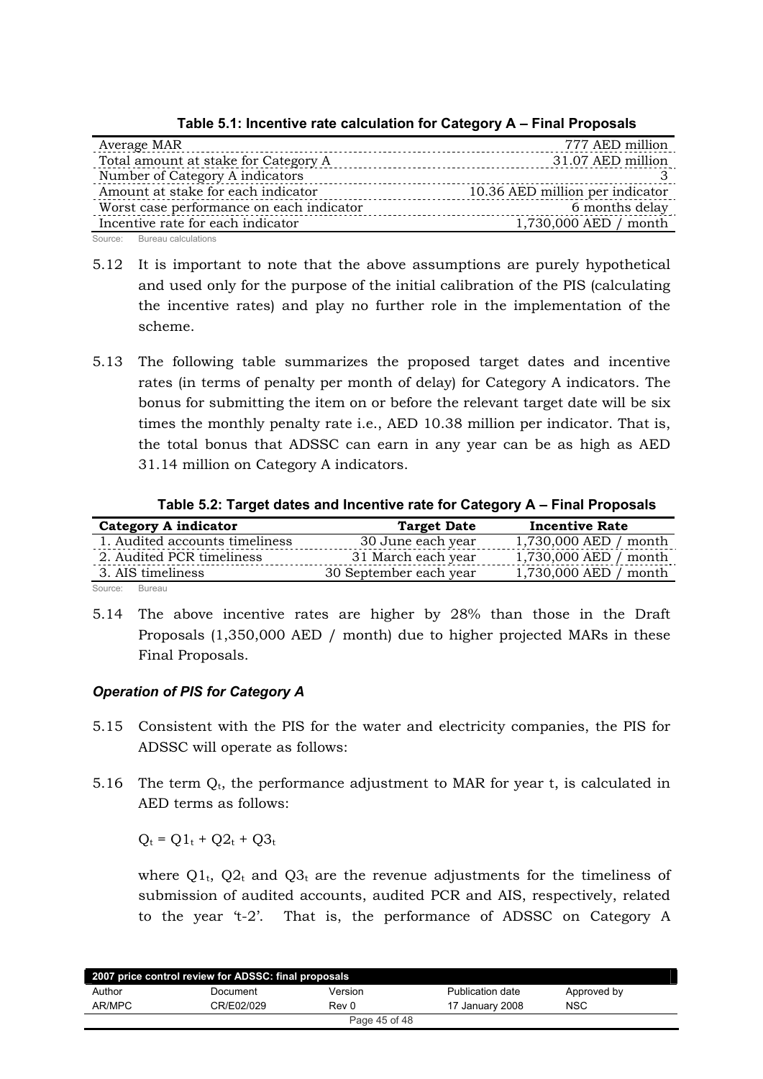<span id="page-44-0"></span>

| 777 AED million                 |
|---------------------------------|
| 31.07 AED million               |
|                                 |
| 10.36 AED million per indicator |
| 6 months delay                  |
| 1,730,000 AED / month           |
|                                 |

**Table 5.1: Incentive rate calculation for Category A – Final Proposals**

Source: Bureau calculations

- 5.12 It is important to note that the above assumptions are purely hypothetical and used only for the purpose of the initial calibration of the PIS (calculating the incentive rates) and play no further role in the implementation of the scheme.
- 5.13 The following table summarizes the proposed target dates and incentive rates (in terms of penalty per month of delay) for Category A indicators. The bonus for submitting the item on or before the relevant target date will be six times the monthly penalty rate i.e., AED 10.38 million per indicator. That is, the total bonus that ADSSC can earn in any year can be as high as AED 31.14 million on Category A indicators.

**Table 5.2: Target dates and Incentive rate for Category A – Final Proposals**

| Category A indicator           | <b>Target Date</b>     | <b>Incentive Rate</b>   |
|--------------------------------|------------------------|-------------------------|
| 1. Audited accounts timeliness | 30 June each year      | 1,730,000 AED / month   |
| 2. Audited PCR timeliness      | 31 March each year     | $1,730,000$ AED / month |
| 3. AIS timeliness              | 30 September each year | 1,730,000 AED / month   |
| Courses Direction              |                        |                         |

Source: Bureau

5.14 The above incentive rates are higher by  $28\%$  than those in the Draft Proposals  $(1,350,000$  AED / month) due to higher projected MARs in these Final Proposals.

## *Operation of PIS for Category A*

- 5.15 Consistent with the PIS for the water and electricity companies, the PIS for ADSSC will operate as follows:
- 5.16 The term  $Q_t$ , the performance adjustment to MAR for year t, is calculated in AED terms as follows:

 $Q_t = Q1_t + Q2_t + Q3_t$ 

where  $Q1_t$ ,  $Q2_t$  and  $Q3_t$  are the revenue adjustments for the timeliness of submission of audited accounts, audited PCR and AIS, respectively, related to the year 't-2'. That is, the performance of ADSSC on Category A

| 2007 price control review for ADSSC: final proposals |            |         |                  |             |  |  |
|------------------------------------------------------|------------|---------|------------------|-------------|--|--|
| Author                                               | Document   | Version | Publication date | Approved by |  |  |
| AR/MPC                                               | CR/E02/029 | Rev 0   | 17 January 2008  | <b>NSC</b>  |  |  |
| Page 45 of 48                                        |            |         |                  |             |  |  |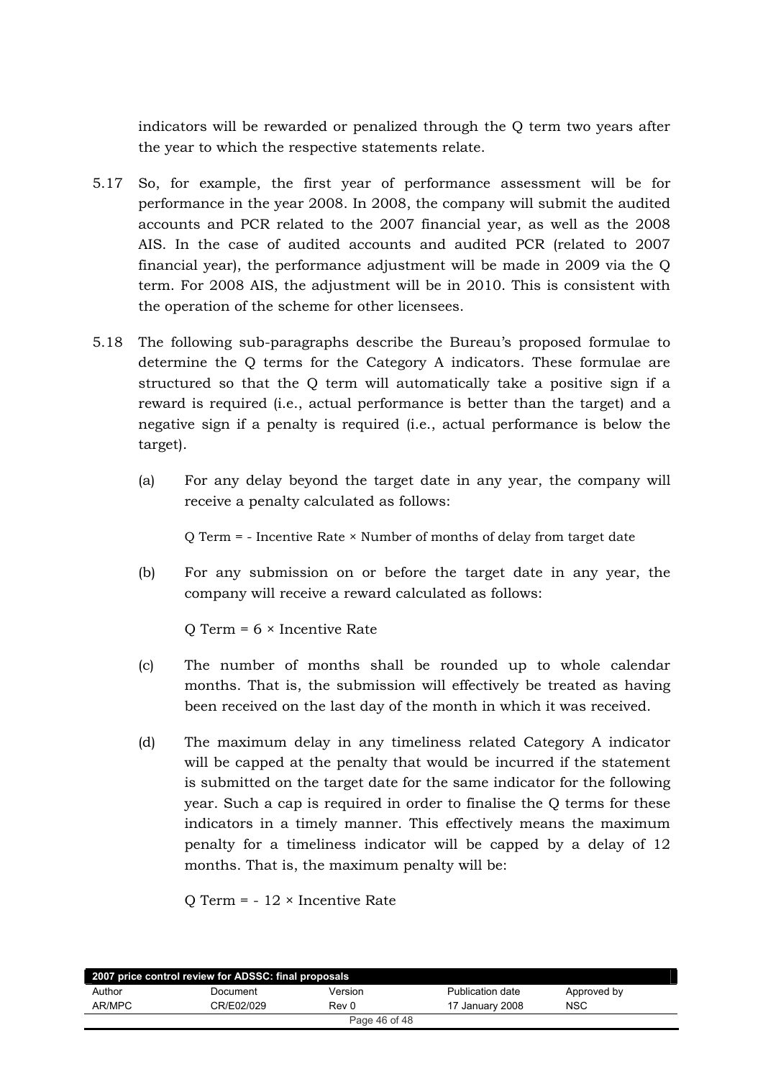indicators will be rewarded or penalized through the Q term two years after the year to which the respective statements relate.

- 5.17 So, for example, the first year of performance assessment will be for performance in the year 2008. In 2008, the company will submit the audited accounts and PCR related to the 2007 financial year, as well as the 2008 AIS. In the case of audited accounts and audited PCR (related to 2007 financial year), the performance adjustment will be made in  $2009$  via the O term. For 2008 AIS, the adjustment will be in 2010. This is consistent with the operation of the scheme for other licensees.
- 5.18 The following sub-paragraphs describe the Bureau's proposed formulae to determine the Q terms for the Category A indicators. These formulae are structured so that the Q term will automatically take a positive sign if a reward is required (i.e., actual performance is better than the target) and a negative sign if a penalty is required (i.e., actual performance is below the target).
	- (a) For any delay beyond the target date in any year, the company will receive a penalty calculated as follows:

Q Term = - Incentive Rate  $\times$  Number of months of delay from target date

(b) For any submission on or before the target date in any year, the company will receive a reward calculated as follows:

Q Term =  $6 \times$  Incentive Rate

- (c) The number of months shall be rounded up to whole calendar months. That is, the submission will effectively be treated as having been received on the last day of the month in which it was received.
- (d) The maximum delay in any timeliness related Category A indicator will be capped at the penalty that would be incurred if the statement is submitted on the target date for the same indicator for the following year. Such a cap is required in order to finalise the  $Q$  terms for these indicators in a timely manner. This effectively means the maximum penalty for a timeliness indicator will be capped by a delay of  $12$ months. That is, the maximum penalty will be:

Q Term =  $-12 \times$  Incentive Rate

| 2007 price control review for ADSSC: final proposals |            |         |                         |             |  |  |
|------------------------------------------------------|------------|---------|-------------------------|-------------|--|--|
| Author                                               | Document   | Version | <b>Publication date</b> | Approved by |  |  |
| AR/MPC                                               | CR/E02/029 | Rev 0   | 17 January 2008         | <b>NSC</b>  |  |  |
| Page 46 of 48                                        |            |         |                         |             |  |  |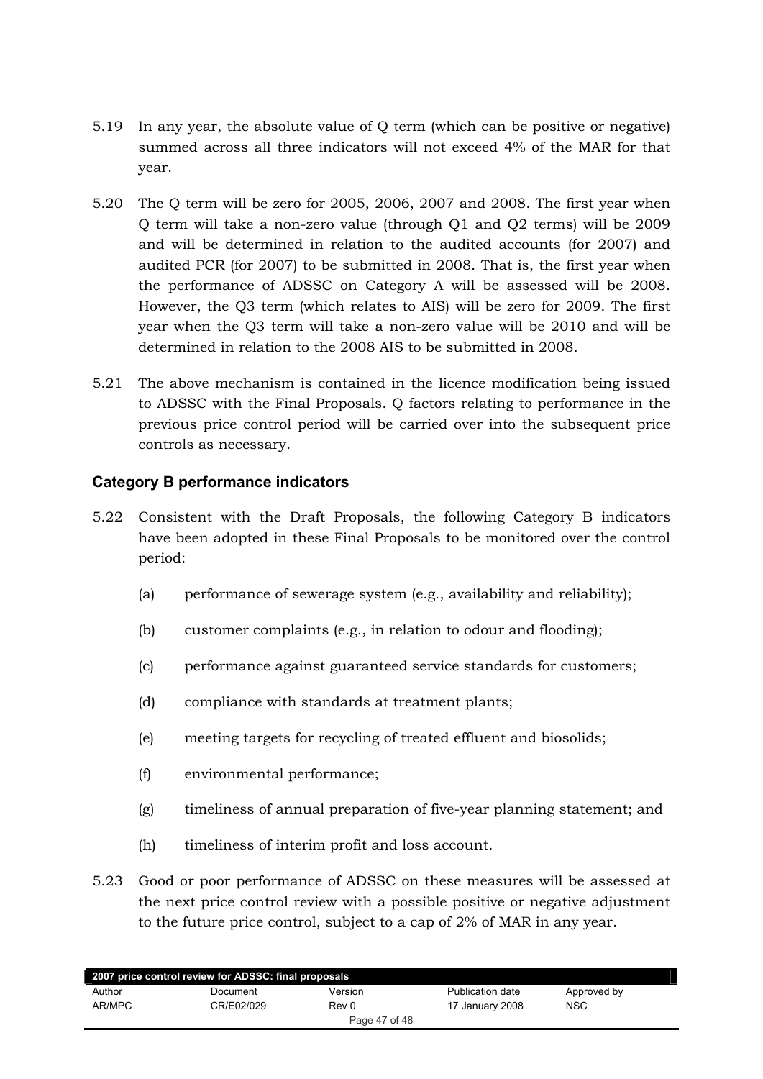- <span id="page-46-0"></span>5.19 In any year, the absolute value of Q term (which can be positive or negative) summed across all three indicators will not exceed 4% of the MAR for that year.
- 5.20 The Q term will be zero for 2005, 2006, 2007 and 2008. The first year when Q term will take a non-zero value (through Q1 and Q2 terms) will be 2009 and will be determined in relation to the audited accounts (for 2007) and audited PCR (for 2007) to be submitted in 2008. That is, the first year when the performance of ADSSC on Category A will be assessed will be 2008. However, the Q3 term (which relates to AIS) will be zero for 2009. The first year when the O3 term will take a non-zero value will be 2010 and will be determined in relation to the 2008 AIS to be submitted in 2008.
- 5.21 The above mechanism is contained in the licence modification being issued to ADSSC with the Final Proposals. O factors relating to performance in the previous price control period will be carried over into the subsequent price controls as necessary.

## **Category B performance indicators**

- 5.22 Consistent with the Draft Proposals, the following Category B indicators have been adopted in these Final Proposals to be monitored over the control period:
	- $(a)$ performance of sewerage system (e.g., availability and reliability);
	- customer complaints (e.g., in relation to odour and flooding);  $(b)$
	- performance against guaranteed service standards for customers;  $(c)$
	- $(d)$ compliance with standards at treatment plants;
	- meeting targets for recycling of treated effluent and biosolids;  $(e)$
	- $(f)$ environmental performance;
	- $(g)$ timeliness of annual preparation of five-year planning statement; and
	- $(h)$ timeliness of interim profit and loss account.
- 5.23 Good or poor performance of ADSSC on these measures will be assessed at the next price control review with a possible positive or negative adjustment to the future price control, subject to a cap of 2% of MAR in any year.

| 2007 price control review for ADSSC: final proposals |            |               |                  |             |  |
|------------------------------------------------------|------------|---------------|------------------|-------------|--|
| Author                                               | Document   | Version       | Publication date | Approved by |  |
| AR/MPC                                               | CR/E02/029 | Rev 0         | 17 January 2008  | <b>NSC</b>  |  |
|                                                      |            | Page 47 of 48 |                  |             |  |